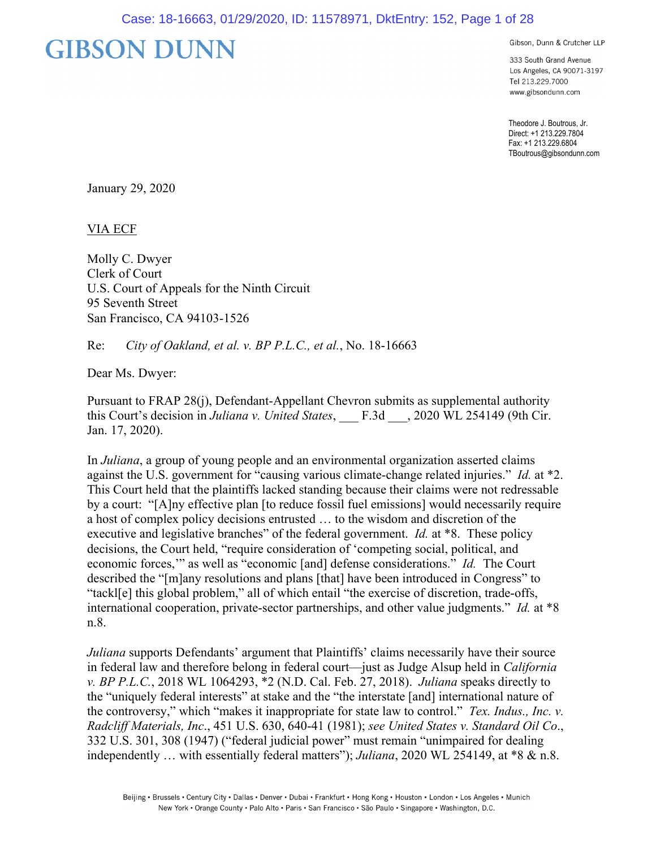# **GIBSON DUNN**

Gibson, Dunn & Crutcher LLP

333 South Grand Avenue Los Angeles, CA 90071-3197 Tel 213.229.7000 www.gibsondunn.com

Theodore J. Boutrous, Jr. Direct: +1 213.229.7804 Fax: +1 213.229.6804 TBoutrous@gibsondunn.com

January 29, 2020

VIA ECF

Molly C. Dwyer Clerk of Court U.S. Court of Appeals for the Ninth Circuit 95 Seventh Street San Francisco, CA 94103-1526

Re: *City of Oakland, et al. v. BP P.L.C., et al.*, No. 18-16663

Dear Ms. Dwyer:

Pursuant to FRAP 28(j), Defendant-Appellant Chevron submits as supplemental authority this Court's decision in *Juliana v. United States*, \_\_\_ F.3d \_\_\_, 2020 WL 254149 (9th Cir. Jan. 17, 2020).

In *Juliana*, a group of young people and an environmental organization asserted claims against the U.S. government for "causing various climate-change related injuries." *Id.* at \*2. This Court held that the plaintiffs lacked standing because their claims were not redressable by a court: "[A]ny effective plan [to reduce fossil fuel emissions] would necessarily require a host of complex policy decisions entrusted … to the wisdom and discretion of the executive and legislative branches" of the federal government. *Id.* at \*8. These policy decisions, the Court held, "require consideration of 'competing social, political, and economic forces,'" as well as "economic [and] defense considerations." *Id.* The Court described the "[m]any resolutions and plans [that] have been introduced in Congress" to "tackl[e] this global problem," all of which entail "the exercise of discretion, trade-offs, international cooperation, private-sector partnerships, and other value judgments." *Id.* at \*8 n.8.

*Juliana* supports Defendants' argument that Plaintiffs' claims necessarily have their source in federal law and therefore belong in federal court—just as Judge Alsup held in *California v. BP P.L.C.*, 2018 WL 1064293, \*2 (N.D. Cal. Feb. 27, 2018). *Juliana* speaks directly to the "uniquely federal interests" at stake and the "the interstate [and] international nature of the controversy," which "makes it inappropriate for state law to control." *Tex. Indus., Inc. v. Radcliff Materials, Inc*., 451 U.S. 630, 640-41 (1981); *see United States v. Standard Oil Co*., 332 U.S. 301, 308 (1947) ("federal judicial power" must remain "unimpaired for dealing independently … with essentially federal matters"); *Juliana*, 2020 WL 254149, at \*8 & n.8.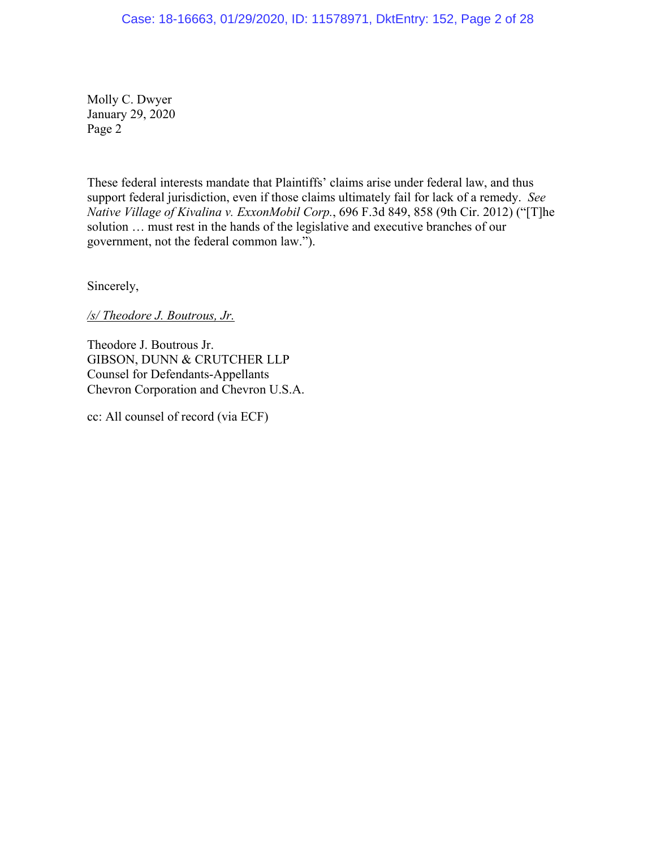# Case: 18-16663, 01/29/2020, ID: 11578971, DktEntry: 152, Page 2 of 28

Molly C. Dwyer January 29, 2020 Page 2

These federal interests mandate that Plaintiffs' claims arise under federal law, and thus support federal jurisdiction, even if those claims ultimately fail for lack of a remedy. *See Native Village of Kivalina v. ExxonMobil Corp.*, 696 F.3d 849, 858 (9th Cir. 2012) ("[T]he solution … must rest in the hands of the legislative and executive branches of our government, not the federal common law.").

Sincerely,

*/s/ Theodore J. Boutrous, Jr.* 

Theodore J. Boutrous Jr. GIBSON, DUNN & CRUTCHER LLP Counsel for Defendants-Appellants Chevron Corporation and Chevron U.S.A.

cc: All counsel of record (via ECF)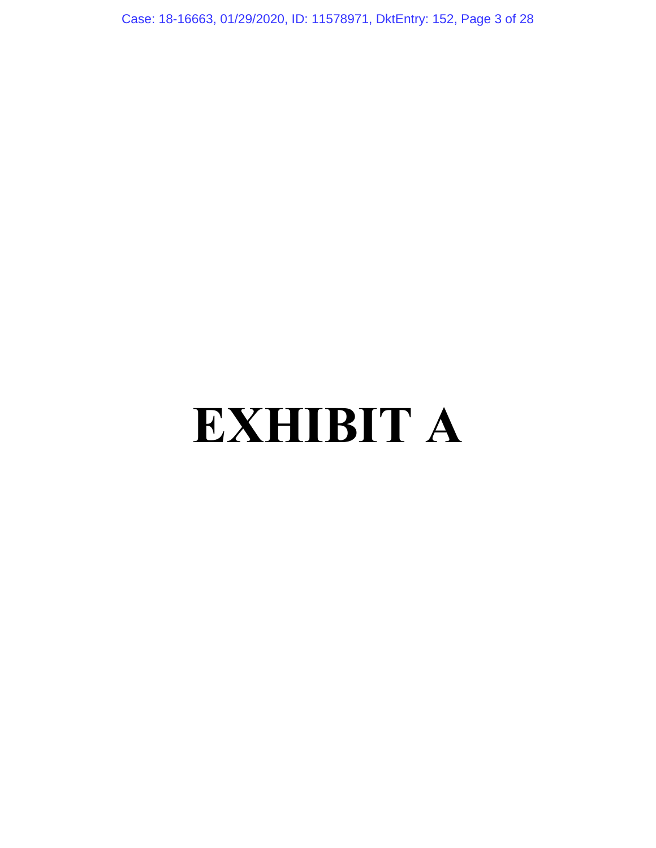Case: 18-16663, 01/29/2020, ID: 11578971, DktEntry: 152, Page 3 of 28

# **EXHIBIT A**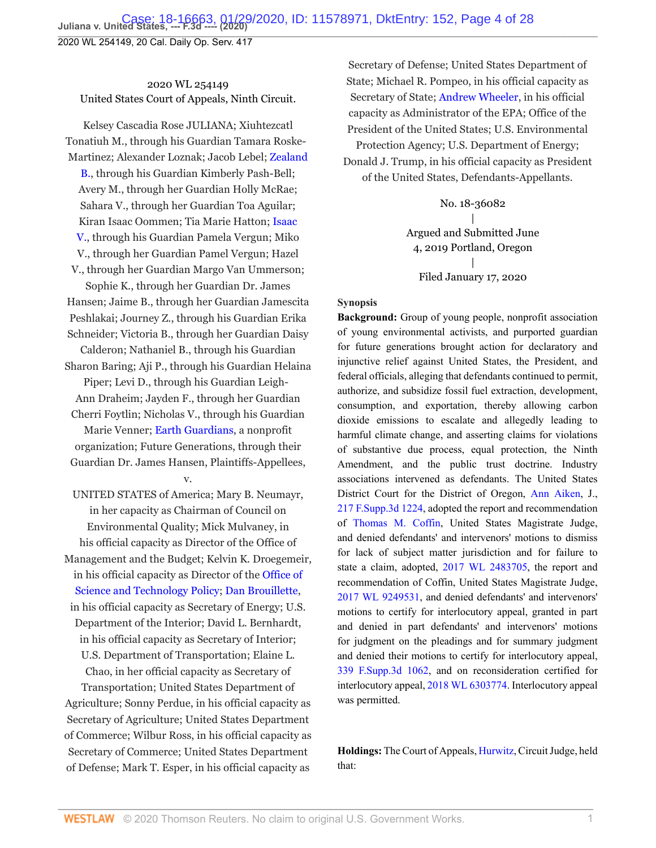2020 WL 254149 United States Court of Appeals, Ninth Circuit.

Kelsey Cascadia Rose JULIANA; Xiuhtezcatl Tonatiuh M., through his Guardian Tamara Roske-Martinez; Alexander Loznak; Jacob Lebel; [Zealand](http://www.westlaw.com/Search/Results.html?query=advanced%3a+OAID(4296786366)&saveJuris=False&contentType=BUSINESS-INVESTIGATOR&startIndex=1&contextData=(sc.Default)&categoryPageUrl=Home%2fCompanyInvestigator&originationContext=document&vr=3.0&rs=cblt1.0&transitionType=DocumentItem) [B.,](http://www.westlaw.com/Search/Results.html?query=advanced%3a+OAID(4296786366)&saveJuris=False&contentType=BUSINESS-INVESTIGATOR&startIndex=1&contextData=(sc.Default)&categoryPageUrl=Home%2fCompanyInvestigator&originationContext=document&vr=3.0&rs=cblt1.0&transitionType=DocumentItem) through his Guardian Kimberly Pash-Bell; Avery M., through her Guardian Holly McRae; Sahara V., through her Guardian Toa Aguilar; Kiran Isaac Oommen; Tia Marie Hatton; [Isaac](http://www.westlaw.com/Search/Results.html?query=advanced%3a+OAID(5056086451)&saveJuris=False&contentType=BUSINESS-INVESTIGATOR&startIndex=1&contextData=(sc.Default)&categoryPageUrl=Home%2fCompanyInvestigator&originationContext=document&vr=3.0&rs=cblt1.0&transitionType=DocumentItem) [V.](http://www.westlaw.com/Search/Results.html?query=advanced%3a+OAID(5056086451)&saveJuris=False&contentType=BUSINESS-INVESTIGATOR&startIndex=1&contextData=(sc.Default)&categoryPageUrl=Home%2fCompanyInvestigator&originationContext=document&vr=3.0&rs=cblt1.0&transitionType=DocumentItem), through his Guardian Pamela Vergun; Miko V., through her Guardian Pamel Vergun; Hazel V., through her Guardian Margo Van Ummerson; Sophie K., through her Guardian Dr. James Hansen; Jaime B., through her Guardian Jamescita Peshlakai; Journey Z., through his Guardian Erika Schneider; Victoria B., through her Guardian Daisy Calderon; Nathaniel B., through his Guardian Sharon Baring; Aji P., through his Guardian Helaina Piper; Levi D., through his Guardian Leigh-Ann Draheim; Jayden F., through her Guardian Cherri Foytlin; Nicholas V., through his Guardian Marie Venner; [Earth Guardians](http://www.westlaw.com/Search/Results.html?query=advanced%3a+OAID(5020369624)&saveJuris=False&contentType=BUSINESS-INVESTIGATOR&startIndex=1&contextData=(sc.Default)&categoryPageUrl=Home%2fCompanyInvestigator&originationContext=document&vr=3.0&rs=cblt1.0&transitionType=DocumentItem), a nonprofit organization; Future Generations, through their Guardian Dr. James Hansen, Plaintiffs-Appellees, v.

UNITED STATES of America; Mary B. Neumayr, in her capacity as Chairman of Council on Environmental Quality; Mick Mulvaney, in his official capacity as Director of the Office of Management and the Budget; Kelvin K. Droegemeir, in his official capacity as Director of the [Office of](http://www.westlaw.com/Search/Results.html?query=advanced%3a+OAID(5068099204)&saveJuris=False&contentType=BUSINESS-INVESTIGATOR&startIndex=1&contextData=(sc.Default)&categoryPageUrl=Home%2fCompanyInvestigator&originationContext=document&vr=3.0&rs=cblt1.0&transitionType=DocumentItem) [Science and Technology Policy;](http://www.westlaw.com/Search/Results.html?query=advanced%3a+OAID(5068099204)&saveJuris=False&contentType=BUSINESS-INVESTIGATOR&startIndex=1&contextData=(sc.Default)&categoryPageUrl=Home%2fCompanyInvestigator&originationContext=document&vr=3.0&rs=cblt1.0&transitionType=DocumentItem) [Dan Brouillette](http://www.westlaw.com/Search/Results.html?query=advanced%3a+OAID(5047111405)&saveJuris=False&contentType=BUSINESS-INVESTIGATOR&startIndex=1&contextData=(sc.Default)&categoryPageUrl=Home%2fCompanyInvestigator&originationContext=document&vr=3.0&rs=cblt1.0&transitionType=DocumentItem), in his official capacity as Secretary of Energy; U.S. Department of the Interior; David L. Bernhardt,

in his official capacity as Secretary of Interior; U.S. Department of Transportation; Elaine L. Chao, in her official capacity as Secretary of

Transportation; United States Department of Agriculture; Sonny Perdue, in his official capacity as Secretary of Agriculture; United States Department of Commerce; Wilbur Ross, in his official capacity as Secretary of Commerce; United States Department of Defense; Mark T. Esper, in his official capacity as

Secretary of Defense; United States Department of State; Michael R. Pompeo, in his official capacity as Secretary of State; [Andrew Wheeler,](http://www.westlaw.com/Search/Results.html?query=advanced%3a+OAID(5038656974)&saveJuris=False&contentType=BUSINESS-INVESTIGATOR&startIndex=1&contextData=(sc.Default)&categoryPageUrl=Home%2fCompanyInvestigator&originationContext=document&vr=3.0&rs=cblt1.0&transitionType=DocumentItem) in his official capacity as Administrator of the EPA; Office of the President of the United States; U.S. Environmental Protection Agency; U.S. Department of Energy; Donald J. Trump, in his official capacity as President of the United States, Defendants-Appellants.

> No. 18-36082 | Argued and Submitted June 4, 2019 Portland, Oregon | Filed January 17, 2020

#### **Synopsis**

**Background:** Group of young people, nonprofit association of young environmental activists, and purported guardian for future generations brought action for declaratory and injunctive relief against United States, the President, and federal officials, alleging that defendants continued to permit, authorize, and subsidize fossil fuel extraction, development, consumption, and exportation, thereby allowing carbon dioxide emissions to escalate and allegedly leading to harmful climate change, and asserting claims for violations of substantive due process, equal protection, the Ninth Amendment, and the public trust doctrine. Industry associations intervened as defendants. The United States District Court for the District of Oregon, [Ann Aiken,](http://www.westlaw.com/Link/Document/FullText?findType=h&pubNum=176284&cite=0214636503&originatingDoc=I92da3060396e11eabed3a1bc09b332eb&refType=RQ&originationContext=document&vr=3.0&rs=cblt1.0&transitionType=DocumentItem&contextData=(sc.UserEnteredCitation)) J., [217 F.Supp.3d 1224,](http://www.westlaw.com/Link/Document/FullText?findType=Y&serNum=2040284204&pubNum=0007903&originatingDoc=I92da3060396e11eabed3a1bc09b332eb&refType=RP&originationContext=document&vr=3.0&rs=cblt1.0&transitionType=DocumentItem&contextData=(sc.UserEnteredCitation)) adopted the report and recommendation of [Thomas M. Coffin](http://www.westlaw.com/Link/Document/FullText?findType=h&pubNum=176284&cite=0143096801&originatingDoc=I92da3060396e11eabed3a1bc09b332eb&refType=RQ&originationContext=document&vr=3.0&rs=cblt1.0&transitionType=DocumentItem&contextData=(sc.UserEnteredCitation)), United States Magistrate Judge, and denied defendants' and intervenors' motions to dismiss for lack of subject matter jurisdiction and for failure to state a claim, adopted, [2017 WL 2483705](http://www.westlaw.com/Link/Document/FullText?findType=Y&serNum=2041829057&pubNum=0000999&originatingDoc=I92da3060396e11eabed3a1bc09b332eb&refType=RP&originationContext=document&vr=3.0&rs=cblt1.0&transitionType=DocumentItem&contextData=(sc.UserEnteredCitation)), the report and recommendation of Coffin, United States Magistrate Judge, [2017 WL 9249531](http://www.westlaw.com/Link/Document/FullText?findType=Y&serNum=2044444224&pubNum=0000999&originatingDoc=I92da3060396e11eabed3a1bc09b332eb&refType=RP&originationContext=document&vr=3.0&rs=cblt1.0&transitionType=DocumentItem&contextData=(sc.UserEnteredCitation)), and denied defendants' and intervenors' motions to certify for interlocutory appeal, granted in part and denied in part defendants' and intervenors' motions for judgment on the pleadings and for summary judgment and denied their motions to certify for interlocutory appeal, [339 F.Supp.3d 1062](http://www.westlaw.com/Link/Document/FullText?findType=Y&serNum=2045769188&pubNum=0007903&originatingDoc=I92da3060396e11eabed3a1bc09b332eb&refType=RP&originationContext=document&vr=3.0&rs=cblt1.0&transitionType=DocumentItem&contextData=(sc.UserEnteredCitation)), and on reconsideration certified for interlocutory appeal, [2018 WL 6303774](http://www.westlaw.com/Link/Document/FullText?findType=Y&serNum=2046153916&pubNum=0000999&originatingDoc=I92da3060396e11eabed3a1bc09b332eb&refType=RP&originationContext=document&vr=3.0&rs=cblt1.0&transitionType=DocumentItem&contextData=(sc.UserEnteredCitation)). Interlocutory appeal was permitted.

**Holdings:** The Court of Appeals, [Hurwitz,](http://www.westlaw.com/Link/Document/FullText?findType=h&pubNum=176284&cite=0169087601&originatingDoc=I92da3060396e11eabed3a1bc09b332eb&refType=RQ&originationContext=document&vr=3.0&rs=cblt1.0&transitionType=DocumentItem&contextData=(sc.UserEnteredCitation)) Circuit Judge, held that: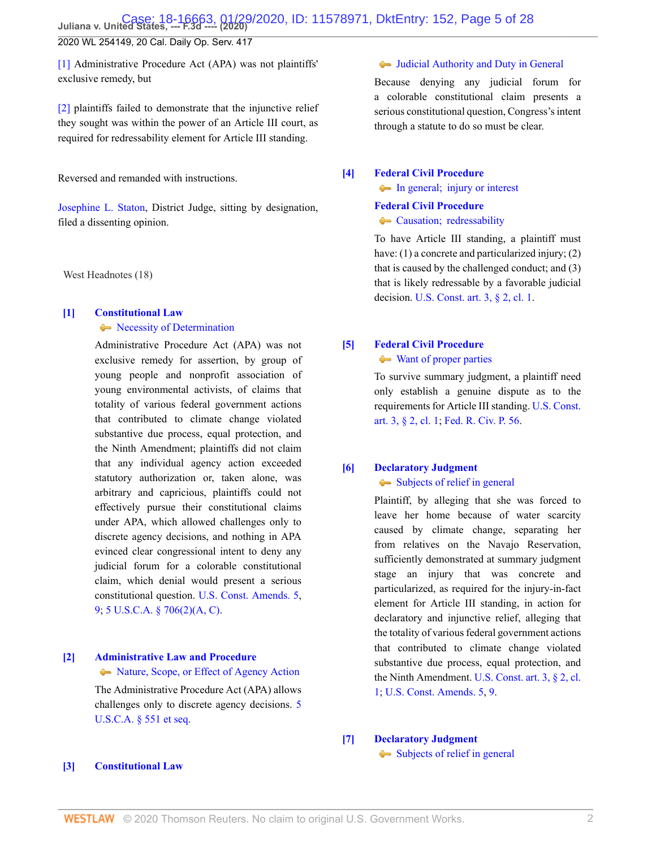**Juliana v. United States, --- F.3d ---- (2020)** Case: 18-16663, 01/29/2020, ID: 11578971, DktEntry: 152, Page 5 of 28

2020 WL 254149, 20 Cal. Daily Op. Serv. 417

[\[1\]](#page-4-0) Administrative Procedure Act (APA) was not plaintiffs' exclusive remedy, but

[\[2\]](#page-6-0) plaintiffs failed to demonstrate that the injunctive relief they sought was within the power of an Article III court, as required for redressability element for Article III standing.

Reversed and remanded with instructions.

[Josephine L. Staton](http://www.westlaw.com/Link/Document/FullText?findType=h&pubNum=176284&cite=0103095101&originatingDoc=I92da3060396e11eabed3a1bc09b332eb&refType=RQ&originationContext=document&vr=3.0&rs=cblt1.0&transitionType=DocumentItem&contextData=(sc.UserEnteredCitation)), District Judge, sitting by designation, filed a dissenting opinion.

West Headnotes (18)

# <span id="page-4-0"></span>**[\[1\]](#page-9-0) [Constitutional Law](http://www.westlaw.com/Browse/Home/KeyNumber/92/View.html?docGuid=I92da3060396e11eabed3a1bc09b332eb&originationContext=document&vr=3.0&rs=cblt1.0&transitionType=DocumentItem&contextData=(sc.UserEnteredCitation))** • [Necessity of Determination](http://www.westlaw.com/Browse/Home/KeyNumber/92VI(C)2/View.html?docGuid=I92da3060396e11eabed3a1bc09b332eb&originationContext=document&vr=3.0&rs=cblt1.0&transitionType=DocumentItem&contextData=(sc.UserEnteredCitation))

Administrative Procedure Act (APA) was not exclusive remedy for assertion, by group of young people and nonprofit association of young environmental activists, of claims that totality of various federal government actions that contributed to climate change violated substantive due process, equal protection, and the Ninth Amendment; plaintiffs did not claim that any individual agency action exceeded statutory authorization or, taken alone, was arbitrary and capricious, plaintiffs could not effectively pursue their constitutional claims under APA, which allowed challenges only to discrete agency decisions, and nothing in APA evinced clear congressional intent to deny any judicial forum for a colorable constitutional claim, which denial would present a serious constitutional question. [U.S. Const. Amends. 5](http://www.westlaw.com/Link/Document/FullText?findType=L&pubNum=1000583&cite=USCOAMENDV&originatingDoc=I92da3060396e11eabed3a1bc09b332eb&refType=LQ&originationContext=document&vr=3.0&rs=cblt1.0&transitionType=DocumentItem&contextData=(sc.UserEnteredCitation)), [9;](http://www.westlaw.com/Link/Document/FullText?findType=L&pubNum=1000583&cite=USCOAMENDIX&originatingDoc=I92da3060396e11eabed3a1bc09b332eb&refType=LQ&originationContext=document&vr=3.0&rs=cblt1.0&transitionType=DocumentItem&contextData=(sc.UserEnteredCitation)) [5 U.S.C.A. § 706\(2\)\(A, C\)](http://www.westlaw.com/Link/Document/FullText?findType=L&pubNum=1000546&cite=5USCAS706&originatingDoc=I92da3060396e11eabed3a1bc09b332eb&refType=SP&originationContext=document&vr=3.0&rs=cblt1.0&transitionType=DocumentItem&contextData=(sc.UserEnteredCitation)#co_pp_58730000872b1).

#### <span id="page-4-1"></span>**[\[2\]](#page-9-1) [Administrative Law and Procedure](http://www.westlaw.com/Browse/Home/KeyNumber/15A/View.html?docGuid=I92da3060396e11eabed3a1bc09b332eb&originationContext=document&vr=3.0&rs=cblt1.0&transitionType=DocumentItem&contextData=(sc.UserEnteredCitation))**

• [Nature, Scope, or Effect of Agency Action](http://www.westlaw.com/Browse/Home/KeyNumber/15Ak1662/View.html?docGuid=I92da3060396e11eabed3a1bc09b332eb&originationContext=document&vr=3.0&rs=cblt1.0&transitionType=DocumentItem&contextData=(sc.UserEnteredCitation))

The Administrative Procedure Act (APA) allows challenges only to discrete agency decisions. [5](http://www.westlaw.com/Link/Document/FullText?findType=L&pubNum=1000546&cite=5USCAS551&originatingDoc=I92da3060396e11eabed3a1bc09b332eb&refType=LQ&originationContext=document&vr=3.0&rs=cblt1.0&transitionType=DocumentItem&contextData=(sc.UserEnteredCitation)) [U.S.C.A. § 551 et seq.](http://www.westlaw.com/Link/Document/FullText?findType=L&pubNum=1000546&cite=5USCAS551&originatingDoc=I92da3060396e11eabed3a1bc09b332eb&refType=LQ&originationContext=document&vr=3.0&rs=cblt1.0&transitionType=DocumentItem&contextData=(sc.UserEnteredCitation))

#### [Judicial Authority and Duty in General](http://www.westlaw.com/Browse/Home/KeyNumber/92k960/View.html?docGuid=I92da3060396e11eabed3a1bc09b332eb&originationContext=document&vr=3.0&rs=cblt1.0&transitionType=DocumentItem&contextData=(sc.UserEnteredCitation))

Because denying any judicial forum for a colorable constitutional claim presents a serious constitutional question, Congress's intent through a statute to do so must be clear.

#### <span id="page-4-3"></span>**[\[4\]](#page-10-0) [Federal Civil Procedure](http://www.westlaw.com/Browse/Home/KeyNumber/170A/View.html?docGuid=I92da3060396e11eabed3a1bc09b332eb&originationContext=document&vr=3.0&rs=cblt1.0&transitionType=DocumentItem&contextData=(sc.UserEnteredCitation))**

• In general; injury or interest

#### **[Federal Civil Procedure](http://www.westlaw.com/Browse/Home/KeyNumber/170A/View.html?docGuid=I92da3060396e11eabed3a1bc09b332eb&originationContext=document&vr=3.0&rs=cblt1.0&transitionType=DocumentItem&contextData=(sc.UserEnteredCitation))**

#### • Causation; redressability

To have Article III standing, a plaintiff must have: (1) a concrete and particularized injury; (2) that is caused by the challenged conduct; and (3) that is likely redressable by a favorable judicial decision. [U.S. Const. art. 3, § 2, cl. 1.](http://www.westlaw.com/Link/Document/FullText?findType=L&pubNum=1000583&cite=USCOARTIIIS2CL1&originatingDoc=I92da3060396e11eabed3a1bc09b332eb&refType=LQ&originationContext=document&vr=3.0&rs=cblt1.0&transitionType=DocumentItem&contextData=(sc.UserEnteredCitation))

# <span id="page-4-4"></span>**[\[5\]](#page-10-1) [Federal Civil Procedure](http://www.westlaw.com/Browse/Home/KeyNumber/170A/View.html?docGuid=I92da3060396e11eabed3a1bc09b332eb&originationContext=document&vr=3.0&rs=cblt1.0&transitionType=DocumentItem&contextData=(sc.UserEnteredCitation))**

• [Want of proper parties](http://www.westlaw.com/Browse/Home/KeyNumber/170Ak2467/View.html?docGuid=I92da3060396e11eabed3a1bc09b332eb&originationContext=document&vr=3.0&rs=cblt1.0&transitionType=DocumentItem&contextData=(sc.UserEnteredCitation))

To survive summary judgment, a plaintiff need only establish a genuine dispute as to the requirements for Article III standing. [U.S. Const.](http://www.westlaw.com/Link/Document/FullText?findType=L&pubNum=1000583&cite=USCOARTIIIS2CL1&originatingDoc=I92da3060396e11eabed3a1bc09b332eb&refType=LQ&originationContext=document&vr=3.0&rs=cblt1.0&transitionType=DocumentItem&contextData=(sc.UserEnteredCitation)) [art. 3, § 2, cl. 1;](http://www.westlaw.com/Link/Document/FullText?findType=L&pubNum=1000583&cite=USCOARTIIIS2CL1&originatingDoc=I92da3060396e11eabed3a1bc09b332eb&refType=LQ&originationContext=document&vr=3.0&rs=cblt1.0&transitionType=DocumentItem&contextData=(sc.UserEnteredCitation)) [Fed. R. Civ. P. 56.](http://www.westlaw.com/Link/Document/FullText?findType=L&pubNum=1000600&cite=USFRCPR56&originatingDoc=I92da3060396e11eabed3a1bc09b332eb&refType=LQ&originationContext=document&vr=3.0&rs=cblt1.0&transitionType=DocumentItem&contextData=(sc.UserEnteredCitation))

# <span id="page-4-5"></span>**[\[6\]](#page-10-2) [Declaratory Judgment](http://www.westlaw.com/Browse/Home/KeyNumber/118A/View.html?docGuid=I92da3060396e11eabed3a1bc09b332eb&originationContext=document&vr=3.0&rs=cblt1.0&transitionType=DocumentItem&contextData=(sc.UserEnteredCitation))**

[Subjects of relief in general](http://www.westlaw.com/Browse/Home/KeyNumber/118Ak300/View.html?docGuid=I92da3060396e11eabed3a1bc09b332eb&originationContext=document&vr=3.0&rs=cblt1.0&transitionType=DocumentItem&contextData=(sc.UserEnteredCitation))

Plaintiff, by alleging that she was forced to leave her home because of water scarcity caused by climate change, separating her from relatives on the Navajo Reservation, sufficiently demonstrated at summary judgment stage an injury that was concrete and particularized, as required for the injury-in-fact element for Article III standing, in action for declaratory and injunctive relief, alleging that the totality of various federal government actions that contributed to climate change violated substantive due process, equal protection, and the Ninth Amendment. [U.S. Const. art. 3, § 2, cl.](http://www.westlaw.com/Link/Document/FullText?findType=L&pubNum=1000583&cite=USCOARTIIIS2CL1&originatingDoc=I92da3060396e11eabed3a1bc09b332eb&refType=LQ&originationContext=document&vr=3.0&rs=cblt1.0&transitionType=DocumentItem&contextData=(sc.UserEnteredCitation)) [1](http://www.westlaw.com/Link/Document/FullText?findType=L&pubNum=1000583&cite=USCOARTIIIS2CL1&originatingDoc=I92da3060396e11eabed3a1bc09b332eb&refType=LQ&originationContext=document&vr=3.0&rs=cblt1.0&transitionType=DocumentItem&contextData=(sc.UserEnteredCitation)); [U.S. Const. Amends. 5,](http://www.westlaw.com/Link/Document/FullText?findType=L&pubNum=1000583&cite=USCOAMENDV&originatingDoc=I92da3060396e11eabed3a1bc09b332eb&refType=LQ&originationContext=document&vr=3.0&rs=cblt1.0&transitionType=DocumentItem&contextData=(sc.UserEnteredCitation)) [9.](http://www.westlaw.com/Link/Document/FullText?findType=L&pubNum=1000583&cite=USCOAMENDIX&originatingDoc=I92da3060396e11eabed3a1bc09b332eb&refType=LQ&originationContext=document&vr=3.0&rs=cblt1.0&transitionType=DocumentItem&contextData=(sc.UserEnteredCitation))

# <span id="page-4-6"></span>**[\[7\]](#page-10-3) [Declaratory Judgment](http://www.westlaw.com/Browse/Home/KeyNumber/118A/View.html?docGuid=I92da3060396e11eabed3a1bc09b332eb&originationContext=document&vr=3.0&rs=cblt1.0&transitionType=DocumentItem&contextData=(sc.UserEnteredCitation))**  $\blacktriangleright$  [Subjects of relief in general](http://www.westlaw.com/Browse/Home/KeyNumber/118Ak300/View.html?docGuid=I92da3060396e11eabed3a1bc09b332eb&originationContext=document&vr=3.0&rs=cblt1.0&transitionType=DocumentItem&contextData=(sc.UserEnteredCitation))

#### <span id="page-4-2"></span>**[\[3\]](#page-9-2) [Constitutional Law](http://www.westlaw.com/Browse/Home/KeyNumber/92/View.html?docGuid=I92da3060396e11eabed3a1bc09b332eb&originationContext=document&vr=3.0&rs=cblt1.0&transitionType=DocumentItem&contextData=(sc.UserEnteredCitation))**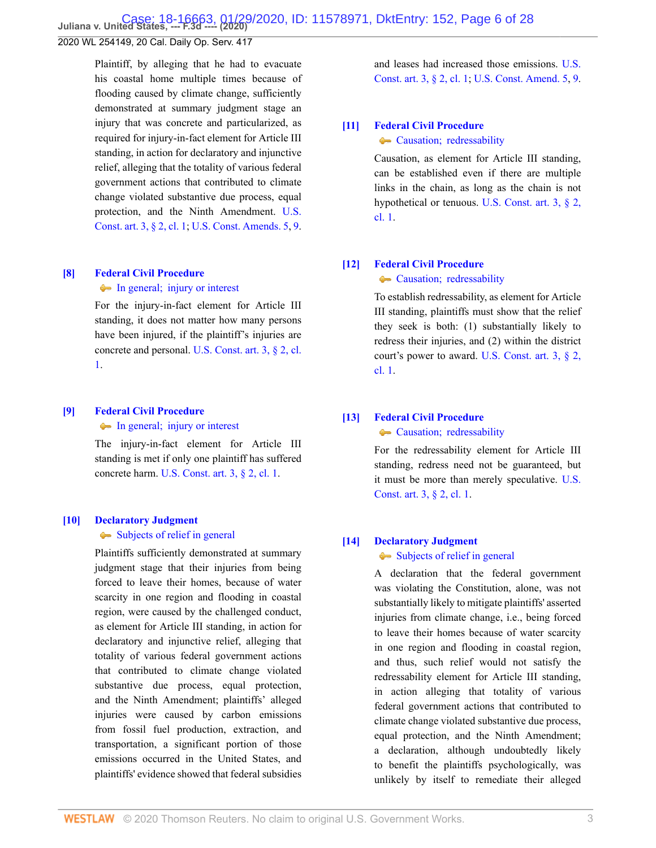**Juliana v. United States, --- F.3d ---- (2020)** Case: 18-16663, 01/29/2020, ID: 11578971, DktEntry: 152, Page 6 of 28

#### 2020 WL 254149, 20 Cal. Daily Op. Serv. 417

Plaintiff, by alleging that he had to evacuate his coastal home multiple times because of flooding caused by climate change, sufficiently demonstrated at summary judgment stage an injury that was concrete and particularized, as required for injury-in-fact element for Article III standing, in action for declaratory and injunctive relief, alleging that the totality of various federal government actions that contributed to climate change violated substantive due process, equal protection, and the Ninth Amendment. [U.S.](http://www.westlaw.com/Link/Document/FullText?findType=L&pubNum=1000583&cite=USCOARTIIIS2CL1&originatingDoc=I92da3060396e11eabed3a1bc09b332eb&refType=LQ&originationContext=document&vr=3.0&rs=cblt1.0&transitionType=DocumentItem&contextData=(sc.UserEnteredCitation)) [Const. art. 3, § 2, cl. 1](http://www.westlaw.com/Link/Document/FullText?findType=L&pubNum=1000583&cite=USCOARTIIIS2CL1&originatingDoc=I92da3060396e11eabed3a1bc09b332eb&refType=LQ&originationContext=document&vr=3.0&rs=cblt1.0&transitionType=DocumentItem&contextData=(sc.UserEnteredCitation)); [U.S. Const. Amends. 5](http://www.westlaw.com/Link/Document/FullText?findType=L&pubNum=1000583&cite=USCOAMENDV&originatingDoc=I92da3060396e11eabed3a1bc09b332eb&refType=LQ&originationContext=document&vr=3.0&rs=cblt1.0&transitionType=DocumentItem&contextData=(sc.UserEnteredCitation)), [9](http://www.westlaw.com/Link/Document/FullText?findType=L&pubNum=1000583&cite=USCOAMENDIX&originatingDoc=I92da3060396e11eabed3a1bc09b332eb&refType=LQ&originationContext=document&vr=3.0&rs=cblt1.0&transitionType=DocumentItem&contextData=(sc.UserEnteredCitation)).

# <span id="page-5-0"></span>**[\[8\]](#page-10-4) [Federal Civil Procedure](http://www.westlaw.com/Browse/Home/KeyNumber/170A/View.html?docGuid=I92da3060396e11eabed3a1bc09b332eb&originationContext=document&vr=3.0&rs=cblt1.0&transitionType=DocumentItem&contextData=(sc.UserEnteredCitation))**

# • In general; injury or interest

For the injury-in-fact element for Article III standing, it does not matter how many persons have been injured, if the plaintiff's injuries are concrete and personal. [U.S. Const. art. 3, § 2, cl.](http://www.westlaw.com/Link/Document/FullText?findType=L&pubNum=1000583&cite=USCOARTIIIS2CL1&originatingDoc=I92da3060396e11eabed3a1bc09b332eb&refType=LQ&originationContext=document&vr=3.0&rs=cblt1.0&transitionType=DocumentItem&contextData=(sc.UserEnteredCitation)) [1.](http://www.westlaw.com/Link/Document/FullText?findType=L&pubNum=1000583&cite=USCOARTIIIS2CL1&originatingDoc=I92da3060396e11eabed3a1bc09b332eb&refType=LQ&originationContext=document&vr=3.0&rs=cblt1.0&transitionType=DocumentItem&contextData=(sc.UserEnteredCitation))

#### <span id="page-5-1"></span>**[\[9\]](#page-10-5) [Federal Civil Procedure](http://www.westlaw.com/Browse/Home/KeyNumber/170A/View.html?docGuid=I92da3060396e11eabed3a1bc09b332eb&originationContext=document&vr=3.0&rs=cblt1.0&transitionType=DocumentItem&contextData=(sc.UserEnteredCitation))**

• In general; injury or interest

The injury-in-fact element for Article III standing is met if only one plaintiff has suffered concrete harm. [U.S. Const. art. 3, § 2, cl. 1](http://www.westlaw.com/Link/Document/FullText?findType=L&pubNum=1000583&cite=USCOARTIIIS2CL1&originatingDoc=I92da3060396e11eabed3a1bc09b332eb&refType=LQ&originationContext=document&vr=3.0&rs=cblt1.0&transitionType=DocumentItem&contextData=(sc.UserEnteredCitation)).

# <span id="page-5-2"></span>**[\[10\]](#page-10-6) [Declaratory Judgment](http://www.westlaw.com/Browse/Home/KeyNumber/118A/View.html?docGuid=I92da3060396e11eabed3a1bc09b332eb&originationContext=document&vr=3.0&rs=cblt1.0&transitionType=DocumentItem&contextData=(sc.UserEnteredCitation))**

# $\blacktriangleright$  [Subjects of relief in general](http://www.westlaw.com/Browse/Home/KeyNumber/118Ak300/View.html?docGuid=I92da3060396e11eabed3a1bc09b332eb&originationContext=document&vr=3.0&rs=cblt1.0&transitionType=DocumentItem&contextData=(sc.UserEnteredCitation))

Plaintiffs sufficiently demonstrated at summary judgment stage that their injuries from being forced to leave their homes, because of water scarcity in one region and flooding in coastal region, were caused by the challenged conduct, as element for Article III standing, in action for declaratory and injunctive relief, alleging that totality of various federal government actions that contributed to climate change violated substantive due process, equal protection, and the Ninth Amendment; plaintiffs' alleged injuries were caused by carbon emissions from fossil fuel production, extraction, and transportation, a significant portion of those emissions occurred in the United States, and plaintiffs' evidence showed that federal subsidies

and leases had increased those emissions. [U.S.](http://www.westlaw.com/Link/Document/FullText?findType=L&pubNum=1000583&cite=USCOARTIIIS2CL1&originatingDoc=I92da3060396e11eabed3a1bc09b332eb&refType=LQ&originationContext=document&vr=3.0&rs=cblt1.0&transitionType=DocumentItem&contextData=(sc.UserEnteredCitation)) [Const. art. 3, § 2, cl. 1](http://www.westlaw.com/Link/Document/FullText?findType=L&pubNum=1000583&cite=USCOARTIIIS2CL1&originatingDoc=I92da3060396e11eabed3a1bc09b332eb&refType=LQ&originationContext=document&vr=3.0&rs=cblt1.0&transitionType=DocumentItem&contextData=(sc.UserEnteredCitation)); [U.S. Const. Amend. 5](http://www.westlaw.com/Link/Document/FullText?findType=L&pubNum=1000583&cite=USCOAMENDV&originatingDoc=I92da3060396e11eabed3a1bc09b332eb&refType=LQ&originationContext=document&vr=3.0&rs=cblt1.0&transitionType=DocumentItem&contextData=(sc.UserEnteredCitation)), [9](http://www.westlaw.com/Link/Document/FullText?findType=L&pubNum=1000583&cite=USCOAMENDIX&originatingDoc=I92da3060396e11eabed3a1bc09b332eb&refType=LQ&originationContext=document&vr=3.0&rs=cblt1.0&transitionType=DocumentItem&contextData=(sc.UserEnteredCitation)).

#### <span id="page-5-3"></span>**[\[11\]](#page-10-7) [Federal Civil Procedure](http://www.westlaw.com/Browse/Home/KeyNumber/170A/View.html?docGuid=I92da3060396e11eabed3a1bc09b332eb&originationContext=document&vr=3.0&rs=cblt1.0&transitionType=DocumentItem&contextData=(sc.UserEnteredCitation))**

• Causation; redressability

Causation, as element for Article III standing, can be established even if there are multiple links in the chain, as long as the chain is not hypothetical or tenuous. [U.S. Const. art. 3, § 2,](http://www.westlaw.com/Link/Document/FullText?findType=L&pubNum=1000583&cite=USCOARTIIIS2CL1&originatingDoc=I92da3060396e11eabed3a1bc09b332eb&refType=LQ&originationContext=document&vr=3.0&rs=cblt1.0&transitionType=DocumentItem&contextData=(sc.UserEnteredCitation)) [cl. 1.](http://www.westlaw.com/Link/Document/FullText?findType=L&pubNum=1000583&cite=USCOARTIIIS2CL1&originatingDoc=I92da3060396e11eabed3a1bc09b332eb&refType=LQ&originationContext=document&vr=3.0&rs=cblt1.0&transitionType=DocumentItem&contextData=(sc.UserEnteredCitation))

# <span id="page-5-4"></span>**[\[12\]](#page-11-0) [Federal Civil Procedure](http://www.westlaw.com/Browse/Home/KeyNumber/170A/View.html?docGuid=I92da3060396e11eabed3a1bc09b332eb&originationContext=document&vr=3.0&rs=cblt1.0&transitionType=DocumentItem&contextData=(sc.UserEnteredCitation))**

• Causation; redressability

To establish redressability, as element for Article III standing, plaintiffs must show that the relief they seek is both: (1) substantially likely to redress their injuries, and (2) within the district court's power to award. [U.S. Const. art. 3, § 2,](http://www.westlaw.com/Link/Document/FullText?findType=L&pubNum=1000583&cite=USCOARTIIIS2CL1&originatingDoc=I92da3060396e11eabed3a1bc09b332eb&refType=LQ&originationContext=document&vr=3.0&rs=cblt1.0&transitionType=DocumentItem&contextData=(sc.UserEnteredCitation)) [cl. 1.](http://www.westlaw.com/Link/Document/FullText?findType=L&pubNum=1000583&cite=USCOARTIIIS2CL1&originatingDoc=I92da3060396e11eabed3a1bc09b332eb&refType=LQ&originationContext=document&vr=3.0&rs=cblt1.0&transitionType=DocumentItem&contextData=(sc.UserEnteredCitation))

# <span id="page-5-5"></span>**[\[13\]](#page-11-1) [Federal Civil Procedure](http://www.westlaw.com/Browse/Home/KeyNumber/170A/View.html?docGuid=I92da3060396e11eabed3a1bc09b332eb&originationContext=document&vr=3.0&rs=cblt1.0&transitionType=DocumentItem&contextData=(sc.UserEnteredCitation))**

• Causation; redressability

For the redressability element for Article III standing, redress need not be guaranteed, but it must be more than merely speculative. [U.S.](http://www.westlaw.com/Link/Document/FullText?findType=L&pubNum=1000583&cite=USCOARTIIIS2CL1&originatingDoc=I92da3060396e11eabed3a1bc09b332eb&refType=LQ&originationContext=document&vr=3.0&rs=cblt1.0&transitionType=DocumentItem&contextData=(sc.UserEnteredCitation)) [Const. art. 3, § 2, cl. 1](http://www.westlaw.com/Link/Document/FullText?findType=L&pubNum=1000583&cite=USCOARTIIIS2CL1&originatingDoc=I92da3060396e11eabed3a1bc09b332eb&refType=LQ&originationContext=document&vr=3.0&rs=cblt1.0&transitionType=DocumentItem&contextData=(sc.UserEnteredCitation)).

# <span id="page-5-6"></span>**[\[14\]](#page-11-2) [Declaratory Judgment](http://www.westlaw.com/Browse/Home/KeyNumber/118A/View.html?docGuid=I92da3060396e11eabed3a1bc09b332eb&originationContext=document&vr=3.0&rs=cblt1.0&transitionType=DocumentItem&contextData=(sc.UserEnteredCitation))**

# $\blacktriangleright$  [Subjects of relief in general](http://www.westlaw.com/Browse/Home/KeyNumber/118Ak300/View.html?docGuid=I92da3060396e11eabed3a1bc09b332eb&originationContext=document&vr=3.0&rs=cblt1.0&transitionType=DocumentItem&contextData=(sc.UserEnteredCitation))

A declaration that the federal government was violating the Constitution, alone, was not substantially likely to mitigate plaintiffs' asserted injuries from climate change, i.e., being forced to leave their homes because of water scarcity in one region and flooding in coastal region, and thus, such relief would not satisfy the redressability element for Article III standing, in action alleging that totality of various federal government actions that contributed to climate change violated substantive due process, equal protection, and the Ninth Amendment; a declaration, although undoubtedly likely to benefit the plaintiffs psychologically, was unlikely by itself to remediate their alleged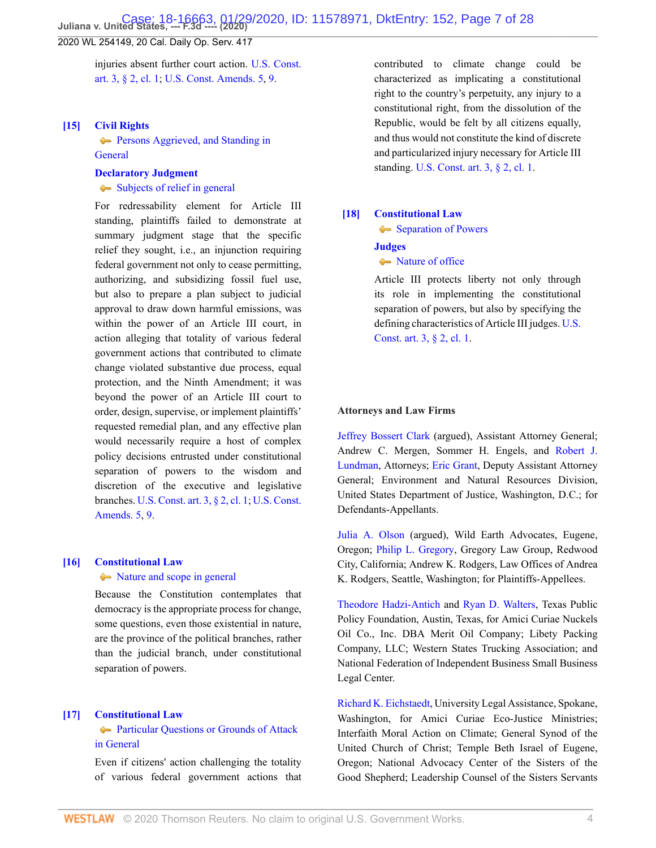**Juliana v. United States, --- F.3d ---- (2020)** Case: 18-16663, 01/29/2020, ID: 11578971, DktEntry: 152, Page 7 of 28

#### 2020 WL 254149, 20 Cal. Daily Op. Serv. 417

injuries absent further court action. [U.S. Const.](http://www.westlaw.com/Link/Document/FullText?findType=L&pubNum=1000583&cite=USCOARTIIIS2CL1&originatingDoc=I92da3060396e11eabed3a1bc09b332eb&refType=LQ&originationContext=document&vr=3.0&rs=cblt1.0&transitionType=DocumentItem&contextData=(sc.UserEnteredCitation)) [art. 3, § 2, cl. 1;](http://www.westlaw.com/Link/Document/FullText?findType=L&pubNum=1000583&cite=USCOARTIIIS2CL1&originatingDoc=I92da3060396e11eabed3a1bc09b332eb&refType=LQ&originationContext=document&vr=3.0&rs=cblt1.0&transitionType=DocumentItem&contextData=(sc.UserEnteredCitation)) [U.S. Const. Amends. 5,](http://www.westlaw.com/Link/Document/FullText?findType=L&pubNum=1000583&cite=USCOAMENDV&originatingDoc=I92da3060396e11eabed3a1bc09b332eb&refType=LQ&originationContext=document&vr=3.0&rs=cblt1.0&transitionType=DocumentItem&contextData=(sc.UserEnteredCitation)) [9.](http://www.westlaw.com/Link/Document/FullText?findType=L&pubNum=1000583&cite=USCOAMENDIX&originatingDoc=I92da3060396e11eabed3a1bc09b332eb&refType=LQ&originationContext=document&vr=3.0&rs=cblt1.0&transitionType=DocumentItem&contextData=(sc.UserEnteredCitation))

#### <span id="page-6-0"></span>**[\[15\]](#page-11-3) [Civil Rights](http://www.westlaw.com/Browse/Home/KeyNumber/78/View.html?docGuid=I92da3060396e11eabed3a1bc09b332eb&originationContext=document&vr=3.0&rs=cblt1.0&transitionType=DocumentItem&contextData=(sc.UserEnteredCitation))**

**[Persons Aggrieved, and Standing in](http://www.westlaw.com/Browse/Home/KeyNumber/78k1331/View.html?docGuid=I92da3060396e11eabed3a1bc09b332eb&originationContext=document&vr=3.0&rs=cblt1.0&transitionType=DocumentItem&contextData=(sc.UserEnteredCitation)) [General](http://www.westlaw.com/Browse/Home/KeyNumber/78k1331/View.html?docGuid=I92da3060396e11eabed3a1bc09b332eb&originationContext=document&vr=3.0&rs=cblt1.0&transitionType=DocumentItem&contextData=(sc.UserEnteredCitation))** 

#### **[Declaratory Judgment](http://www.westlaw.com/Browse/Home/KeyNumber/118A/View.html?docGuid=I92da3060396e11eabed3a1bc09b332eb&originationContext=document&vr=3.0&rs=cblt1.0&transitionType=DocumentItem&contextData=(sc.UserEnteredCitation))**

[Subjects of relief in general](http://www.westlaw.com/Browse/Home/KeyNumber/118Ak300/View.html?docGuid=I92da3060396e11eabed3a1bc09b332eb&originationContext=document&vr=3.0&rs=cblt1.0&transitionType=DocumentItem&contextData=(sc.UserEnteredCitation))

For redressability element for Article III standing, plaintiffs failed to demonstrate at summary judgment stage that the specific relief they sought, i.e., an injunction requiring federal government not only to cease permitting, authorizing, and subsidizing fossil fuel use, but also to prepare a plan subject to judicial approval to draw down harmful emissions, was within the power of an Article III court, in action alleging that totality of various federal government actions that contributed to climate change violated substantive due process, equal protection, and the Ninth Amendment; it was beyond the power of an Article III court to order, design, supervise, or implement plaintiffs' requested remedial plan, and any effective plan would necessarily require a host of complex policy decisions entrusted under constitutional separation of powers to the wisdom and discretion of the executive and legislative branches. [U.S. Const. art. 3, § 2, cl. 1;](http://www.westlaw.com/Link/Document/FullText?findType=L&pubNum=1000583&cite=USCOARTIIIS2CL1&originatingDoc=I92da3060396e11eabed3a1bc09b332eb&refType=LQ&originationContext=document&vr=3.0&rs=cblt1.0&transitionType=DocumentItem&contextData=(sc.UserEnteredCitation)) [U.S. Const.](http://www.westlaw.com/Link/Document/FullText?findType=L&pubNum=1000583&cite=USCOAMENDV&originatingDoc=I92da3060396e11eabed3a1bc09b332eb&refType=LQ&originationContext=document&vr=3.0&rs=cblt1.0&transitionType=DocumentItem&contextData=(sc.UserEnteredCitation)) [Amends. 5,](http://www.westlaw.com/Link/Document/FullText?findType=L&pubNum=1000583&cite=USCOAMENDV&originatingDoc=I92da3060396e11eabed3a1bc09b332eb&refType=LQ&originationContext=document&vr=3.0&rs=cblt1.0&transitionType=DocumentItem&contextData=(sc.UserEnteredCitation)) [9.](http://www.westlaw.com/Link/Document/FullText?findType=L&pubNum=1000583&cite=USCOAMENDIX&originatingDoc=I92da3060396e11eabed3a1bc09b332eb&refType=LQ&originationContext=document&vr=3.0&rs=cblt1.0&transitionType=DocumentItem&contextData=(sc.UserEnteredCitation))

#### <span id="page-6-1"></span>**[\[16\]](#page-13-0) [Constitutional Law](http://www.westlaw.com/Browse/Home/KeyNumber/92/View.html?docGuid=I92da3060396e11eabed3a1bc09b332eb&originationContext=document&vr=3.0&rs=cblt1.0&transitionType=DocumentItem&contextData=(sc.UserEnteredCitation))**

#### $\blacktriangleright$  [Nature and scope in general](http://www.westlaw.com/Browse/Home/KeyNumber/92k2450/View.html?docGuid=I92da3060396e11eabed3a1bc09b332eb&originationContext=document&vr=3.0&rs=cblt1.0&transitionType=DocumentItem&contextData=(sc.UserEnteredCitation))

Because the Constitution contemplates that democracy is the appropriate process for change, some questions, even those existential in nature, are the province of the political branches, rather than the judicial branch, under constitutional separation of powers.

#### <span id="page-6-2"></span>**[\[17\]](#page-13-1) [Constitutional Law](http://www.westlaw.com/Browse/Home/KeyNumber/92/View.html?docGuid=I92da3060396e11eabed3a1bc09b332eb&originationContext=document&vr=3.0&rs=cblt1.0&transitionType=DocumentItem&contextData=(sc.UserEnteredCitation))**

# **[Particular Questions or Grounds of Attack](http://www.westlaw.com/Browse/Home/KeyNumber/92VI(A)3/View.html?docGuid=I92da3060396e11eabed3a1bc09b332eb&originationContext=document&vr=3.0&rs=cblt1.0&transitionType=DocumentItem&contextData=(sc.UserEnteredCitation))** [in General](http://www.westlaw.com/Browse/Home/KeyNumber/92VI(A)3/View.html?docGuid=I92da3060396e11eabed3a1bc09b332eb&originationContext=document&vr=3.0&rs=cblt1.0&transitionType=DocumentItem&contextData=(sc.UserEnteredCitation))

Even if citizens' action challenging the totality of various federal government actions that contributed to climate change could be characterized as implicating a constitutional right to the country's perpetuity, any injury to a constitutional right, from the dissolution of the Republic, would be felt by all citizens equally, and thus would not constitute the kind of discrete and particularized injury necessary for Article III standing. [U.S. Const. art. 3, § 2, cl. 1](http://www.westlaw.com/Link/Document/FullText?findType=L&pubNum=1000583&cite=USCOARTIIIS2CL1&originatingDoc=I92da3060396e11eabed3a1bc09b332eb&refType=LQ&originationContext=document&vr=3.0&rs=cblt1.0&transitionType=DocumentItem&contextData=(sc.UserEnteredCitation)).

#### <span id="page-6-3"></span>**[\[18\]](#page-14-0) [Constitutional Law](http://www.westlaw.com/Browse/Home/KeyNumber/92/View.html?docGuid=I92da3060396e11eabed3a1bc09b332eb&originationContext=document&vr=3.0&rs=cblt1.0&transitionType=DocumentItem&contextData=(sc.UserEnteredCitation))**

[Separation of Powers](http://www.westlaw.com/Browse/Home/KeyNumber/92XX/View.html?docGuid=I92da3060396e11eabed3a1bc09b332eb&originationContext=document&vr=3.0&rs=cblt1.0&transitionType=DocumentItem&contextData=(sc.UserEnteredCitation))

# **[Judges](http://www.westlaw.com/Browse/Home/KeyNumber/227/View.html?docGuid=I92da3060396e11eabed3a1bc09b332eb&originationContext=document&vr=3.0&rs=cblt1.0&transitionType=DocumentItem&contextData=(sc.UserEnteredCitation))**

# • [Nature of office](http://www.westlaw.com/Browse/Home/KeyNumber/227k1/View.html?docGuid=I92da3060396e11eabed3a1bc09b332eb&originationContext=document&vr=3.0&rs=cblt1.0&transitionType=DocumentItem&contextData=(sc.UserEnteredCitation))

Article III protects liberty not only through its role in implementing the constitutional separation of powers, but also by specifying the defining characteristics of Article III judges. [U.S.](http://www.westlaw.com/Link/Document/FullText?findType=L&pubNum=1000583&cite=USCOARTIIIS2CL1&originatingDoc=I92da3060396e11eabed3a1bc09b332eb&refType=LQ&originationContext=document&vr=3.0&rs=cblt1.0&transitionType=DocumentItem&contextData=(sc.UserEnteredCitation)) [Const. art. 3, § 2, cl. 1](http://www.westlaw.com/Link/Document/FullText?findType=L&pubNum=1000583&cite=USCOARTIIIS2CL1&originatingDoc=I92da3060396e11eabed3a1bc09b332eb&refType=LQ&originationContext=document&vr=3.0&rs=cblt1.0&transitionType=DocumentItem&contextData=(sc.UserEnteredCitation)).

#### **Attorneys and Law Firms**

[Jeffrey Bossert Clark](http://www.westlaw.com/Link/Document/FullText?findType=h&pubNum=176284&cite=0358543901&originatingDoc=I92da3060396e11eabed3a1bc09b332eb&refType=RQ&originationContext=document&vr=3.0&rs=cblt1.0&transitionType=DocumentItem&contextData=(sc.UserEnteredCitation)) (argued), Assistant Attorney General; Andrew C. Mergen, Sommer H. Engels, and [Robert J.](http://www.westlaw.com/Link/Document/FullText?findType=h&pubNum=176284&cite=0324412101&originatingDoc=I92da3060396e11eabed3a1bc09b332eb&refType=RQ&originationContext=document&vr=3.0&rs=cblt1.0&transitionType=DocumentItem&contextData=(sc.UserEnteredCitation)) [Lundman](http://www.westlaw.com/Link/Document/FullText?findType=h&pubNum=176284&cite=0324412101&originatingDoc=I92da3060396e11eabed3a1bc09b332eb&refType=RQ&originationContext=document&vr=3.0&rs=cblt1.0&transitionType=DocumentItem&contextData=(sc.UserEnteredCitation)), Attorneys; [Eric Grant,](http://www.westlaw.com/Link/Document/FullText?findType=h&pubNum=176284&cite=0493502999&originatingDoc=I92da3060396e11eabed3a1bc09b332eb&refType=RQ&originationContext=document&vr=3.0&rs=cblt1.0&transitionType=DocumentItem&contextData=(sc.UserEnteredCitation)) Deputy Assistant Attorney General; Environment and Natural Resources Division, United States Department of Justice, Washington, D.C.; for Defendants-Appellants.

[Julia A. Olson](http://www.westlaw.com/Link/Document/FullText?findType=h&pubNum=176284&cite=0342692501&originatingDoc=I92da3060396e11eabed3a1bc09b332eb&refType=RQ&originationContext=document&vr=3.0&rs=cblt1.0&transitionType=DocumentItem&contextData=(sc.UserEnteredCitation)) (argued), Wild Earth Advocates, Eugene, Oregon; [Philip L. Gregory](http://www.westlaw.com/Link/Document/FullText?findType=h&pubNum=176284&cite=0162189001&originatingDoc=I92da3060396e11eabed3a1bc09b332eb&refType=RQ&originationContext=document&vr=3.0&rs=cblt1.0&transitionType=DocumentItem&contextData=(sc.UserEnteredCitation)), Gregory Law Group, Redwood City, California; Andrew K. Rodgers, Law Offices of Andrea K. Rodgers, Seattle, Washington; for Plaintiffs-Appellees.

[Theodore Hadzi-Antich](http://www.westlaw.com/Link/Document/FullText?findType=h&pubNum=176284&cite=0281194101&originatingDoc=I92da3060396e11eabed3a1bc09b332eb&refType=RQ&originationContext=document&vr=3.0&rs=cblt1.0&transitionType=DocumentItem&contextData=(sc.UserEnteredCitation)) and [Ryan D. Walters,](http://www.westlaw.com/Link/Document/FullText?findType=h&pubNum=176284&cite=0333195801&originatingDoc=I92da3060396e11eabed3a1bc09b332eb&refType=RQ&originationContext=document&vr=3.0&rs=cblt1.0&transitionType=DocumentItem&contextData=(sc.UserEnteredCitation)) Texas Public Policy Foundation, Austin, Texas, for Amici Curiae Nuckels Oil Co., Inc. DBA Merit Oil Company; Libety Packing Company, LLC; Western States Trucking Association; and National Federation of Independent Business Small Business Legal Center.

[Richard K. Eichstaedt](http://www.westlaw.com/Link/Document/FullText?findType=h&pubNum=176284&cite=0376410101&originatingDoc=I92da3060396e11eabed3a1bc09b332eb&refType=RQ&originationContext=document&vr=3.0&rs=cblt1.0&transitionType=DocumentItem&contextData=(sc.UserEnteredCitation)), University Legal Assistance, Spokane, Washington, for Amici Curiae Eco-Justice Ministries; Interfaith Moral Action on Climate; General Synod of the United Church of Christ; Temple Beth Israel of Eugene, Oregon; National Advocacy Center of the Sisters of the Good Shepherd; Leadership Counsel of the Sisters Servants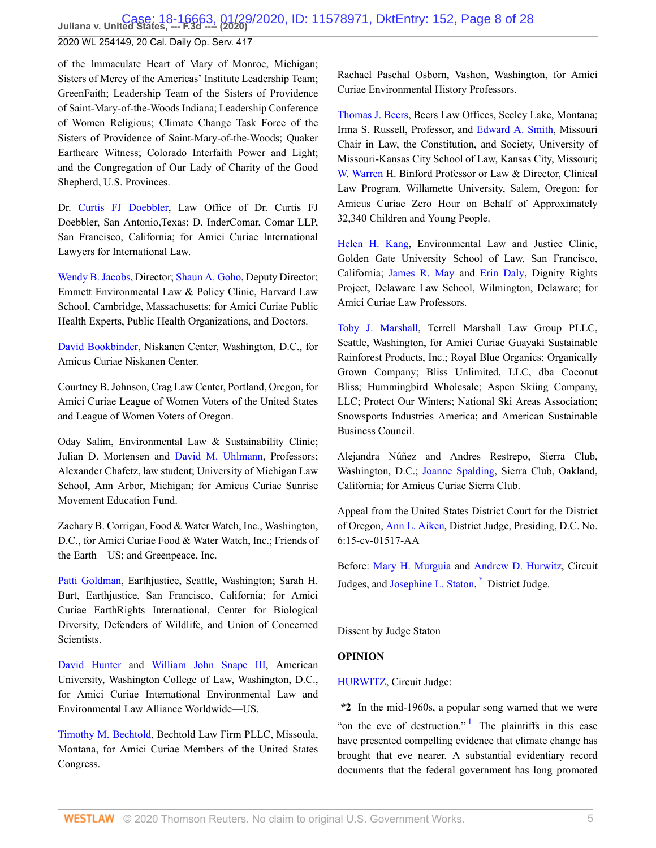**Juliana v. United States, --- F.3d ---- (2020)** Case: 18-16663, 01/29/2020, ID: 11578971, DktEntry: 152, Page 8 of 28

2020 WL 254149, 20 Cal. Daily Op. Serv. 417

of the Immaculate Heart of Mary of Monroe, Michigan; Sisters of Mercy of the Americas' Institute Leadership Team; GreenFaith; Leadership Team of the Sisters of Providence of Saint-Mary-of-the-Woods Indiana; Leadership Conference of Women Religious; Climate Change Task Force of the Sisters of Providence of Saint-Mary-of-the-Woods; Quaker Earthcare Witness; Colorado Interfaith Power and Light; and the Congregation of Our Lady of Charity of the Good Shepherd, U.S. Provinces.

Dr. [Curtis FJ Doebbler](http://www.westlaw.com/Link/Document/FullText?findType=h&pubNum=176284&cite=0337611701&originatingDoc=I92da3060396e11eabed3a1bc09b332eb&refType=RQ&originationContext=document&vr=3.0&rs=cblt1.0&transitionType=DocumentItem&contextData=(sc.UserEnteredCitation)), Law Office of Dr. Curtis FJ Doebbler, San Antonio,Texas; D. InderComar, Comar LLP, San Francisco, California; for Amici Curiae International Lawyers for International Law.

[Wendy B. Jacobs,](http://www.westlaw.com/Link/Document/FullText?findType=h&pubNum=176284&cite=0147576401&originatingDoc=I92da3060396e11eabed3a1bc09b332eb&refType=RQ&originationContext=document&vr=3.0&rs=cblt1.0&transitionType=DocumentItem&contextData=(sc.UserEnteredCitation)) Director; [Shaun A. Goho](http://www.westlaw.com/Link/Document/FullText?findType=h&pubNum=176284&cite=0387902201&originatingDoc=I92da3060396e11eabed3a1bc09b332eb&refType=RQ&originationContext=document&vr=3.0&rs=cblt1.0&transitionType=DocumentItem&contextData=(sc.UserEnteredCitation)), Deputy Director; Emmett Environmental Law & Policy Clinic, Harvard Law School, Cambridge, Massachusetts; for Amici Curiae Public Health Experts, Public Health Organizations, and Doctors.

[David Bookbinder,](http://www.westlaw.com/Link/Document/FullText?findType=h&pubNum=176284&cite=0365597201&originatingDoc=I92da3060396e11eabed3a1bc09b332eb&refType=RQ&originationContext=document&vr=3.0&rs=cblt1.0&transitionType=DocumentItem&contextData=(sc.UserEnteredCitation)) Niskanen Center, Washington, D.C., for Amicus Curiae Niskanen Center.

Courtney B. Johnson, Crag Law Center, Portland, Oregon, for Amici Curiae League of Women Voters of the United States and League of Women Voters of Oregon.

Oday Salim, Environmental Law & Sustainability Clinic; Julian D. Mortensen and [David M. Uhlmann](http://www.westlaw.com/Link/Document/FullText?findType=h&pubNum=176284&cite=0188098001&originatingDoc=I92da3060396e11eabed3a1bc09b332eb&refType=RQ&originationContext=document&vr=3.0&rs=cblt1.0&transitionType=DocumentItem&contextData=(sc.UserEnteredCitation)), Professors; Alexander Chafetz, law student; University of Michigan Law School, Ann Arbor, Michigan; for Amicus Curiae Sunrise Movement Education Fund.

Zachary B. Corrigan, Food & Water Watch, Inc., Washington, D.C., for Amici Curiae Food & Water Watch, Inc.; Friends of the Earth – US; and Greenpeace, Inc.

[Patti Goldman](http://www.westlaw.com/Link/Document/FullText?findType=h&pubNum=176284&cite=0145452901&originatingDoc=I92da3060396e11eabed3a1bc09b332eb&refType=RQ&originationContext=document&vr=3.0&rs=cblt1.0&transitionType=DocumentItem&contextData=(sc.UserEnteredCitation)), Earthjustice, Seattle, Washington; Sarah H. Burt, Earthjustice, San Francisco, California; for Amici Curiae EarthRights International, Center for Biological Diversity, Defenders of Wildlife, and Union of Concerned **Scientists** 

[David Hunter](http://www.westlaw.com/Link/Document/FullText?findType=h&pubNum=176284&cite=0128184201&originatingDoc=I92da3060396e11eabed3a1bc09b332eb&refType=RQ&originationContext=document&vr=3.0&rs=cblt1.0&transitionType=DocumentItem&contextData=(sc.UserEnteredCitation)) and [William John Snape III](http://www.westlaw.com/Link/Document/FullText?findType=h&pubNum=176284&cite=0493964799&originatingDoc=I92da3060396e11eabed3a1bc09b332eb&refType=RQ&originationContext=document&vr=3.0&rs=cblt1.0&transitionType=DocumentItem&contextData=(sc.UserEnteredCitation)), American University, Washington College of Law, Washington, D.C., for Amici Curiae International Environmental Law and Environmental Law Alliance Worldwide—US.

[Timothy M. Bechtold](http://www.westlaw.com/Link/Document/FullText?findType=h&pubNum=176284&cite=0343241301&originatingDoc=I92da3060396e11eabed3a1bc09b332eb&refType=RQ&originationContext=document&vr=3.0&rs=cblt1.0&transitionType=DocumentItem&contextData=(sc.UserEnteredCitation)), Bechtold Law Firm PLLC, Missoula, Montana, for Amici Curiae Members of the United States Congress.

Rachael Paschal Osborn, Vashon, Washington, for Amici Curiae Environmental History Professors.

[Thomas J. Beers](http://www.westlaw.com/Link/Document/FullText?findType=h&pubNum=176284&cite=0188236701&originatingDoc=I92da3060396e11eabed3a1bc09b332eb&refType=RQ&originationContext=document&vr=3.0&rs=cblt1.0&transitionType=DocumentItem&contextData=(sc.UserEnteredCitation)), Beers Law Offices, Seeley Lake, Montana; Irma S. Russell, Professor, and [Edward A. Smith,](http://www.westlaw.com/Link/Document/FullText?findType=h&pubNum=176284&cite=0302057301&originatingDoc=I92da3060396e11eabed3a1bc09b332eb&refType=RQ&originationContext=document&vr=3.0&rs=cblt1.0&transitionType=DocumentItem&contextData=(sc.UserEnteredCitation)) Missouri Chair in Law, the Constitution, and Society, University of Missouri-Kansas City School of Law, Kansas City, Missouri; [W. Warren](http://www.westlaw.com/Link/Document/FullText?findType=h&pubNum=176284&cite=0328818601&originatingDoc=I92da3060396e11eabed3a1bc09b332eb&refType=RQ&originationContext=document&vr=3.0&rs=cblt1.0&transitionType=DocumentItem&contextData=(sc.UserEnteredCitation)) H. Binford Professor or Law & Director, Clinical Law Program, Willamette University, Salem, Oregon; for Amicus Curiae Zero Hour on Behalf of Approximately 32,340 Children and Young People.

[Helen H. Kang,](http://www.westlaw.com/Link/Document/FullText?findType=h&pubNum=176284&cite=0129100401&originatingDoc=I92da3060396e11eabed3a1bc09b332eb&refType=RQ&originationContext=document&vr=3.0&rs=cblt1.0&transitionType=DocumentItem&contextData=(sc.UserEnteredCitation)) Environmental Law and Justice Clinic, Golden Gate University School of Law, San Francisco, California; [James R. May](http://www.westlaw.com/Link/Document/FullText?findType=h&pubNum=176284&cite=0290825701&originatingDoc=I92da3060396e11eabed3a1bc09b332eb&refType=RQ&originationContext=document&vr=3.0&rs=cblt1.0&transitionType=DocumentItem&contextData=(sc.UserEnteredCitation)) and [Erin Daly](http://www.westlaw.com/Link/Document/FullText?findType=h&pubNum=176284&cite=0511320301&originatingDoc=I92da3060396e11eabed3a1bc09b332eb&refType=RQ&originationContext=document&vr=3.0&rs=cblt1.0&transitionType=DocumentItem&contextData=(sc.UserEnteredCitation)), Dignity Rights Project, Delaware Law School, Wilmington, Delaware; for Amici Curiae Law Professors.

[Toby J. Marshall](http://www.westlaw.com/Link/Document/FullText?findType=h&pubNum=176284&cite=0341225601&originatingDoc=I92da3060396e11eabed3a1bc09b332eb&refType=RQ&originationContext=document&vr=3.0&rs=cblt1.0&transitionType=DocumentItem&contextData=(sc.UserEnteredCitation)), Terrell Marshall Law Group PLLC, Seattle, Washington, for Amici Curiae Guayaki Sustainable Rainforest Products, Inc.; Royal Blue Organics; Organically Grown Company; Bliss Unlimited, LLC, dba Coconut Bliss; Hummingbird Wholesale; Aspen Skiing Company, LLC; Protect Our Winters; National Ski Areas Association; Snowsports Industries America; and American Sustainable Business Council.

Alejandra Núñez and Andres Restrepo, Sierra Club, Washington, D.C.; [Joanne Spalding,](http://www.westlaw.com/Link/Document/FullText?findType=h&pubNum=176284&cite=0329275601&originatingDoc=I92da3060396e11eabed3a1bc09b332eb&refType=RQ&originationContext=document&vr=3.0&rs=cblt1.0&transitionType=DocumentItem&contextData=(sc.UserEnteredCitation)) Sierra Club, Oakland, California; for Amicus Curiae Sierra Club.

Appeal from the United States District Court for the District of Oregon, [Ann L. Aiken,](http://www.westlaw.com/Link/Document/FullText?findType=h&pubNum=176284&cite=0214636501&originatingDoc=I92da3060396e11eabed3a1bc09b332eb&refType=RQ&originationContext=document&vr=3.0&rs=cblt1.0&transitionType=DocumentItem&contextData=(sc.UserEnteredCitation)) District Judge, Presiding, D.C. No. 6:15-cv-01517-AA

<span id="page-7-0"></span>Before: [Mary H. Murguia](http://www.westlaw.com/Link/Document/FullText?findType=h&pubNum=176284&cite=0116930401&originatingDoc=I92da3060396e11eabed3a1bc09b332eb&refType=RQ&originationContext=document&vr=3.0&rs=cblt1.0&transitionType=DocumentItem&contextData=(sc.UserEnteredCitation)) and [Andrew D. Hurwitz](http://www.westlaw.com/Link/Document/FullText?findType=h&pubNum=176284&cite=0169087601&originatingDoc=I92da3060396e11eabed3a1bc09b332eb&refType=RQ&originationContext=document&vr=3.0&rs=cblt1.0&transitionType=DocumentItem&contextData=(sc.UserEnteredCitation)), Circuit Judges, and [Josephine L. Staton,](http://www.westlaw.com/Link/Document/FullText?findType=h&pubNum=176284&cite=0103095101&originatingDoc=I92da3060396e11eabed3a1bc09b332eb&refType=RQ&originationContext=document&vr=3.0&rs=cblt1.0&transitionType=DocumentItem&contextData=(sc.UserEnteredCitation)) [\\*](#page-25-0) District Judge.

Dissent by Judge Staton

#### **OPINION**

#### [HURWITZ,](http://www.westlaw.com/Link/Document/FullText?findType=h&pubNum=176284&cite=0169087601&originatingDoc=I92da3060396e11eabed3a1bc09b332eb&refType=RQ&originationContext=document&vr=3.0&rs=cblt1.0&transitionType=DocumentItem&contextData=(sc.UserEnteredCitation)) Circuit Judge:

<span id="page-7-1"></span>**\*2** In the mid-1960s, a popular song warned that we were "on the eve of destruction."  $\frac{1}{1}$  $\frac{1}{1}$  $\frac{1}{1}$  The plaintiffs in this case have presented compelling evidence that climate change has brought that eve nearer. A substantial evidentiary record documents that the federal government has long promoted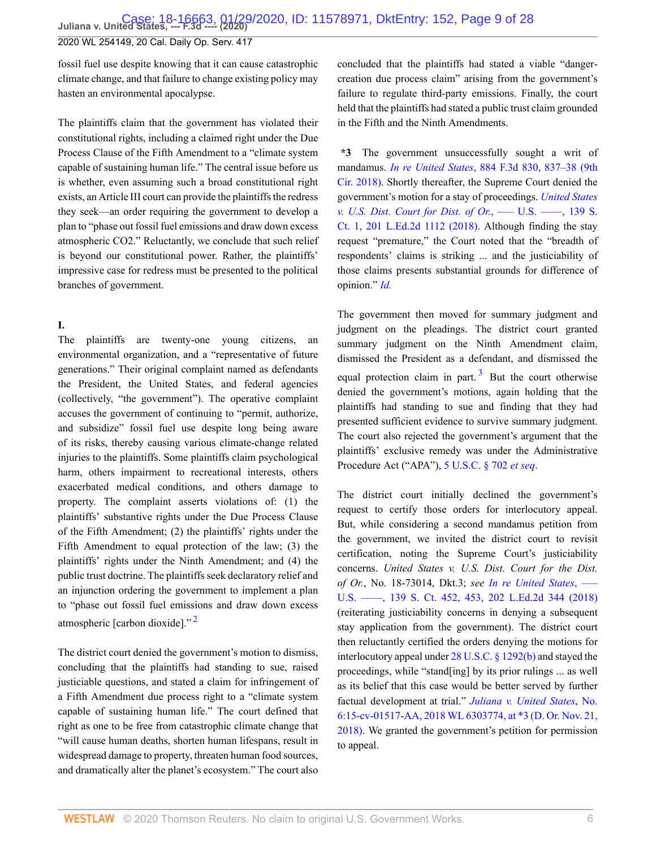fossil fuel use despite knowing that it can cause catastrophic climate change, and that failure to change existing policy may hasten an environmental apocalypse.

The plaintiffs claim that the government has violated their constitutional rights, including a claimed right under the Due Process Clause of the Fifth Amendment to a "climate system capable of sustaining human life." The central issue before us is whether, even assuming such a broad constitutional right exists, an Article III court can provide the plaintiffs the redress they seek—an order requiring the government to develop a plan to "phase out fossil fuel emissions and draw down excess atmospheric CO2." Reluctantly, we conclude that such relief is beyond our constitutional power. Rather, the plaintiffs' impressive case for redress must be presented to the political branches of government.

#### **I.**

The plaintiffs are twenty-one young citizens, an environmental organization, and a "representative of future generations." Their original complaint named as defendants the President, the United States, and federal agencies (collectively, "the government"). The operative complaint accuses the government of continuing to "permit, authorize, and subsidize" fossil fuel use despite long being aware of its risks, thereby causing various climate-change related injuries to the plaintiffs. Some plaintiffs claim psychological harm, others impairment to recreational interests, others exacerbated medical conditions, and others damage to property. The complaint asserts violations of: (1) the plaintiffs' substantive rights under the Due Process Clause of the Fifth Amendment; (2) the plaintiffs' rights under the Fifth Amendment to equal protection of the law; (3) the plaintiffs' rights under the Ninth Amendment; and (4) the public trust doctrine. The plaintiffs seek declaratory relief and an injunction ordering the government to implement a plan to "phase out fossil fuel emissions and draw down excess atmospheric [carbon dioxide]." [2](#page-25-2)

<span id="page-8-0"></span>The district court denied the government's motion to dismiss, concluding that the plaintiffs had standing to sue, raised justiciable questions, and stated a claim for infringement of a Fifth Amendment due process right to a "climate system capable of sustaining human life." The court defined that right as one to be free from catastrophic climate change that "will cause human deaths, shorten human lifespans, result in widespread damage to property, threaten human food sources, and dramatically alter the planet's ecosystem." The court also

concluded that the plaintiffs had stated a viable "dangercreation due process claim" arising from the government's failure to regulate third-party emissions. Finally, the court held that the plaintiffs had stated a public trust claim grounded in the Fifth and the Ninth Amendments.

**\*3** The government unsuccessfully sought a writ of mandamus. *In re United States*[, 884 F.3d 830, 837–38 \(9th](http://www.westlaw.com/Link/Document/FullText?findType=Y&serNum=2043953640&pubNum=0000506&originatingDoc=I92da3060396e11eabed3a1bc09b332eb&refType=RP&fi=co_pp_sp_506_837&originationContext=document&vr=3.0&rs=cblt1.0&transitionType=DocumentItem&contextData=(sc.UserEnteredCitation)#co_pp_sp_506_837) [Cir. 2018\).](http://www.westlaw.com/Link/Document/FullText?findType=Y&serNum=2043953640&pubNum=0000506&originatingDoc=I92da3060396e11eabed3a1bc09b332eb&refType=RP&fi=co_pp_sp_506_837&originationContext=document&vr=3.0&rs=cblt1.0&transitionType=DocumentItem&contextData=(sc.UserEnteredCitation)#co_pp_sp_506_837) Shortly thereafter, the Supreme Court denied the government's motion for a stay of proceedings. *[United States](http://www.westlaw.com/Link/Document/FullText?findType=Y&serNum=2045151511&pubNum=0000708&originatingDoc=I92da3060396e11eabed3a1bc09b332eb&refType=RP&originationContext=document&vr=3.0&rs=cblt1.0&transitionType=DocumentItem&contextData=(sc.UserEnteredCitation)) [v. U.S. Dist. Court for Dist. of Or.](http://www.westlaw.com/Link/Document/FullText?findType=Y&serNum=2045151511&pubNum=0000708&originatingDoc=I92da3060396e11eabed3a1bc09b332eb&refType=RP&originationContext=document&vr=3.0&rs=cblt1.0&transitionType=DocumentItem&contextData=(sc.UserEnteredCitation))*, — U.S. — , 139 S. [Ct. 1, 201 L.Ed.2d 1112 \(2018\).](http://www.westlaw.com/Link/Document/FullText?findType=Y&serNum=2045151511&pubNum=0000708&originatingDoc=I92da3060396e11eabed3a1bc09b332eb&refType=RP&originationContext=document&vr=3.0&rs=cblt1.0&transitionType=DocumentItem&contextData=(sc.UserEnteredCitation)) Although finding the stay request "premature," the Court noted that the "breadth of respondents' claims is striking ... and the justiciability of those claims presents substantial grounds for difference of opinion." *[Id.](http://www.westlaw.com/Link/Document/FullText?findType=Y&serNum=2045151511&pubNum=0000708&originatingDoc=I92da3060396e11eabed3a1bc09b332eb&refType=RP&originationContext=document&vr=3.0&rs=cblt1.0&transitionType=DocumentItem&contextData=(sc.UserEnteredCitation))*

<span id="page-8-1"></span>The government then moved for summary judgment and judgment on the pleadings. The district court granted summary judgment on the Ninth Amendment claim, dismissed the President as a defendant, and dismissed the equal protection claim in part.<sup>[3](#page-25-3)</sup> But the court otherwise denied the government's motions, again holding that the plaintiffs had standing to sue and finding that they had presented sufficient evidence to survive summary judgment. The court also rejected the government's argument that the plaintiffs' exclusive remedy was under the Administrative Procedure Act ("APA"), [5 U.S.C. § 702](http://www.westlaw.com/Link/Document/FullText?findType=L&pubNum=1000546&cite=5USCAS702&originatingDoc=I92da3060396e11eabed3a1bc09b332eb&refType=LQ&originationContext=document&vr=3.0&rs=cblt1.0&transitionType=DocumentItem&contextData=(sc.UserEnteredCitation)) *et seq*.

The district court initially declined the government's request to certify those orders for interlocutory appeal. But, while considering a second mandamus petition from the government, we invited the district court to revisit certification, noting the Supreme Court's justiciability concerns. *United States v. U.S. Dist. Court for the Dist. of Or.*, No. 18-73014, Dkt.3; *see [In re United States](http://www.westlaw.com/Link/Document/FullText?findType=Y&serNum=2045912851&pubNum=0000708&originatingDoc=I92da3060396e11eabed3a1bc09b332eb&refType=RP&fi=co_pp_sp_708_453&originationContext=document&vr=3.0&rs=cblt1.0&transitionType=DocumentItem&contextData=(sc.UserEnteredCitation)#co_pp_sp_708_453)*, ––– [U.S. ––––, 139 S. Ct. 452, 453, 202 L.Ed.2d 344 \(2018\)](http://www.westlaw.com/Link/Document/FullText?findType=Y&serNum=2045912851&pubNum=0000708&originatingDoc=I92da3060396e11eabed3a1bc09b332eb&refType=RP&fi=co_pp_sp_708_453&originationContext=document&vr=3.0&rs=cblt1.0&transitionType=DocumentItem&contextData=(sc.UserEnteredCitation)#co_pp_sp_708_453) (reiterating justiciability concerns in denying a subsequent stay application from the government). The district court then reluctantly certified the orders denying the motions for interlocutory appeal under [28 U.S.C. § 1292\(b\)](http://www.westlaw.com/Link/Document/FullText?findType=L&pubNum=1000546&cite=28USCAS1292&originatingDoc=I92da3060396e11eabed3a1bc09b332eb&refType=RB&originationContext=document&vr=3.0&rs=cblt1.0&transitionType=DocumentItem&contextData=(sc.UserEnteredCitation)#co_pp_a83b000018c76) and stayed the proceedings, while "stand[ing] by its prior rulings ... as well as its belief that this case would be better served by further factual development at trial." *[Juliana v. United States](http://www.westlaw.com/Link/Document/FullText?findType=Y&serNum=2046153916&pubNum=0000999&originatingDoc=I92da3060396e11eabed3a1bc09b332eb&refType=RP&originationContext=document&vr=3.0&rs=cblt1.0&transitionType=DocumentItem&contextData=(sc.UserEnteredCitation))*, No. [6:15-cv-01517-AA, 2018 WL 6303774, at \\*3 \(D. Or. Nov. 21,](http://www.westlaw.com/Link/Document/FullText?findType=Y&serNum=2046153916&pubNum=0000999&originatingDoc=I92da3060396e11eabed3a1bc09b332eb&refType=RP&originationContext=document&vr=3.0&rs=cblt1.0&transitionType=DocumentItem&contextData=(sc.UserEnteredCitation)) [2018\)](http://www.westlaw.com/Link/Document/FullText?findType=Y&serNum=2046153916&pubNum=0000999&originatingDoc=I92da3060396e11eabed3a1bc09b332eb&refType=RP&originationContext=document&vr=3.0&rs=cblt1.0&transitionType=DocumentItem&contextData=(sc.UserEnteredCitation)). We granted the government's petition for permission to appeal.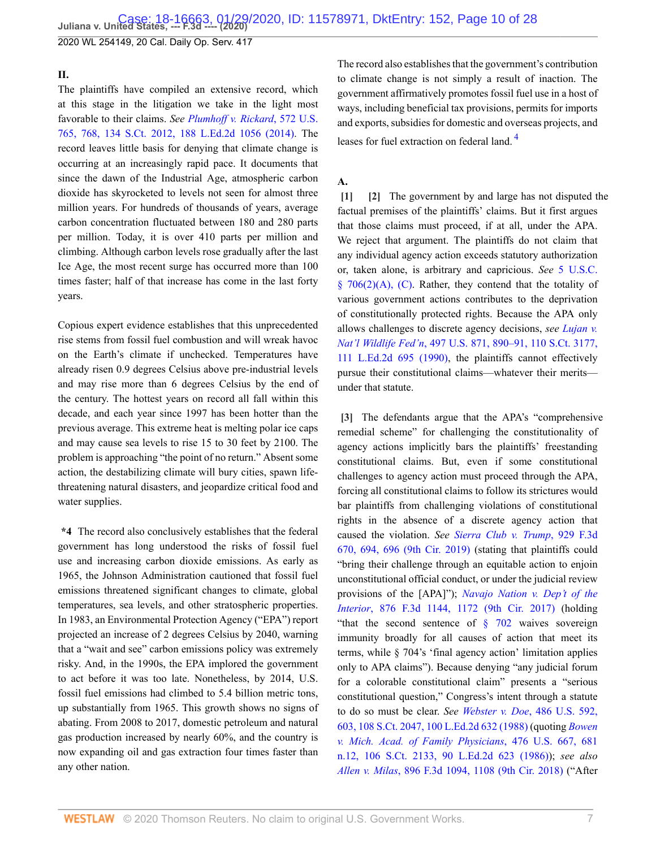#### **II.**

The plaintiffs have compiled an extensive record, which at this stage in the litigation we take in the light most favorable to their claims. *See [Plumhoff v. Rickard](http://www.westlaw.com/Link/Document/FullText?findType=Y&serNum=2033456177&pubNum=0000780&originatingDoc=I92da3060396e11eabed3a1bc09b332eb&refType=RP&fi=co_pp_sp_780_768&originationContext=document&vr=3.0&rs=cblt1.0&transitionType=DocumentItem&contextData=(sc.UserEnteredCitation)#co_pp_sp_780_768)*, 572 U.S. [765, 768, 134 S.Ct. 2012, 188 L.Ed.2d 1056 \(2014\).](http://www.westlaw.com/Link/Document/FullText?findType=Y&serNum=2033456177&pubNum=0000780&originatingDoc=I92da3060396e11eabed3a1bc09b332eb&refType=RP&fi=co_pp_sp_780_768&originationContext=document&vr=3.0&rs=cblt1.0&transitionType=DocumentItem&contextData=(sc.UserEnteredCitation)#co_pp_sp_780_768) The record leaves little basis for denying that climate change is occurring at an increasingly rapid pace. It documents that since the dawn of the Industrial Age, atmospheric carbon dioxide has skyrocketed to levels not seen for almost three million years. For hundreds of thousands of years, average carbon concentration fluctuated between 180 and 280 parts per million. Today, it is over 410 parts per million and climbing. Although carbon levels rose gradually after the last Ice Age, the most recent surge has occurred more than 100 times faster; half of that increase has come in the last forty years.

Copious expert evidence establishes that this unprecedented rise stems from fossil fuel combustion and will wreak havoc on the Earth's climate if unchecked. Temperatures have already risen 0.9 degrees Celsius above pre-industrial levels and may rise more than 6 degrees Celsius by the end of the century. The hottest years on record all fall within this decade, and each year since 1997 has been hotter than the previous average. This extreme heat is melting polar ice caps and may cause sea levels to rise 15 to 30 feet by 2100. The problem is approaching "the point of no return." Absent some action, the destabilizing climate will bury cities, spawn lifethreatening natural disasters, and jeopardize critical food and water supplies.

**\*4** The record also conclusively establishes that the federal government has long understood the risks of fossil fuel use and increasing carbon dioxide emissions. As early as 1965, the Johnson Administration cautioned that fossil fuel emissions threatened significant changes to climate, global temperatures, sea levels, and other stratospheric properties. In 1983, an Environmental Protection Agency ("EPA") report projected an increase of 2 degrees Celsius by 2040, warning that a "wait and see" carbon emissions policy was extremely risky. And, in the 1990s, the EPA implored the government to act before it was too late. Nonetheless, by 2014, U.S. fossil fuel emissions had climbed to 5.4 billion metric tons, up substantially from 1965. This growth shows no signs of abating. From 2008 to 2017, domestic petroleum and natural gas production increased by nearly 60%, and the country is now expanding oil and gas extraction four times faster than any other nation.

The record also establishes that the government's contribution to climate change is not simply a result of inaction. The government affirmatively promotes fossil fuel use in a host of ways, including beneficial tax provisions, permits for imports and exports, subsidies for domestic and overseas projects, and leases for fuel extraction on federal land. [4](#page-25-4)

# <span id="page-9-3"></span>**A.**

<span id="page-9-1"></span><span id="page-9-0"></span>**[\[1\]](#page-4-0) [\[2](#page-4-1)]** The government by and large has not disputed the factual premises of the plaintiffs' claims. But it first argues that those claims must proceed, if at all, under the APA. We reject that argument. The plaintiffs do not claim that any individual agency action exceeds statutory authorization or, taken alone, is arbitrary and capricious. *See* [5 U.S.C.](http://www.westlaw.com/Link/Document/FullText?findType=L&pubNum=1000546&cite=5USCAS706&originatingDoc=I92da3060396e11eabed3a1bc09b332eb&refType=RB&originationContext=document&vr=3.0&rs=cblt1.0&transitionType=DocumentItem&contextData=(sc.UserEnteredCitation)#co_pp_64eb0000ab9e4)  $§ 706(2)(A), (C)$ . Rather, they contend that the totality of various government actions contributes to the deprivation of constitutionally protected rights. Because the APA only allows challenges to discrete agency decisions, *see [Lujan v.](http://www.westlaw.com/Link/Document/FullText?findType=Y&serNum=1990097949&pubNum=0000780&originatingDoc=I92da3060396e11eabed3a1bc09b332eb&refType=RP&fi=co_pp_sp_780_890&originationContext=document&vr=3.0&rs=cblt1.0&transitionType=DocumentItem&contextData=(sc.UserEnteredCitation)#co_pp_sp_780_890) Nat'l Wildlife Fed'n*[, 497 U.S. 871, 890–91, 110 S.Ct. 3177,](http://www.westlaw.com/Link/Document/FullText?findType=Y&serNum=1990097949&pubNum=0000780&originatingDoc=I92da3060396e11eabed3a1bc09b332eb&refType=RP&fi=co_pp_sp_780_890&originationContext=document&vr=3.0&rs=cblt1.0&transitionType=DocumentItem&contextData=(sc.UserEnteredCitation)#co_pp_sp_780_890) [111 L.Ed.2d 695 \(1990\)](http://www.westlaw.com/Link/Document/FullText?findType=Y&serNum=1990097949&pubNum=0000780&originatingDoc=I92da3060396e11eabed3a1bc09b332eb&refType=RP&fi=co_pp_sp_780_890&originationContext=document&vr=3.0&rs=cblt1.0&transitionType=DocumentItem&contextData=(sc.UserEnteredCitation)#co_pp_sp_780_890), the plaintiffs cannot effectively pursue their constitutional claims—whatever their merits under that statute.

<span id="page-9-2"></span>**[\[3\]](#page-4-2)** The defendants argue that the APA's "comprehensive remedial scheme" for challenging the constitutionality of agency actions implicitly bars the plaintiffs' freestanding constitutional claims. But, even if some constitutional challenges to agency action must proceed through the APA, forcing all constitutional claims to follow its strictures would bar plaintiffs from challenging violations of constitutional rights in the absence of a discrete agency action that caused the violation. *See [Sierra Club v. Trump](http://www.westlaw.com/Link/Document/FullText?findType=Y&serNum=2048623212&pubNum=0000506&originatingDoc=I92da3060396e11eabed3a1bc09b332eb&refType=RP&fi=co_pp_sp_506_694&originationContext=document&vr=3.0&rs=cblt1.0&transitionType=DocumentItem&contextData=(sc.UserEnteredCitation)#co_pp_sp_506_694)*, 929 F.3d [670, 694, 696 \(9th Cir. 2019\)](http://www.westlaw.com/Link/Document/FullText?findType=Y&serNum=2048623212&pubNum=0000506&originatingDoc=I92da3060396e11eabed3a1bc09b332eb&refType=RP&fi=co_pp_sp_506_694&originationContext=document&vr=3.0&rs=cblt1.0&transitionType=DocumentItem&contextData=(sc.UserEnteredCitation)#co_pp_sp_506_694) (stating that plaintiffs could "bring their challenge through an equitable action to enjoin unconstitutional official conduct, or under the judicial review provisions of the [APA]"); *[Navajo Nation v. Dep't of the](http://www.westlaw.com/Link/Document/FullText?findType=Y&serNum=2043309399&pubNum=0000506&originatingDoc=I92da3060396e11eabed3a1bc09b332eb&refType=RP&fi=co_pp_sp_506_1172&originationContext=document&vr=3.0&rs=cblt1.0&transitionType=DocumentItem&contextData=(sc.UserEnteredCitation)#co_pp_sp_506_1172) Interior*[, 876 F.3d 1144, 1172 \(9th Cir. 2017\)](http://www.westlaw.com/Link/Document/FullText?findType=Y&serNum=2043309399&pubNum=0000506&originatingDoc=I92da3060396e11eabed3a1bc09b332eb&refType=RP&fi=co_pp_sp_506_1172&originationContext=document&vr=3.0&rs=cblt1.0&transitionType=DocumentItem&contextData=(sc.UserEnteredCitation)#co_pp_sp_506_1172) (holding "that the second sentence of  $\S$  702 waives sovereign immunity broadly for all causes of action that meet its terms, while § 704's 'final agency action' limitation applies only to APA claims"). Because denying "any judicial forum for a colorable constitutional claim" presents a "serious constitutional question," Congress's intent through a statute to do so must be clear. *See Webster v. Doe*[, 486 U.S. 592,](http://www.westlaw.com/Link/Document/FullText?findType=Y&serNum=1988078090&pubNum=0000780&originatingDoc=I92da3060396e11eabed3a1bc09b332eb&refType=RP&fi=co_pp_sp_780_603&originationContext=document&vr=3.0&rs=cblt1.0&transitionType=DocumentItem&contextData=(sc.UserEnteredCitation)#co_pp_sp_780_603) [603, 108 S.Ct. 2047, 100 L.Ed.2d 632 \(1988\)](http://www.westlaw.com/Link/Document/FullText?findType=Y&serNum=1988078090&pubNum=0000780&originatingDoc=I92da3060396e11eabed3a1bc09b332eb&refType=RP&fi=co_pp_sp_780_603&originationContext=document&vr=3.0&rs=cblt1.0&transitionType=DocumentItem&contextData=(sc.UserEnteredCitation)#co_pp_sp_780_603) (quoting *[Bowen](http://www.westlaw.com/Link/Document/FullText?findType=Y&serNum=1986129782&pubNum=0000780&originatingDoc=I92da3060396e11eabed3a1bc09b332eb&refType=RP&fi=co_pp_sp_780_681&originationContext=document&vr=3.0&rs=cblt1.0&transitionType=DocumentItem&contextData=(sc.UserEnteredCitation)#co_pp_sp_780_681) [v. Mich. Acad. of Family Physicians](http://www.westlaw.com/Link/Document/FullText?findType=Y&serNum=1986129782&pubNum=0000780&originatingDoc=I92da3060396e11eabed3a1bc09b332eb&refType=RP&fi=co_pp_sp_780_681&originationContext=document&vr=3.0&rs=cblt1.0&transitionType=DocumentItem&contextData=(sc.UserEnteredCitation)#co_pp_sp_780_681)*, 476 U.S. 667, 681 [n.12, 106 S.Ct. 2133, 90 L.Ed.2d 623 \(1986\)](http://www.westlaw.com/Link/Document/FullText?findType=Y&serNum=1986129782&pubNum=0000780&originatingDoc=I92da3060396e11eabed3a1bc09b332eb&refType=RP&fi=co_pp_sp_780_681&originationContext=document&vr=3.0&rs=cblt1.0&transitionType=DocumentItem&contextData=(sc.UserEnteredCitation)#co_pp_sp_780_681)); *see also Allen v. Milas*[, 896 F.3d 1094, 1108 \(9th Cir. 2018\)](http://www.westlaw.com/Link/Document/FullText?findType=Y&serNum=2045089862&pubNum=0000506&originatingDoc=I92da3060396e11eabed3a1bc09b332eb&refType=RP&fi=co_pp_sp_506_1108&originationContext=document&vr=3.0&rs=cblt1.0&transitionType=DocumentItem&contextData=(sc.UserEnteredCitation)#co_pp_sp_506_1108) ("After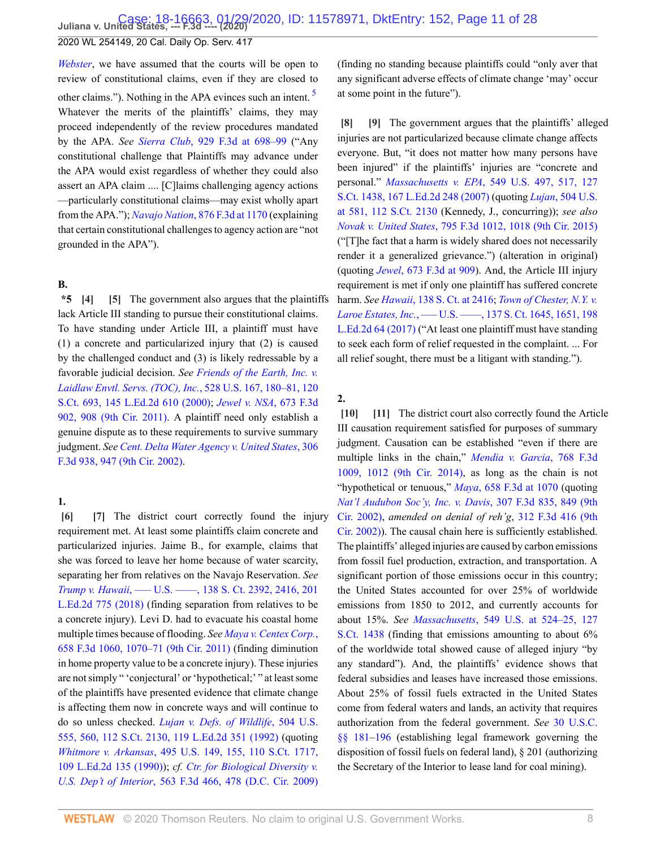*[Webster](http://www.westlaw.com/Link/Document/FullText?findType=Y&serNum=1988078090&pubNum=0000780&originatingDoc=I92da3060396e11eabed3a1bc09b332eb&refType=RP&originationContext=document&vr=3.0&rs=cblt1.0&transitionType=DocumentItem&contextData=(sc.UserEnteredCitation))*, we have assumed that the courts will be open to review of constitutional claims, even if they are closed to other claims."). Nothing in the APA evinces such an intent.<sup>[5](#page-25-5)</sup> Whatever the merits of the plaintiffs' claims, they may proceed independently of the review procedures mandated by the APA. *See Sierra Club*[, 929 F.3d at 698–99](http://www.westlaw.com/Link/Document/FullText?findType=Y&serNum=2048623212&pubNum=0000506&originatingDoc=I92da3060396e11eabed3a1bc09b332eb&refType=RP&fi=co_pp_sp_506_698&originationContext=document&vr=3.0&rs=cblt1.0&transitionType=DocumentItem&contextData=(sc.UserEnteredCitation)#co_pp_sp_506_698) ("Any constitutional challenge that Plaintiffs may advance under the APA would exist regardless of whether they could also assert an APA claim .... [C]laims challenging agency actions —particularly constitutional claims—may exist wholly apart from the APA."); *Navajo Nation*[, 876 F.3d at 1170](http://www.westlaw.com/Link/Document/FullText?findType=Y&serNum=2043309399&pubNum=0000506&originatingDoc=I92da3060396e11eabed3a1bc09b332eb&refType=RP&fi=co_pp_sp_506_1170&originationContext=document&vr=3.0&rs=cblt1.0&transitionType=DocumentItem&contextData=(sc.UserEnteredCitation)#co_pp_sp_506_1170) (explaining that certain constitutional challenges to agency action are "not grounded in the APA").

#### **B.**

<span id="page-10-1"></span><span id="page-10-0"></span>**\*5 [\[4\]](#page-4-3) [\[5\]](#page-4-4)** The government also argues that the plaintiffs lack Article III standing to pursue their constitutional claims. To have standing under Article III, a plaintiff must have (1) a concrete and particularized injury that (2) is caused by the challenged conduct and (3) is likely redressable by a favorable judicial decision. *See [Friends of the Earth, Inc. v.](http://www.westlaw.com/Link/Document/FullText?findType=Y&serNum=2000029538&pubNum=0000780&originatingDoc=I92da3060396e11eabed3a1bc09b332eb&refType=RP&fi=co_pp_sp_780_180&originationContext=document&vr=3.0&rs=cblt1.0&transitionType=DocumentItem&contextData=(sc.UserEnteredCitation)#co_pp_sp_780_180) [Laidlaw Envtl. Servs. \(TOC\), Inc.](http://www.westlaw.com/Link/Document/FullText?findType=Y&serNum=2000029538&pubNum=0000780&originatingDoc=I92da3060396e11eabed3a1bc09b332eb&refType=RP&fi=co_pp_sp_780_180&originationContext=document&vr=3.0&rs=cblt1.0&transitionType=DocumentItem&contextData=(sc.UserEnteredCitation)#co_pp_sp_780_180)*, 528 U.S. 167, 180–81, 120 [S.Ct. 693, 145 L.Ed.2d 610 \(2000\);](http://www.westlaw.com/Link/Document/FullText?findType=Y&serNum=2000029538&pubNum=0000780&originatingDoc=I92da3060396e11eabed3a1bc09b332eb&refType=RP&fi=co_pp_sp_780_180&originationContext=document&vr=3.0&rs=cblt1.0&transitionType=DocumentItem&contextData=(sc.UserEnteredCitation)#co_pp_sp_780_180) *[Jewel v. NSA](http://www.westlaw.com/Link/Document/FullText?findType=Y&serNum=2026785146&pubNum=0000506&originatingDoc=I92da3060396e11eabed3a1bc09b332eb&refType=RP&fi=co_pp_sp_506_908&originationContext=document&vr=3.0&rs=cblt1.0&transitionType=DocumentItem&contextData=(sc.UserEnteredCitation)#co_pp_sp_506_908)*, 673 F.3d [902, 908 \(9th Cir. 2011\).](http://www.westlaw.com/Link/Document/FullText?findType=Y&serNum=2026785146&pubNum=0000506&originatingDoc=I92da3060396e11eabed3a1bc09b332eb&refType=RP&fi=co_pp_sp_506_908&originationContext=document&vr=3.0&rs=cblt1.0&transitionType=DocumentItem&contextData=(sc.UserEnteredCitation)#co_pp_sp_506_908) A plaintiff need only establish a genuine dispute as to these requirements to survive summary judgment. *See [Cent. Delta Water Agency v. United States](http://www.westlaw.com/Link/Document/FullText?findType=Y&serNum=2002608673&pubNum=0000506&originatingDoc=I92da3060396e11eabed3a1bc09b332eb&refType=RP&fi=co_pp_sp_506_947&originationContext=document&vr=3.0&rs=cblt1.0&transitionType=DocumentItem&contextData=(sc.UserEnteredCitation)#co_pp_sp_506_947)*, 306 [F.3d 938, 947 \(9th Cir. 2002\)](http://www.westlaw.com/Link/Document/FullText?findType=Y&serNum=2002608673&pubNum=0000506&originatingDoc=I92da3060396e11eabed3a1bc09b332eb&refType=RP&fi=co_pp_sp_506_947&originationContext=document&vr=3.0&rs=cblt1.0&transitionType=DocumentItem&contextData=(sc.UserEnteredCitation)#co_pp_sp_506_947).

#### **1.**

<span id="page-10-3"></span><span id="page-10-2"></span>**[\[6\]](#page-4-5) [\[7\]](#page-4-6)** The district court correctly found the injury requirement met. At least some plaintiffs claim concrete and particularized injuries. Jaime B., for example, claims that she was forced to leave her home because of water scarcity, separating her from relatives on the Navajo Reservation. *See Trump v. Hawaii,* —– U.S. —–, 138 S. Ct. 2392, 2416, 201 [L.Ed.2d 775 \(2018\)](http://www.westlaw.com/Link/Document/FullText?findType=Y&serNum=2044809301&pubNum=0000708&originatingDoc=I92da3060396e11eabed3a1bc09b332eb&refType=RP&fi=co_pp_sp_708_2416&originationContext=document&vr=3.0&rs=cblt1.0&transitionType=DocumentItem&contextData=(sc.UserEnteredCitation)#co_pp_sp_708_2416) (finding separation from relatives to be a concrete injury). Levi D. had to evacuate his coastal home multiple times because of flooding. *See [Maya v. Centex Corp.](http://www.westlaw.com/Link/Document/FullText?findType=Y&serNum=2026188475&pubNum=0000506&originatingDoc=I92da3060396e11eabed3a1bc09b332eb&refType=RP&fi=co_pp_sp_506_1070&originationContext=document&vr=3.0&rs=cblt1.0&transitionType=DocumentItem&contextData=(sc.UserEnteredCitation)#co_pp_sp_506_1070)*, [658 F.3d 1060, 1070–71 \(9th Cir. 2011\)](http://www.westlaw.com/Link/Document/FullText?findType=Y&serNum=2026188475&pubNum=0000506&originatingDoc=I92da3060396e11eabed3a1bc09b332eb&refType=RP&fi=co_pp_sp_506_1070&originationContext=document&vr=3.0&rs=cblt1.0&transitionType=DocumentItem&contextData=(sc.UserEnteredCitation)#co_pp_sp_506_1070) (finding diminution in home property value to be a concrete injury). These injuries are not simply " 'conjectural' or 'hypothetical;' " at least some of the plaintiffs have presented evidence that climate change is affecting them now in concrete ways and will continue to do so unless checked. *[Lujan v. Defs. of Wildlife](http://www.westlaw.com/Link/Document/FullText?findType=Y&serNum=1992106162&pubNum=0000780&originatingDoc=I92da3060396e11eabed3a1bc09b332eb&refType=RP&fi=co_pp_sp_780_560&originationContext=document&vr=3.0&rs=cblt1.0&transitionType=DocumentItem&contextData=(sc.UserEnteredCitation)#co_pp_sp_780_560)*, 504 U.S. [555, 560, 112 S.Ct. 2130, 119 L.Ed.2d 351 \(1992\)](http://www.westlaw.com/Link/Document/FullText?findType=Y&serNum=1992106162&pubNum=0000780&originatingDoc=I92da3060396e11eabed3a1bc09b332eb&refType=RP&fi=co_pp_sp_780_560&originationContext=document&vr=3.0&rs=cblt1.0&transitionType=DocumentItem&contextData=(sc.UserEnteredCitation)#co_pp_sp_780_560) (quoting *Whitmore v. Arkansas*[, 495 U.S. 149, 155, 110 S.Ct. 1717,](http://www.westlaw.com/Link/Document/FullText?findType=Y&serNum=1990067421&pubNum=0000780&originatingDoc=I92da3060396e11eabed3a1bc09b332eb&refType=RP&fi=co_pp_sp_780_155&originationContext=document&vr=3.0&rs=cblt1.0&transitionType=DocumentItem&contextData=(sc.UserEnteredCitation)#co_pp_sp_780_155) [109 L.Ed.2d 135 \(1990\)](http://www.westlaw.com/Link/Document/FullText?findType=Y&serNum=1990067421&pubNum=0000780&originatingDoc=I92da3060396e11eabed3a1bc09b332eb&refType=RP&fi=co_pp_sp_780_155&originationContext=document&vr=3.0&rs=cblt1.0&transitionType=DocumentItem&contextData=(sc.UserEnteredCitation)#co_pp_sp_780_155)); *cf. [Ctr. for Biological Diversity v.](http://www.westlaw.com/Link/Document/FullText?findType=Y&serNum=2018624931&pubNum=0000506&originatingDoc=I92da3060396e11eabed3a1bc09b332eb&refType=RP&fi=co_pp_sp_506_478&originationContext=document&vr=3.0&rs=cblt1.0&transitionType=DocumentItem&contextData=(sc.UserEnteredCitation)#co_pp_sp_506_478) U.S. Dep't of Interior*[, 563 F.3d 466, 478 \(D.C. Cir. 2009\)](http://www.westlaw.com/Link/Document/FullText?findType=Y&serNum=2018624931&pubNum=0000506&originatingDoc=I92da3060396e11eabed3a1bc09b332eb&refType=RP&fi=co_pp_sp_506_478&originationContext=document&vr=3.0&rs=cblt1.0&transitionType=DocumentItem&contextData=(sc.UserEnteredCitation)#co_pp_sp_506_478)

<span id="page-10-8"></span>(finding no standing because plaintiffs could "only aver that any significant adverse effects of climate change 'may' occur at some point in the future").

<span id="page-10-5"></span><span id="page-10-4"></span>**[\[8\]](#page-5-0) [\[9\]](#page-5-1)** The government argues that the plaintiffs' alleged injuries are not particularized because climate change affects everyone. But, "it does not matter how many persons have been injured" if the plaintiffs' injuries are "concrete and personal." *Massachusetts v. EPA*[, 549 U.S. 497, 517, 127](http://www.westlaw.com/Link/Document/FullText?findType=Y&serNum=2011843426&pubNum=0000780&originatingDoc=I92da3060396e11eabed3a1bc09b332eb&refType=RP&fi=co_pp_sp_780_517&originationContext=document&vr=3.0&rs=cblt1.0&transitionType=DocumentItem&contextData=(sc.UserEnteredCitation)#co_pp_sp_780_517) [S.Ct. 1438, 167 L.Ed.2d 248 \(2007\)](http://www.westlaw.com/Link/Document/FullText?findType=Y&serNum=2011843426&pubNum=0000780&originatingDoc=I92da3060396e11eabed3a1bc09b332eb&refType=RP&fi=co_pp_sp_780_517&originationContext=document&vr=3.0&rs=cblt1.0&transitionType=DocumentItem&contextData=(sc.UserEnteredCitation)#co_pp_sp_780_517) (quoting *Lujan*[, 504 U.S.](http://www.westlaw.com/Link/Document/FullText?findType=Y&serNum=1992106162&pubNum=0000780&originatingDoc=I92da3060396e11eabed3a1bc09b332eb&refType=RP&fi=co_pp_sp_780_581&originationContext=document&vr=3.0&rs=cblt1.0&transitionType=DocumentItem&contextData=(sc.UserEnteredCitation)#co_pp_sp_780_581) [at 581, 112 S.Ct. 2130](http://www.westlaw.com/Link/Document/FullText?findType=Y&serNum=1992106162&pubNum=0000780&originatingDoc=I92da3060396e11eabed3a1bc09b332eb&refType=RP&fi=co_pp_sp_780_581&originationContext=document&vr=3.0&rs=cblt1.0&transitionType=DocumentItem&contextData=(sc.UserEnteredCitation)#co_pp_sp_780_581) (Kennedy, J., concurring)); *see also Novak v. United States*[, 795 F.3d 1012, 1018 \(9th Cir. 2015\)](http://www.westlaw.com/Link/Document/FullText?findType=Y&serNum=2036790324&pubNum=0000506&originatingDoc=I92da3060396e11eabed3a1bc09b332eb&refType=RP&fi=co_pp_sp_506_1018&originationContext=document&vr=3.0&rs=cblt1.0&transitionType=DocumentItem&contextData=(sc.UserEnteredCitation)#co_pp_sp_506_1018) ("[T]he fact that a harm is widely shared does not necessarily render it a generalized grievance.") (alteration in original) (quoting *Jewel*[, 673 F.3d at 909\)](http://www.westlaw.com/Link/Document/FullText?findType=Y&serNum=2026785146&pubNum=0000506&originatingDoc=I92da3060396e11eabed3a1bc09b332eb&refType=RP&fi=co_pp_sp_506_909&originationContext=document&vr=3.0&rs=cblt1.0&transitionType=DocumentItem&contextData=(sc.UserEnteredCitation)#co_pp_sp_506_909). And, the Article III injury requirement is met if only one plaintiff has suffered concrete harm. *See Hawaii*[, 138 S. Ct. at 2416;](http://www.westlaw.com/Link/Document/FullText?findType=Y&serNum=2044809301&pubNum=0000708&originatingDoc=I92da3060396e11eabed3a1bc09b332eb&refType=RP&fi=co_pp_sp_708_2416&originationContext=document&vr=3.0&rs=cblt1.0&transitionType=DocumentItem&contextData=(sc.UserEnteredCitation)#co_pp_sp_708_2416) *[Town of Chester, N.Y. v.](http://www.westlaw.com/Link/Document/FullText?findType=Y&serNum=2041798654&pubNum=0000708&originatingDoc=I92da3060396e11eabed3a1bc09b332eb&refType=RP&fi=co_pp_sp_708_1651&originationContext=document&vr=3.0&rs=cblt1.0&transitionType=DocumentItem&contextData=(sc.UserEnteredCitation)#co_pp_sp_708_1651) Laroe Estates, Inc.*[, ––– U.S. ––––, 137 S. Ct. 1645, 1651, 198](http://www.westlaw.com/Link/Document/FullText?findType=Y&serNum=2041798654&pubNum=0000708&originatingDoc=I92da3060396e11eabed3a1bc09b332eb&refType=RP&fi=co_pp_sp_708_1651&originationContext=document&vr=3.0&rs=cblt1.0&transitionType=DocumentItem&contextData=(sc.UserEnteredCitation)#co_pp_sp_708_1651) [L.Ed.2d 64 \(2017\)](http://www.westlaw.com/Link/Document/FullText?findType=Y&serNum=2041798654&pubNum=0000708&originatingDoc=I92da3060396e11eabed3a1bc09b332eb&refType=RP&fi=co_pp_sp_708_1651&originationContext=document&vr=3.0&rs=cblt1.0&transitionType=DocumentItem&contextData=(sc.UserEnteredCitation)#co_pp_sp_708_1651) ("At least one plaintiff must have standing to seek each form of relief requested in the complaint. ... For all relief sought, there must be a litigant with standing.").

#### **2.**

<span id="page-10-7"></span><span id="page-10-6"></span>**[\[10\]](#page-5-2) [\[11\]](#page-5-3)** The district court also correctly found the Article III causation requirement satisfied for purposes of summary judgment. Causation can be established "even if there are multiple links in the chain," *[Mendia v. Garcia](http://www.westlaw.com/Link/Document/FullText?findType=Y&serNum=2034393598&pubNum=0000506&originatingDoc=I92da3060396e11eabed3a1bc09b332eb&refType=RP&fi=co_pp_sp_506_1012&originationContext=document&vr=3.0&rs=cblt1.0&transitionType=DocumentItem&contextData=(sc.UserEnteredCitation)#co_pp_sp_506_1012)*, 768 F.3d [1009, 1012 \(9th Cir. 2014\)](http://www.westlaw.com/Link/Document/FullText?findType=Y&serNum=2034393598&pubNum=0000506&originatingDoc=I92da3060396e11eabed3a1bc09b332eb&refType=RP&fi=co_pp_sp_506_1012&originationContext=document&vr=3.0&rs=cblt1.0&transitionType=DocumentItem&contextData=(sc.UserEnteredCitation)#co_pp_sp_506_1012), as long as the chain is not "hypothetical or tenuous," *Maya*[, 658 F.3d at 1070](http://www.westlaw.com/Link/Document/FullText?findType=Y&serNum=2026188475&pubNum=0000506&originatingDoc=I92da3060396e11eabed3a1bc09b332eb&refType=RP&fi=co_pp_sp_506_1070&originationContext=document&vr=3.0&rs=cblt1.0&transitionType=DocumentItem&contextData=(sc.UserEnteredCitation)#co_pp_sp_506_1070) (quoting *[Nat'l Audubon Soc'y, Inc. v. Davis](http://www.westlaw.com/Link/Document/FullText?findType=Y&serNum=2002605828&pubNum=0000506&originatingDoc=I92da3060396e11eabed3a1bc09b332eb&refType=RP&fi=co_pp_sp_506_849&originationContext=document&vr=3.0&rs=cblt1.0&transitionType=DocumentItem&contextData=(sc.UserEnteredCitation)#co_pp_sp_506_849)*, 307 F.3d 835, 849 (9th [Cir. 2002\),](http://www.westlaw.com/Link/Document/FullText?findType=Y&serNum=2002605828&pubNum=0000506&originatingDoc=I92da3060396e11eabed3a1bc09b332eb&refType=RP&fi=co_pp_sp_506_849&originationContext=document&vr=3.0&rs=cblt1.0&transitionType=DocumentItem&contextData=(sc.UserEnteredCitation)#co_pp_sp_506_849) *amended on denial of reh'g*, [312 F.3d 416 \(9th](http://www.westlaw.com/Link/Document/FullText?findType=Y&serNum=2002764065&pubNum=0000506&originatingDoc=I92da3060396e11eabed3a1bc09b332eb&refType=RP&originationContext=document&vr=3.0&rs=cblt1.0&transitionType=DocumentItem&contextData=(sc.UserEnteredCitation)) [Cir. 2002\)\)](http://www.westlaw.com/Link/Document/FullText?findType=Y&serNum=2002764065&pubNum=0000506&originatingDoc=I92da3060396e11eabed3a1bc09b332eb&refType=RP&originationContext=document&vr=3.0&rs=cblt1.0&transitionType=DocumentItem&contextData=(sc.UserEnteredCitation)). The causal chain here is sufficiently established. The plaintiffs' alleged injuries are caused by carbon emissions from fossil fuel production, extraction, and transportation. A significant portion of those emissions occur in this country; the United States accounted for over 25% of worldwide emissions from 1850 to 2012, and currently accounts for about 15%. *See Massachusetts*[, 549 U.S. at 524–25, 127](http://www.westlaw.com/Link/Document/FullText?findType=Y&serNum=2011843426&pubNum=0000780&originatingDoc=I92da3060396e11eabed3a1bc09b332eb&refType=RP&fi=co_pp_sp_780_524&originationContext=document&vr=3.0&rs=cblt1.0&transitionType=DocumentItem&contextData=(sc.UserEnteredCitation)#co_pp_sp_780_524) [S.Ct. 1438](http://www.westlaw.com/Link/Document/FullText?findType=Y&serNum=2011843426&pubNum=0000780&originatingDoc=I92da3060396e11eabed3a1bc09b332eb&refType=RP&fi=co_pp_sp_780_524&originationContext=document&vr=3.0&rs=cblt1.0&transitionType=DocumentItem&contextData=(sc.UserEnteredCitation)#co_pp_sp_780_524) (finding that emissions amounting to about 6% of the worldwide total showed cause of alleged injury "by any standard"). And, the plaintiffs' evidence shows that federal subsidies and leases have increased those emissions. About 25% of fossil fuels extracted in the United States come from federal waters and lands, an activity that requires authorization from the federal government. *See* [30 U.S.C.](http://www.westlaw.com/Link/Document/FullText?findType=L&pubNum=1000546&cite=30USCAS181&originatingDoc=I92da3060396e11eabed3a1bc09b332eb&refType=LQ&originationContext=document&vr=3.0&rs=cblt1.0&transitionType=DocumentItem&contextData=(sc.UserEnteredCitation)) [§§ 181](http://www.westlaw.com/Link/Document/FullText?findType=L&pubNum=1000546&cite=30USCAS181&originatingDoc=I92da3060396e11eabed3a1bc09b332eb&refType=LQ&originationContext=document&vr=3.0&rs=cblt1.0&transitionType=DocumentItem&contextData=(sc.UserEnteredCitation))[–196](http://www.westlaw.com/Link/Document/FullText?findType=L&pubNum=1000546&cite=30USCAS196&originatingDoc=I92da3060396e11eabed3a1bc09b332eb&refType=LQ&originationContext=document&vr=3.0&rs=cblt1.0&transitionType=DocumentItem&contextData=(sc.UserEnteredCitation)) (establishing legal framework governing the disposition of fossil fuels on federal land), § 201 (authorizing the Secretary of the Interior to lease land for coal mining).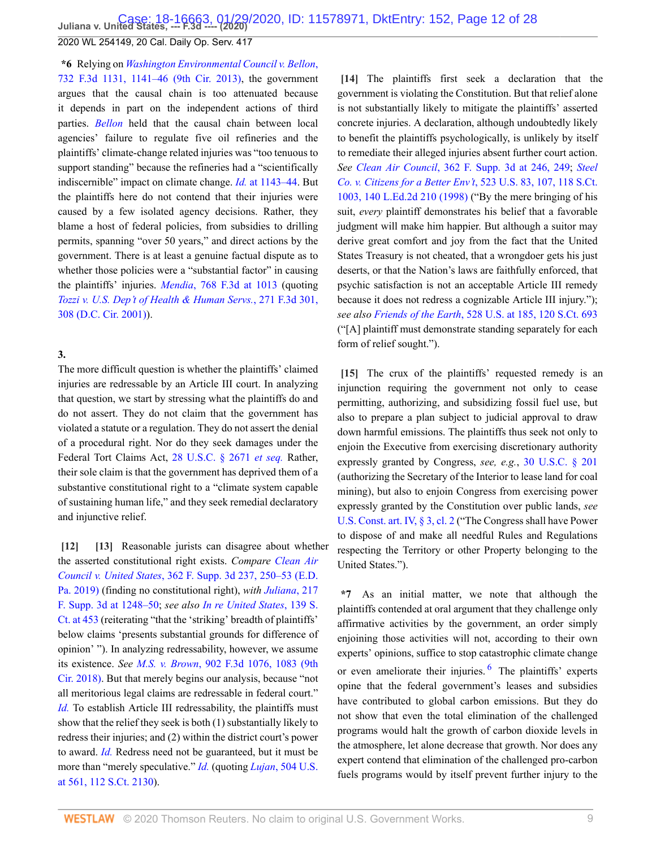**Juliana v. United States, --- F.3d ---- (2020)** Case: 18-16663, 01/29/2020, ID: 11578971, DktEntry: 152, Page 12 of 28

#### 2020 WL 254149, 20 Cal. Daily Op. Serv. 417

**\*6** Relying on *[Washington Environmental Council v. Bellon](http://www.westlaw.com/Link/Document/FullText?findType=Y&serNum=2031787708&pubNum=0000506&originatingDoc=I92da3060396e11eabed3a1bc09b332eb&refType=RP&fi=co_pp_sp_506_1141&originationContext=document&vr=3.0&rs=cblt1.0&transitionType=DocumentItem&contextData=(sc.UserEnteredCitation)#co_pp_sp_506_1141)*, [732 F.3d 1131, 1141–46 \(9th Cir. 2013\)](http://www.westlaw.com/Link/Document/FullText?findType=Y&serNum=2031787708&pubNum=0000506&originatingDoc=I92da3060396e11eabed3a1bc09b332eb&refType=RP&fi=co_pp_sp_506_1141&originationContext=document&vr=3.0&rs=cblt1.0&transitionType=DocumentItem&contextData=(sc.UserEnteredCitation)#co_pp_sp_506_1141), the government argues that the causal chain is too attenuated because it depends in part on the independent actions of third parties. *[Bellon](http://www.westlaw.com/Link/Document/FullText?findType=Y&serNum=2031787708&pubNum=0000506&originatingDoc=I92da3060396e11eabed3a1bc09b332eb&refType=RP&originationContext=document&vr=3.0&rs=cblt1.0&transitionType=DocumentItem&contextData=(sc.UserEnteredCitation))* held that the causal chain between local agencies' failure to regulate five oil refineries and the plaintiffs' climate-change related injuries was "too tenuous to support standing" because the refineries had a "scientifically indiscernible" impact on climate change. *Id.* [at 1143–44.](http://www.westlaw.com/Link/Document/FullText?findType=Y&serNum=2031787708&pubNum=0000506&originatingDoc=I92da3060396e11eabed3a1bc09b332eb&refType=RP&fi=co_pp_sp_506_1143&originationContext=document&vr=3.0&rs=cblt1.0&transitionType=DocumentItem&contextData=(sc.UserEnteredCitation)#co_pp_sp_506_1143) But the plaintiffs here do not contend that their injuries were caused by a few isolated agency decisions. Rather, they blame a host of federal policies, from subsidies to drilling permits, spanning "over 50 years," and direct actions by the government. There is at least a genuine factual dispute as to whether those policies were a "substantial factor" in causing the plaintiffs' injuries. *Mendia*[, 768 F.3d at 1013](http://www.westlaw.com/Link/Document/FullText?findType=Y&serNum=2034393598&pubNum=0000506&originatingDoc=I92da3060396e11eabed3a1bc09b332eb&refType=RP&fi=co_pp_sp_506_1013&originationContext=document&vr=3.0&rs=cblt1.0&transitionType=DocumentItem&contextData=(sc.UserEnteredCitation)#co_pp_sp_506_1013) (quoting *Tozzi v. U.S. Dep't of [Health & Human Servs.](http://www.westlaw.com/Link/Document/FullText?findType=Y&serNum=2001934620&pubNum=0000506&originatingDoc=I92da3060396e11eabed3a1bc09b332eb&refType=RP&fi=co_pp_sp_506_308&originationContext=document&vr=3.0&rs=cblt1.0&transitionType=DocumentItem&contextData=(sc.UserEnteredCitation)#co_pp_sp_506_308)*, 271 F.3d 301, [308 \(D.C. Cir. 2001\)\)](http://www.westlaw.com/Link/Document/FullText?findType=Y&serNum=2001934620&pubNum=0000506&originatingDoc=I92da3060396e11eabed3a1bc09b332eb&refType=RP&fi=co_pp_sp_506_308&originationContext=document&vr=3.0&rs=cblt1.0&transitionType=DocumentItem&contextData=(sc.UserEnteredCitation)#co_pp_sp_506_308).

# **3.**

The more difficult question is whether the plaintiffs' claimed injuries are redressable by an Article III court. In analyzing that question, we start by stressing what the plaintiffs do and do not assert. They do not claim that the government has violated a statute or a regulation. They do not assert the denial of a procedural right. Nor do they seek damages under the Federal Tort Claims Act, [28 U.S.C. § 2671](http://www.westlaw.com/Link/Document/FullText?findType=L&pubNum=1000546&cite=28USCAS2671&originatingDoc=I92da3060396e11eabed3a1bc09b332eb&refType=LQ&originationContext=document&vr=3.0&rs=cblt1.0&transitionType=DocumentItem&contextData=(sc.UserEnteredCitation)) *et seq.* Rather, their sole claim is that the government has deprived them of a substantive constitutional right to a "climate system capable of sustaining human life," and they seek remedial declaratory and injunctive relief.

<span id="page-11-1"></span><span id="page-11-0"></span>**[\[12\]](#page-5-4) [\[13\]](#page-5-5)** Reasonable jurists can disagree about whether the asserted constitutional right exists. *Compare [Clean Air](http://www.westlaw.com/Link/Document/FullText?findType=Y&serNum=2047572748&pubNum=0007903&originatingDoc=I92da3060396e11eabed3a1bc09b332eb&refType=RP&fi=co_pp_sp_7903_250&originationContext=document&vr=3.0&rs=cblt1.0&transitionType=DocumentItem&contextData=(sc.UserEnteredCitation)#co_pp_sp_7903_250) Council v. United States*[, 362 F. Supp. 3d 237, 250–53 \(E.D.](http://www.westlaw.com/Link/Document/FullText?findType=Y&serNum=2047572748&pubNum=0007903&originatingDoc=I92da3060396e11eabed3a1bc09b332eb&refType=RP&fi=co_pp_sp_7903_250&originationContext=document&vr=3.0&rs=cblt1.0&transitionType=DocumentItem&contextData=(sc.UserEnteredCitation)#co_pp_sp_7903_250) [Pa. 2019\)](http://www.westlaw.com/Link/Document/FullText?findType=Y&serNum=2047572748&pubNum=0007903&originatingDoc=I92da3060396e11eabed3a1bc09b332eb&refType=RP&fi=co_pp_sp_7903_250&originationContext=document&vr=3.0&rs=cblt1.0&transitionType=DocumentItem&contextData=(sc.UserEnteredCitation)#co_pp_sp_7903_250) (finding no constitutional right), *with [Juliana](http://www.westlaw.com/Link/Document/FullText?findType=Y&serNum=2040284204&pubNum=0007903&originatingDoc=I92da3060396e11eabed3a1bc09b332eb&refType=RP&fi=co_pp_sp_7903_1248&originationContext=document&vr=3.0&rs=cblt1.0&transitionType=DocumentItem&contextData=(sc.UserEnteredCitation)#co_pp_sp_7903_1248)*, 217 [F. Supp. 3d at 1248–50](http://www.westlaw.com/Link/Document/FullText?findType=Y&serNum=2040284204&pubNum=0007903&originatingDoc=I92da3060396e11eabed3a1bc09b332eb&refType=RP&fi=co_pp_sp_7903_1248&originationContext=document&vr=3.0&rs=cblt1.0&transitionType=DocumentItem&contextData=(sc.UserEnteredCitation)#co_pp_sp_7903_1248); *see also [In re United States](http://www.westlaw.com/Link/Document/FullText?findType=Y&serNum=2045912851&pubNum=0000708&originatingDoc=I92da3060396e11eabed3a1bc09b332eb&refType=RP&fi=co_pp_sp_708_453&originationContext=document&vr=3.0&rs=cblt1.0&transitionType=DocumentItem&contextData=(sc.UserEnteredCitation)#co_pp_sp_708_453)*, 139 S. [Ct. at 453](http://www.westlaw.com/Link/Document/FullText?findType=Y&serNum=2045912851&pubNum=0000708&originatingDoc=I92da3060396e11eabed3a1bc09b332eb&refType=RP&fi=co_pp_sp_708_453&originationContext=document&vr=3.0&rs=cblt1.0&transitionType=DocumentItem&contextData=(sc.UserEnteredCitation)#co_pp_sp_708_453) (reiterating "that the 'striking' breadth of plaintiffs' below claims 'presents substantial grounds for difference of opinion' "). In analyzing redressability, however, we assume its existence. *See M.S. v. Brown*[, 902 F.3d 1076, 1083 \(9th](http://www.westlaw.com/Link/Document/FullText?findType=Y&serNum=2045432915&pubNum=0000506&originatingDoc=I92da3060396e11eabed3a1bc09b332eb&refType=RP&fi=co_pp_sp_506_1083&originationContext=document&vr=3.0&rs=cblt1.0&transitionType=DocumentItem&contextData=(sc.UserEnteredCitation)#co_pp_sp_506_1083) [Cir. 2018\).](http://www.westlaw.com/Link/Document/FullText?findType=Y&serNum=2045432915&pubNum=0000506&originatingDoc=I92da3060396e11eabed3a1bc09b332eb&refType=RP&fi=co_pp_sp_506_1083&originationContext=document&vr=3.0&rs=cblt1.0&transitionType=DocumentItem&contextData=(sc.UserEnteredCitation)#co_pp_sp_506_1083) But that merely begins our analysis, because "not all meritorious legal claims are redressable in federal court." *[Id.](http://www.westlaw.com/Link/Document/FullText?findType=Y&serNum=2045432915&pubNum=0000506&originatingDoc=I92da3060396e11eabed3a1bc09b332eb&refType=RP&originationContext=document&vr=3.0&rs=cblt1.0&transitionType=DocumentItem&contextData=(sc.UserEnteredCitation))* To establish Article III redressability, the plaintiffs must show that the relief they seek is both (1) substantially likely to redress their injuries; and (2) within the district court's power to award. *[Id.](http://www.westlaw.com/Link/Document/FullText?findType=Y&serNum=2045432915&pubNum=0000506&originatingDoc=I92da3060396e11eabed3a1bc09b332eb&refType=RP&originationContext=document&vr=3.0&rs=cblt1.0&transitionType=DocumentItem&contextData=(sc.UserEnteredCitation))* Redress need not be guaranteed, but it must be more than "merely speculative." *[Id.](http://www.westlaw.com/Link/Document/FullText?findType=Y&serNum=2045432915&pubNum=0000506&originatingDoc=I92da3060396e11eabed3a1bc09b332eb&refType=RP&originationContext=document&vr=3.0&rs=cblt1.0&transitionType=DocumentItem&contextData=(sc.UserEnteredCitation))* (quoting *Lujan*[, 504 U.S.](http://www.westlaw.com/Link/Document/FullText?findType=Y&serNum=1992106162&pubNum=0000780&originatingDoc=I92da3060396e11eabed3a1bc09b332eb&refType=RP&fi=co_pp_sp_780_561&originationContext=document&vr=3.0&rs=cblt1.0&transitionType=DocumentItem&contextData=(sc.UserEnteredCitation)#co_pp_sp_780_561) [at 561, 112 S.Ct. 2130](http://www.westlaw.com/Link/Document/FullText?findType=Y&serNum=1992106162&pubNum=0000780&originatingDoc=I92da3060396e11eabed3a1bc09b332eb&refType=RP&fi=co_pp_sp_780_561&originationContext=document&vr=3.0&rs=cblt1.0&transitionType=DocumentItem&contextData=(sc.UserEnteredCitation)#co_pp_sp_780_561)).

<span id="page-11-2"></span>**[\[14\]](#page-5-6)** The plaintiffs first seek a declaration that the government is violating the Constitution. But that relief alone is not substantially likely to mitigate the plaintiffs' asserted concrete injuries. A declaration, although undoubtedly likely to benefit the plaintiffs psychologically, is unlikely by itself to remediate their alleged injuries absent further court action. *See Clean Air Council*[, 362 F. Supp. 3d at 246, 249](http://www.westlaw.com/Link/Document/FullText?findType=Y&serNum=2047572748&pubNum=0007903&originatingDoc=I92da3060396e11eabed3a1bc09b332eb&refType=RP&fi=co_pp_sp_7903_246&originationContext=document&vr=3.0&rs=cblt1.0&transitionType=DocumentItem&contextData=(sc.UserEnteredCitation)#co_pp_sp_7903_246); *[Steel](http://www.westlaw.com/Link/Document/FullText?findType=Y&serNum=1998062036&pubNum=0000780&originatingDoc=I92da3060396e11eabed3a1bc09b332eb&refType=RP&fi=co_pp_sp_780_107&originationContext=document&vr=3.0&rs=cblt1.0&transitionType=DocumentItem&contextData=(sc.UserEnteredCitation)#co_pp_sp_780_107) [Co. v. Citizens for a Better Env't](http://www.westlaw.com/Link/Document/FullText?findType=Y&serNum=1998062036&pubNum=0000780&originatingDoc=I92da3060396e11eabed3a1bc09b332eb&refType=RP&fi=co_pp_sp_780_107&originationContext=document&vr=3.0&rs=cblt1.0&transitionType=DocumentItem&contextData=(sc.UserEnteredCitation)#co_pp_sp_780_107)*, 523 U.S. 83, 107, 118 S.Ct. [1003, 140 L.Ed.2d 210 \(1998\)](http://www.westlaw.com/Link/Document/FullText?findType=Y&serNum=1998062036&pubNum=0000780&originatingDoc=I92da3060396e11eabed3a1bc09b332eb&refType=RP&fi=co_pp_sp_780_107&originationContext=document&vr=3.0&rs=cblt1.0&transitionType=DocumentItem&contextData=(sc.UserEnteredCitation)#co_pp_sp_780_107) ("By the mere bringing of his suit, *every* plaintiff demonstrates his belief that a favorable judgment will make him happier. But although a suitor may derive great comfort and joy from the fact that the United States Treasury is not cheated, that a wrongdoer gets his just deserts, or that the Nation's laws are faithfully enforced, that psychic satisfaction is not an acceptable Article III remedy because it does not redress a cognizable Article III injury."); *see also Friends of the Earth*[, 528 U.S. at 185, 120 S.Ct. 693](http://www.westlaw.com/Link/Document/FullText?findType=Y&serNum=2000029538&pubNum=0000780&originatingDoc=I92da3060396e11eabed3a1bc09b332eb&refType=RP&fi=co_pp_sp_780_185&originationContext=document&vr=3.0&rs=cblt1.0&transitionType=DocumentItem&contextData=(sc.UserEnteredCitation)#co_pp_sp_780_185) ("[A] plaintiff must demonstrate standing separately for each form of relief sought.").

<span id="page-11-3"></span>**[\[15\]](#page-6-0)** The crux of the plaintiffs' requested remedy is an injunction requiring the government not only to cease permitting, authorizing, and subsidizing fossil fuel use, but also to prepare a plan subject to judicial approval to draw down harmful emissions. The plaintiffs thus seek not only to enjoin the Executive from exercising discretionary authority expressly granted by Congress, *see, e.g.*, [30 U.S.C. § 201](http://www.westlaw.com/Link/Document/FullText?findType=L&pubNum=1000546&cite=30USCAS201&originatingDoc=I92da3060396e11eabed3a1bc09b332eb&refType=LQ&originationContext=document&vr=3.0&rs=cblt1.0&transitionType=DocumentItem&contextData=(sc.UserEnteredCitation)) (authorizing the Secretary of the Interior to lease land for coal mining), but also to enjoin Congress from exercising power expressly granted by the Constitution over public lands, *see* [U.S. Const. art. IV, § 3, cl. 2](http://www.westlaw.com/Link/Document/FullText?findType=L&pubNum=1000583&cite=USCOARTIVS3CL2&originatingDoc=I92da3060396e11eabed3a1bc09b332eb&refType=LQ&originationContext=document&vr=3.0&rs=cblt1.0&transitionType=DocumentItem&contextData=(sc.UserEnteredCitation)) ("The Congress shall have Power to dispose of and make all needful Rules and Regulations respecting the Territory or other Property belonging to the United States.").

<span id="page-11-4"></span>**\*7** As an initial matter, we note that although the plaintiffs contended at oral argument that they challenge only affirmative activities by the government, an order simply enjoining those activities will not, according to their own experts' opinions, suffice to stop catastrophic climate change or even ameliorate their injuries. <sup>[6](#page-25-6)</sup> The plaintiffs' experts opine that the federal government's leases and subsidies have contributed to global carbon emissions. But they do not show that even the total elimination of the challenged programs would halt the growth of carbon dioxide levels in the atmosphere, let alone decrease that growth. Nor does any expert contend that elimination of the challenged pro-carbon fuels programs would by itself prevent further injury to the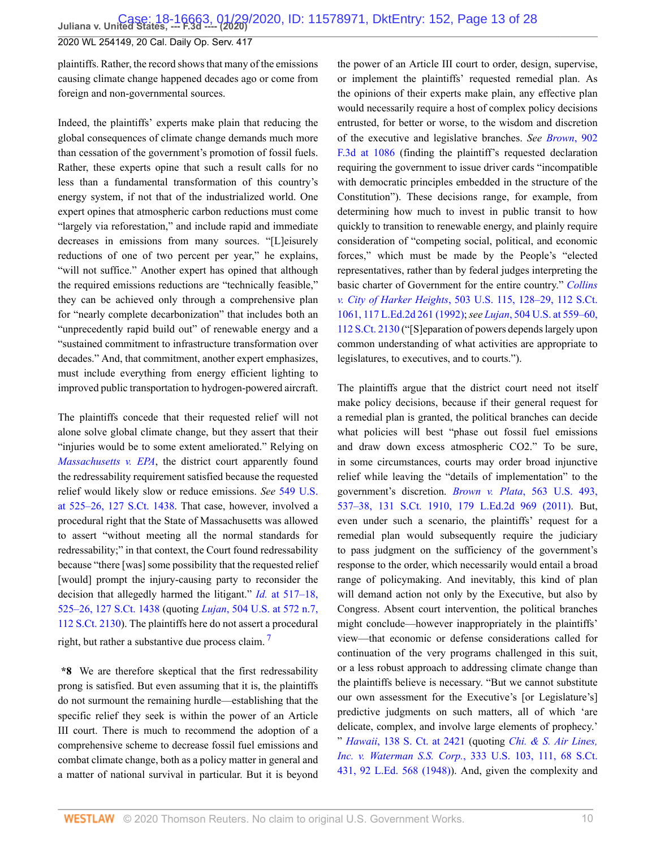plaintiffs. Rather, the record shows that many of the emissions causing climate change happened decades ago or come from foreign and non-governmental sources.

Indeed, the plaintiffs' experts make plain that reducing the global consequences of climate change demands much more than cessation of the government's promotion of fossil fuels. Rather, these experts opine that such a result calls for no less than a fundamental transformation of this country's energy system, if not that of the industrialized world. One expert opines that atmospheric carbon reductions must come "largely via reforestation," and include rapid and immediate decreases in emissions from many sources. "[L]eisurely reductions of one of two percent per year," he explains, "will not suffice." Another expert has opined that although the required emissions reductions are "technically feasible," they can be achieved only through a comprehensive plan for "nearly complete decarbonization" that includes both an "unprecedently rapid build out" of renewable energy and a "sustained commitment to infrastructure transformation over decades." And, that commitment, another expert emphasizes, must include everything from energy efficient lighting to improved public transportation to hydrogen-powered aircraft.

The plaintiffs concede that their requested relief will not alone solve global climate change, but they assert that their "injuries would be to some extent ameliorated." Relying on *[Massachusetts v. EPA](http://www.westlaw.com/Link/Document/FullText?findType=Y&serNum=2011843426&pubNum=0000780&originatingDoc=I92da3060396e11eabed3a1bc09b332eb&refType=RP&originationContext=document&vr=3.0&rs=cblt1.0&transitionType=DocumentItem&contextData=(sc.UserEnteredCitation))*, the district court apparently found the redressability requirement satisfied because the requested relief would likely slow or reduce emissions. *See* [549 U.S.](http://www.westlaw.com/Link/Document/FullText?findType=Y&serNum=2011843426&pubNum=0000780&originatingDoc=I92da3060396e11eabed3a1bc09b332eb&refType=RP&fi=co_pp_sp_780_525&originationContext=document&vr=3.0&rs=cblt1.0&transitionType=DocumentItem&contextData=(sc.UserEnteredCitation)#co_pp_sp_780_525) [at 525–26, 127 S.Ct. 1438.](http://www.westlaw.com/Link/Document/FullText?findType=Y&serNum=2011843426&pubNum=0000780&originatingDoc=I92da3060396e11eabed3a1bc09b332eb&refType=RP&fi=co_pp_sp_780_525&originationContext=document&vr=3.0&rs=cblt1.0&transitionType=DocumentItem&contextData=(sc.UserEnteredCitation)#co_pp_sp_780_525) That case, however, involved a procedural right that the State of Massachusetts was allowed to assert "without meeting all the normal standards for redressability;" in that context, the Court found redressability because "there [was] some possibility that the requested relief [would] prompt the injury-causing party to reconsider the decision that allegedly harmed the litigant." *Id.* [at 517–18,](http://www.westlaw.com/Link/Document/FullText?findType=Y&serNum=2011843426&pubNum=0000708&originatingDoc=I92da3060396e11eabed3a1bc09b332eb&refType=RP&originationContext=document&vr=3.0&rs=cblt1.0&transitionType=DocumentItem&contextData=(sc.UserEnteredCitation)) [525–26, 127 S.Ct. 1438](http://www.westlaw.com/Link/Document/FullText?findType=Y&serNum=2011843426&pubNum=0000708&originatingDoc=I92da3060396e11eabed3a1bc09b332eb&refType=RP&originationContext=document&vr=3.0&rs=cblt1.0&transitionType=DocumentItem&contextData=(sc.UserEnteredCitation)) (quoting *Lujan*[, 504 U.S. at 572 n.7,](http://www.westlaw.com/Link/Document/FullText?findType=Y&serNum=1992106162&pubNum=0000780&originatingDoc=I92da3060396e11eabed3a1bc09b332eb&refType=RP&fi=co_pp_sp_780_572&originationContext=document&vr=3.0&rs=cblt1.0&transitionType=DocumentItem&contextData=(sc.UserEnteredCitation)#co_pp_sp_780_572) [112 S.Ct. 2130\)](http://www.westlaw.com/Link/Document/FullText?findType=Y&serNum=1992106162&pubNum=0000780&originatingDoc=I92da3060396e11eabed3a1bc09b332eb&refType=RP&fi=co_pp_sp_780_572&originationContext=document&vr=3.0&rs=cblt1.0&transitionType=DocumentItem&contextData=(sc.UserEnteredCitation)#co_pp_sp_780_572). The plaintiffs here do not assert a procedural right, but rather a substantive due process claim. [7](#page-25-7)

<span id="page-12-0"></span>**\*8** We are therefore skeptical that the first redressability prong is satisfied. But even assuming that it is, the plaintiffs do not surmount the remaining hurdle—establishing that the specific relief they seek is within the power of an Article III court. There is much to recommend the adoption of a comprehensive scheme to decrease fossil fuel emissions and combat climate change, both as a policy matter in general and a matter of national survival in particular. But it is beyond the power of an Article III court to order, design, supervise, or implement the plaintiffs' requested remedial plan. As the opinions of their experts make plain, any effective plan would necessarily require a host of complex policy decisions entrusted, for better or worse, to the wisdom and discretion of the executive and legislative branches. *See [Brown](http://www.westlaw.com/Link/Document/FullText?findType=Y&serNum=2045432915&pubNum=0000506&originatingDoc=I92da3060396e11eabed3a1bc09b332eb&refType=RP&fi=co_pp_sp_506_1086&originationContext=document&vr=3.0&rs=cblt1.0&transitionType=DocumentItem&contextData=(sc.UserEnteredCitation)#co_pp_sp_506_1086)*, 902 [F.3d at 1086](http://www.westlaw.com/Link/Document/FullText?findType=Y&serNum=2045432915&pubNum=0000506&originatingDoc=I92da3060396e11eabed3a1bc09b332eb&refType=RP&fi=co_pp_sp_506_1086&originationContext=document&vr=3.0&rs=cblt1.0&transitionType=DocumentItem&contextData=(sc.UserEnteredCitation)#co_pp_sp_506_1086) (finding the plaintiff's requested declaration requiring the government to issue driver cards "incompatible with democratic principles embedded in the structure of the Constitution"). These decisions range, for example, from determining how much to invest in public transit to how quickly to transition to renewable energy, and plainly require consideration of "competing social, political, and economic forces," which must be made by the People's "elected representatives, rather than by federal judges interpreting the basic charter of Government for the entire country." *[Collins](http://www.westlaw.com/Link/Document/FullText?findType=Y&serNum=1992046698&pubNum=0000780&originatingDoc=I92da3060396e11eabed3a1bc09b332eb&refType=RP&fi=co_pp_sp_780_128&originationContext=document&vr=3.0&rs=cblt1.0&transitionType=DocumentItem&contextData=(sc.UserEnteredCitation)#co_pp_sp_780_128) v. City of Harker Heights*[, 503 U.S. 115, 128–29, 112 S.Ct.](http://www.westlaw.com/Link/Document/FullText?findType=Y&serNum=1992046698&pubNum=0000780&originatingDoc=I92da3060396e11eabed3a1bc09b332eb&refType=RP&fi=co_pp_sp_780_128&originationContext=document&vr=3.0&rs=cblt1.0&transitionType=DocumentItem&contextData=(sc.UserEnteredCitation)#co_pp_sp_780_128) [1061, 117 L.Ed.2d 261 \(1992\)](http://www.westlaw.com/Link/Document/FullText?findType=Y&serNum=1992046698&pubNum=0000780&originatingDoc=I92da3060396e11eabed3a1bc09b332eb&refType=RP&fi=co_pp_sp_780_128&originationContext=document&vr=3.0&rs=cblt1.0&transitionType=DocumentItem&contextData=(sc.UserEnteredCitation)#co_pp_sp_780_128); *see Lujan*[, 504 U.S. at 559–60,](http://www.westlaw.com/Link/Document/FullText?findType=Y&serNum=1992106162&pubNum=0000780&originatingDoc=I92da3060396e11eabed3a1bc09b332eb&refType=RP&fi=co_pp_sp_780_559&originationContext=document&vr=3.0&rs=cblt1.0&transitionType=DocumentItem&contextData=(sc.UserEnteredCitation)#co_pp_sp_780_559) [112 S.Ct. 2130](http://www.westlaw.com/Link/Document/FullText?findType=Y&serNum=1992106162&pubNum=0000780&originatingDoc=I92da3060396e11eabed3a1bc09b332eb&refType=RP&fi=co_pp_sp_780_559&originationContext=document&vr=3.0&rs=cblt1.0&transitionType=DocumentItem&contextData=(sc.UserEnteredCitation)#co_pp_sp_780_559) ("[S]eparation of powers depends largely upon common understanding of what activities are appropriate to legislatures, to executives, and to courts.").

The plaintiffs argue that the district court need not itself make policy decisions, because if their general request for a remedial plan is granted, the political branches can decide what policies will best "phase out fossil fuel emissions and draw down excess atmospheric CO2." To be sure, in some circumstances, courts may order broad injunctive relief while leaving the "details of implementation" to the government's discretion. *Brown v. Plata*[, 563 U.S. 493,](http://www.westlaw.com/Link/Document/FullText?findType=Y&serNum=2025330790&pubNum=0000780&originatingDoc=I92da3060396e11eabed3a1bc09b332eb&refType=RP&fi=co_pp_sp_780_537&originationContext=document&vr=3.0&rs=cblt1.0&transitionType=DocumentItem&contextData=(sc.UserEnteredCitation)#co_pp_sp_780_537) [537–38, 131 S.Ct. 1910, 179 L.Ed.2d 969 \(2011\).](http://www.westlaw.com/Link/Document/FullText?findType=Y&serNum=2025330790&pubNum=0000780&originatingDoc=I92da3060396e11eabed3a1bc09b332eb&refType=RP&fi=co_pp_sp_780_537&originationContext=document&vr=3.0&rs=cblt1.0&transitionType=DocumentItem&contextData=(sc.UserEnteredCitation)#co_pp_sp_780_537) But, even under such a scenario, the plaintiffs' request for a remedial plan would subsequently require the judiciary to pass judgment on the sufficiency of the government's response to the order, which necessarily would entail a broad range of policymaking. And inevitably, this kind of plan will demand action not only by the Executive, but also by Congress. Absent court intervention, the political branches might conclude—however inappropriately in the plaintiffs' view—that economic or defense considerations called for continuation of the very programs challenged in this suit, or a less robust approach to addressing climate change than the plaintiffs believe is necessary. "But we cannot substitute our own assessment for the Executive's [or Legislature's] predictive judgments on such matters, all of which 'are delicate, complex, and involve large elements of prophecy.' " *Hawaii*[, 138 S. Ct. at 2421](http://www.westlaw.com/Link/Document/FullText?findType=Y&serNum=2044809301&pubNum=0000708&originatingDoc=I92da3060396e11eabed3a1bc09b332eb&refType=RP&fi=co_pp_sp_708_2421&originationContext=document&vr=3.0&rs=cblt1.0&transitionType=DocumentItem&contextData=(sc.UserEnteredCitation)#co_pp_sp_708_2421) (quoting *[Chi. & S. Air Lines,](http://www.westlaw.com/Link/Document/FullText?findType=Y&serNum=1948116202&pubNum=0000780&originatingDoc=I92da3060396e11eabed3a1bc09b332eb&refType=RP&fi=co_pp_sp_780_111&originationContext=document&vr=3.0&rs=cblt1.0&transitionType=DocumentItem&contextData=(sc.UserEnteredCitation)#co_pp_sp_780_111) Inc. v. Waterman S.S. Corp.*[, 333 U.S. 103, 111, 68 S.Ct.](http://www.westlaw.com/Link/Document/FullText?findType=Y&serNum=1948116202&pubNum=0000780&originatingDoc=I92da3060396e11eabed3a1bc09b332eb&refType=RP&fi=co_pp_sp_780_111&originationContext=document&vr=3.0&rs=cblt1.0&transitionType=DocumentItem&contextData=(sc.UserEnteredCitation)#co_pp_sp_780_111) [431, 92 L.Ed. 568 \(1948\)\)](http://www.westlaw.com/Link/Document/FullText?findType=Y&serNum=1948116202&pubNum=0000780&originatingDoc=I92da3060396e11eabed3a1bc09b332eb&refType=RP&fi=co_pp_sp_780_111&originationContext=document&vr=3.0&rs=cblt1.0&transitionType=DocumentItem&contextData=(sc.UserEnteredCitation)#co_pp_sp_780_111). And, given the complexity and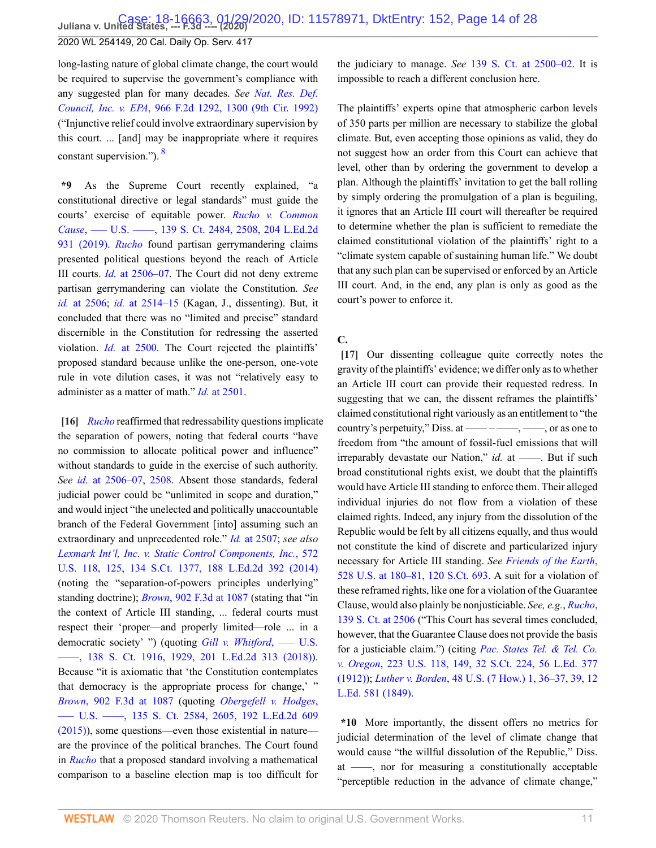long-lasting nature of global climate change, the court would be required to supervise the government's compliance with any suggested plan for many decades. *See [Nat. Res. Def.](http://www.westlaw.com/Link/Document/FullText?findType=Y&serNum=1992101380&pubNum=0000350&originatingDoc=I92da3060396e11eabed3a1bc09b332eb&refType=RP&fi=co_pp_sp_350_1300&originationContext=document&vr=3.0&rs=cblt1.0&transitionType=DocumentItem&contextData=(sc.UserEnteredCitation)#co_pp_sp_350_1300) Council, Inc. v. EPA*[, 966 F.2d 1292, 1300 \(9th Cir. 1992\)](http://www.westlaw.com/Link/Document/FullText?findType=Y&serNum=1992101380&pubNum=0000350&originatingDoc=I92da3060396e11eabed3a1bc09b332eb&refType=RP&fi=co_pp_sp_350_1300&originationContext=document&vr=3.0&rs=cblt1.0&transitionType=DocumentItem&contextData=(sc.UserEnteredCitation)#co_pp_sp_350_1300) ("Injunctive relief could involve extraordinary supervision by this court. ... [and] may be inappropriate where it requires constant supervision."). <sup>[8](#page-25-8)</sup>

<span id="page-13-2"></span>**\*9** As the Supreme Court recently explained, "a constitutional directive or legal standards" must guide the courts' exercise of equitable power. *[Rucho v. Common](http://www.westlaw.com/Link/Document/FullText?findType=Y&serNum=2048580355&pubNum=0000708&originatingDoc=I92da3060396e11eabed3a1bc09b332eb&refType=RP&fi=co_pp_sp_708_2508&originationContext=document&vr=3.0&rs=cblt1.0&transitionType=DocumentItem&contextData=(sc.UserEnteredCitation)#co_pp_sp_708_2508) Cause*[, ––– U.S. ––––, 139 S. Ct. 2484, 2508, 204 L.Ed.2d](http://www.westlaw.com/Link/Document/FullText?findType=Y&serNum=2048580355&pubNum=0000708&originatingDoc=I92da3060396e11eabed3a1bc09b332eb&refType=RP&fi=co_pp_sp_708_2508&originationContext=document&vr=3.0&rs=cblt1.0&transitionType=DocumentItem&contextData=(sc.UserEnteredCitation)#co_pp_sp_708_2508) [931 \(2019\)](http://www.westlaw.com/Link/Document/FullText?findType=Y&serNum=2048580355&pubNum=0000708&originatingDoc=I92da3060396e11eabed3a1bc09b332eb&refType=RP&fi=co_pp_sp_708_2508&originationContext=document&vr=3.0&rs=cblt1.0&transitionType=DocumentItem&contextData=(sc.UserEnteredCitation)#co_pp_sp_708_2508). *[Rucho](http://www.westlaw.com/Link/Document/FullText?findType=Y&serNum=2048580355&pubNum=0000708&originatingDoc=I92da3060396e11eabed3a1bc09b332eb&refType=RP&originationContext=document&vr=3.0&rs=cblt1.0&transitionType=DocumentItem&contextData=(sc.UserEnteredCitation))* found partisan gerrymandering claims presented political questions beyond the reach of Article III courts. *Id.* [at 2506–07.](http://www.westlaw.com/Link/Document/FullText?findType=Y&serNum=2048580355&pubNum=0000708&originatingDoc=I92da3060396e11eabed3a1bc09b332eb&refType=RP&fi=co_pp_sp_708_2506&originationContext=document&vr=3.0&rs=cblt1.0&transitionType=DocumentItem&contextData=(sc.UserEnteredCitation)#co_pp_sp_708_2506) The Court did not deny extreme partisan gerrymandering can violate the Constitution. *See id.* [at 2506;](http://www.westlaw.com/Link/Document/FullText?findType=Y&serNum=2048580355&pubNum=0000708&originatingDoc=I92da3060396e11eabed3a1bc09b332eb&refType=RP&fi=co_pp_sp_708_2506&originationContext=document&vr=3.0&rs=cblt1.0&transitionType=DocumentItem&contextData=(sc.UserEnteredCitation)#co_pp_sp_708_2506) *id.* [at 2514–15](http://www.westlaw.com/Link/Document/FullText?findType=Y&serNum=2048580355&pubNum=0000708&originatingDoc=I92da3060396e11eabed3a1bc09b332eb&refType=RP&fi=co_pp_sp_708_2514&originationContext=document&vr=3.0&rs=cblt1.0&transitionType=DocumentItem&contextData=(sc.UserEnteredCitation)#co_pp_sp_708_2514) (Kagan, J., dissenting). But, it concluded that there was no "limited and precise" standard discernible in the Constitution for redressing the asserted violation. *Id.* [at 2500](http://www.westlaw.com/Link/Document/FullText?findType=Y&serNum=2048580355&pubNum=0000708&originatingDoc=I92da3060396e11eabed3a1bc09b332eb&refType=RP&fi=co_pp_sp_708_2500&originationContext=document&vr=3.0&rs=cblt1.0&transitionType=DocumentItem&contextData=(sc.UserEnteredCitation)#co_pp_sp_708_2500). The Court rejected the plaintiffs' proposed standard because unlike the one-person, one-vote rule in vote dilution cases, it was not "relatively easy to administer as a matter of math." *Id.* [at 2501.](http://www.westlaw.com/Link/Document/FullText?findType=Y&serNum=2048580355&pubNum=0000708&originatingDoc=I92da3060396e11eabed3a1bc09b332eb&refType=RP&fi=co_pp_sp_708_2501&originationContext=document&vr=3.0&rs=cblt1.0&transitionType=DocumentItem&contextData=(sc.UserEnteredCitation)#co_pp_sp_708_2501)

<span id="page-13-0"></span>**[\[16\]](#page-6-1)** *[Rucho](http://www.westlaw.com/Link/Document/FullText?findType=Y&serNum=2048580355&pubNum=0000708&originatingDoc=I92da3060396e11eabed3a1bc09b332eb&refType=RP&originationContext=document&vr=3.0&rs=cblt1.0&transitionType=DocumentItem&contextData=(sc.UserEnteredCitation))* reaffirmed that redressability questions implicate the separation of powers, noting that federal courts "have no commission to allocate political power and influence" without standards to guide in the exercise of such authority. *See id.* [at 2506–07, 2508.](http://www.westlaw.com/Link/Document/FullText?findType=Y&serNum=2048580355&pubNum=0000708&originatingDoc=I92da3060396e11eabed3a1bc09b332eb&refType=RP&fi=co_pp_sp_708_2506&originationContext=document&vr=3.0&rs=cblt1.0&transitionType=DocumentItem&contextData=(sc.UserEnteredCitation)#co_pp_sp_708_2506) Absent those standards, federal judicial power could be "unlimited in scope and duration," and would inject "the unelected and politically unaccountable branch of the Federal Government [into] assuming such an extraordinary and unprecedented role." *Id.* [at 2507;](http://www.westlaw.com/Link/Document/FullText?findType=Y&serNum=2048580355&pubNum=0000708&originatingDoc=I92da3060396e11eabed3a1bc09b332eb&refType=RP&fi=co_pp_sp_708_2507&originationContext=document&vr=3.0&rs=cblt1.0&transitionType=DocumentItem&contextData=(sc.UserEnteredCitation)#co_pp_sp_708_2507) *see also [Lexmark Int'l, Inc. v. Static Control Components, Inc.](http://www.westlaw.com/Link/Document/FullText?findType=Y&serNum=2032953511&pubNum=0000780&originatingDoc=I92da3060396e11eabed3a1bc09b332eb&refType=RP&fi=co_pp_sp_780_125&originationContext=document&vr=3.0&rs=cblt1.0&transitionType=DocumentItem&contextData=(sc.UserEnteredCitation)#co_pp_sp_780_125)*, 572 [U.S. 118, 125, 134 S.Ct. 1377, 188 L.Ed.2d 392 \(2014\)](http://www.westlaw.com/Link/Document/FullText?findType=Y&serNum=2032953511&pubNum=0000780&originatingDoc=I92da3060396e11eabed3a1bc09b332eb&refType=RP&fi=co_pp_sp_780_125&originationContext=document&vr=3.0&rs=cblt1.0&transitionType=DocumentItem&contextData=(sc.UserEnteredCitation)#co_pp_sp_780_125) (noting the "separation-of-powers principles underlying" standing doctrine); *Brown*[, 902 F.3d at 1087](http://www.westlaw.com/Link/Document/FullText?findType=Y&serNum=2045432915&pubNum=0000506&originatingDoc=I92da3060396e11eabed3a1bc09b332eb&refType=RP&fi=co_pp_sp_506_1087&originationContext=document&vr=3.0&rs=cblt1.0&transitionType=DocumentItem&contextData=(sc.UserEnteredCitation)#co_pp_sp_506_1087) (stating that "in the context of Article III standing, ... federal courts must respect their 'proper—and properly limited—role ... in a democratic society' ") (quoting *[Gill v. Whitford](http://www.westlaw.com/Link/Document/FullText?findType=Y&serNum=2044758382&pubNum=0000708&originatingDoc=I92da3060396e11eabed3a1bc09b332eb&refType=RP&fi=co_pp_sp_708_1929&originationContext=document&vr=3.0&rs=cblt1.0&transitionType=DocumentItem&contextData=(sc.UserEnteredCitation)#co_pp_sp_708_1929)*, -- U.S. [––––, 138 S. Ct. 1916, 1929, 201 L.Ed.2d 313 \(2018\)](http://www.westlaw.com/Link/Document/FullText?findType=Y&serNum=2044758382&pubNum=0000708&originatingDoc=I92da3060396e11eabed3a1bc09b332eb&refType=RP&fi=co_pp_sp_708_1929&originationContext=document&vr=3.0&rs=cblt1.0&transitionType=DocumentItem&contextData=(sc.UserEnteredCitation)#co_pp_sp_708_1929)). Because "it is axiomatic that 'the Constitution contemplates that democracy is the appropriate process for change,' " *Brown*[, 902 F.3d at 1087](http://www.westlaw.com/Link/Document/FullText?findType=Y&serNum=2045432915&pubNum=0000506&originatingDoc=I92da3060396e11eabed3a1bc09b332eb&refType=RP&fi=co_pp_sp_506_1087&originationContext=document&vr=3.0&rs=cblt1.0&transitionType=DocumentItem&contextData=(sc.UserEnteredCitation)#co_pp_sp_506_1087) (quoting *[Obergefell v. Hodges](http://www.westlaw.com/Link/Document/FullText?findType=Y&serNum=2036545719&pubNum=0000708&originatingDoc=I92da3060396e11eabed3a1bc09b332eb&refType=RP&fi=co_pp_sp_708_2605&originationContext=document&vr=3.0&rs=cblt1.0&transitionType=DocumentItem&contextData=(sc.UserEnteredCitation)#co_pp_sp_708_2605)*, [––– U.S. ––––, 135 S. Ct. 2584, 2605, 192 L.Ed.2d 609](http://www.westlaw.com/Link/Document/FullText?findType=Y&serNum=2036545719&pubNum=0000708&originatingDoc=I92da3060396e11eabed3a1bc09b332eb&refType=RP&fi=co_pp_sp_708_2605&originationContext=document&vr=3.0&rs=cblt1.0&transitionType=DocumentItem&contextData=(sc.UserEnteredCitation)#co_pp_sp_708_2605) [\(2015\)\)](http://www.westlaw.com/Link/Document/FullText?findType=Y&serNum=2036545719&pubNum=0000708&originatingDoc=I92da3060396e11eabed3a1bc09b332eb&refType=RP&fi=co_pp_sp_708_2605&originationContext=document&vr=3.0&rs=cblt1.0&transitionType=DocumentItem&contextData=(sc.UserEnteredCitation)#co_pp_sp_708_2605), some questions—even those existential in nature are the province of the political branches. The Court found in *[Rucho](http://www.westlaw.com/Link/Document/FullText?findType=Y&serNum=2048580355&pubNum=0000708&originatingDoc=I92da3060396e11eabed3a1bc09b332eb&refType=RP&originationContext=document&vr=3.0&rs=cblt1.0&transitionType=DocumentItem&contextData=(sc.UserEnteredCitation))* that a proposed standard involving a mathematical comparison to a baseline election map is too difficult for

the judiciary to manage. *See* [139 S. Ct. at 2500–02](http://www.westlaw.com/Link/Document/FullText?findType=Y&serNum=2048580355&pubNum=0000708&originatingDoc=I92da3060396e11eabed3a1bc09b332eb&refType=RP&fi=co_pp_sp_708_2500&originationContext=document&vr=3.0&rs=cblt1.0&transitionType=DocumentItem&contextData=(sc.UserEnteredCitation)#co_pp_sp_708_2500). It is impossible to reach a different conclusion here.

The plaintiffs' experts opine that atmospheric carbon levels of 350 parts per million are necessary to stabilize the global climate. But, even accepting those opinions as valid, they do not suggest how an order from this Court can achieve that level, other than by ordering the government to develop a plan. Although the plaintiffs' invitation to get the ball rolling by simply ordering the promulgation of a plan is beguiling, it ignores that an Article III court will thereafter be required to determine whether the plan is sufficient to remediate the claimed constitutional violation of the plaintiffs' right to a "climate system capable of sustaining human life." We doubt that any such plan can be supervised or enforced by an Article III court. And, in the end, any plan is only as good as the court's power to enforce it.

# **C.**

<span id="page-13-1"></span>**[\[17\]](#page-6-2)** Our dissenting colleague quite correctly notes the gravity of the plaintiffs' evidence; we differ only as to whether an Article III court can provide their requested redress. In suggesting that we can, the dissent reframes the plaintiffs' claimed constitutional right variously as an entitlement to "the country's perpetuity," Diss. at  $\frac{1}{1-\frac{1}{1-\frac{1}{1-\frac{1}{1-\frac{1}{1-\frac{1}{1-\frac{1}{1-\frac{1}{1-\frac{1}{1-\frac{1}{1-\frac{1}{1-\frac{1}{1-\frac{1}{1-\frac{1}{1-\frac{1}{1-\frac{1}{1-\frac{1}{1-\frac{1}{1-\frac{1}{1-\frac{1}{1-\frac{1}{1-\frac{1}{1-\frac{1}{1-\frac{1}{1-\frac{1}{1-\frac{1}{1-\frac{1}{1-\frac{1}{1-\frac{1}{1-\frac{1}{1-\frac{1}{1-\frac$ freedom from "the amount of fossil-fuel emissions that will irreparably devastate our Nation," *id.* at ----. But if such broad constitutional rights exist, we doubt that the plaintiffs would have Article III standing to enforce them. Their alleged individual injuries do not flow from a violation of these claimed rights. Indeed, any injury from the dissolution of the Republic would be felt by all citizens equally, and thus would not constitute the kind of discrete and particularized injury necessary for Article III standing. *See [Friends of the Earth](http://www.westlaw.com/Link/Document/FullText?findType=Y&serNum=2000029538&pubNum=0000780&originatingDoc=I92da3060396e11eabed3a1bc09b332eb&refType=RP&fi=co_pp_sp_780_180&originationContext=document&vr=3.0&rs=cblt1.0&transitionType=DocumentItem&contextData=(sc.UserEnteredCitation)#co_pp_sp_780_180)*, [528 U.S. at 180–81, 120 S.Ct. 693.](http://www.westlaw.com/Link/Document/FullText?findType=Y&serNum=2000029538&pubNum=0000780&originatingDoc=I92da3060396e11eabed3a1bc09b332eb&refType=RP&fi=co_pp_sp_780_180&originationContext=document&vr=3.0&rs=cblt1.0&transitionType=DocumentItem&contextData=(sc.UserEnteredCitation)#co_pp_sp_780_180) A suit for a violation of these reframed rights, like one for a violation of the Guarantee Clause, would also plainly be nonjusticiable. *See, e.g.*, *[Rucho](http://www.westlaw.com/Link/Document/FullText?findType=Y&serNum=2048580355&pubNum=0000708&originatingDoc=I92da3060396e11eabed3a1bc09b332eb&refType=RP&fi=co_pp_sp_708_2506&originationContext=document&vr=3.0&rs=cblt1.0&transitionType=DocumentItem&contextData=(sc.UserEnteredCitation)#co_pp_sp_708_2506)*, [139 S. Ct. at 2506](http://www.westlaw.com/Link/Document/FullText?findType=Y&serNum=2048580355&pubNum=0000708&originatingDoc=I92da3060396e11eabed3a1bc09b332eb&refType=RP&fi=co_pp_sp_708_2506&originationContext=document&vr=3.0&rs=cblt1.0&transitionType=DocumentItem&contextData=(sc.UserEnteredCitation)#co_pp_sp_708_2506) ("This Court has several times concluded, however, that the Guarantee Clause does not provide the basis for a justiciable claim.") (citing *[Pac. States Tel. & Tel. Co.](http://www.westlaw.com/Link/Document/FullText?findType=Y&serNum=1912100502&pubNum=0000780&originatingDoc=I92da3060396e11eabed3a1bc09b332eb&refType=RP&fi=co_pp_sp_780_149&originationContext=document&vr=3.0&rs=cblt1.0&transitionType=DocumentItem&contextData=(sc.UserEnteredCitation)#co_pp_sp_780_149) v. Oregon*[, 223 U.S. 118, 149, 32 S.Ct. 224, 56 L.Ed. 377](http://www.westlaw.com/Link/Document/FullText?findType=Y&serNum=1912100502&pubNum=0000780&originatingDoc=I92da3060396e11eabed3a1bc09b332eb&refType=RP&fi=co_pp_sp_780_149&originationContext=document&vr=3.0&rs=cblt1.0&transitionType=DocumentItem&contextData=(sc.UserEnteredCitation)#co_pp_sp_780_149) [\(1912\)\)](http://www.westlaw.com/Link/Document/FullText?findType=Y&serNum=1912100502&pubNum=0000780&originatingDoc=I92da3060396e11eabed3a1bc09b332eb&refType=RP&fi=co_pp_sp_780_149&originationContext=document&vr=3.0&rs=cblt1.0&transitionType=DocumentItem&contextData=(sc.UserEnteredCitation)#co_pp_sp_780_149); *Luther v. Borden*[, 48 U.S. \(7 How.\) 1, 36–37, 39, 12](http://www.westlaw.com/Link/Document/FullText?findType=Y&serNum=1800123092&pubNum=0000780&originatingDoc=I92da3060396e11eabed3a1bc09b332eb&refType=RP&fi=co_pp_sp_780_36&originationContext=document&vr=3.0&rs=cblt1.0&transitionType=DocumentItem&contextData=(sc.UserEnteredCitation)#co_pp_sp_780_36) [L.Ed. 581 \(1849\).](http://www.westlaw.com/Link/Document/FullText?findType=Y&serNum=1800123092&pubNum=0000780&originatingDoc=I92da3060396e11eabed3a1bc09b332eb&refType=RP&fi=co_pp_sp_780_36&originationContext=document&vr=3.0&rs=cblt1.0&transitionType=DocumentItem&contextData=(sc.UserEnteredCitation)#co_pp_sp_780_36)

**\*10** More importantly, the dissent offers no metrics for judicial determination of the level of climate change that would cause "the willful dissolution of the Republic," Diss. at ––––, nor for measuring a constitutionally acceptable "perceptible reduction in the advance of climate change,"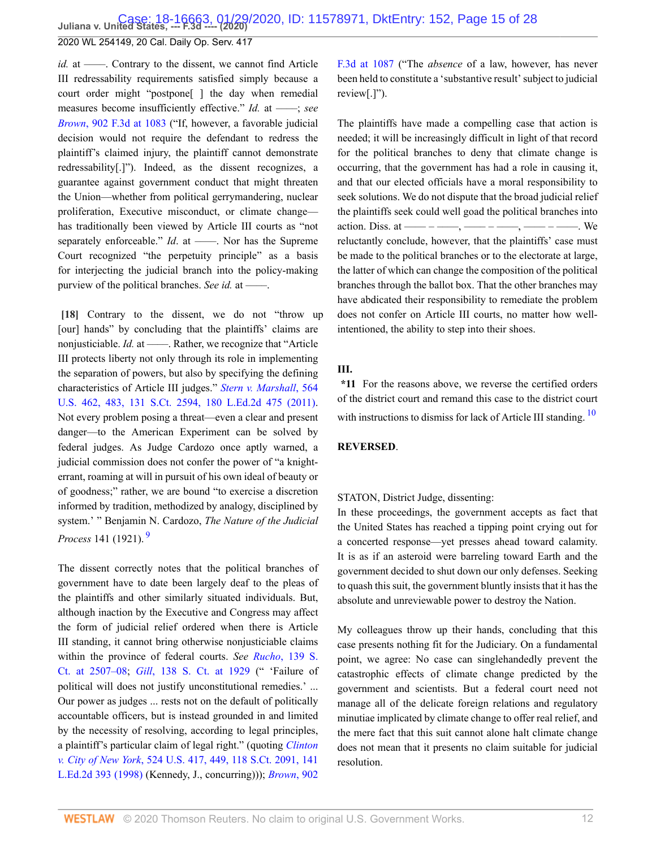**Juliana v. United States, --- F.3d ---- (2020)** Case: 18-16663, 01/29/2020, ID: 11578971, DktEntry: 152, Page 15 of 28

# 2020 WL 254149, 20 Cal. Daily Op. Serv. 417

*id.* at —––. Contrary to the dissent, we cannot find Article III redressability requirements satisfied simply because a court order might "postpone[ ] the day when remedial measures become insufficiently effective." *Id.* at —–; see *Brown*[, 902 F.3d at 1083](http://www.westlaw.com/Link/Document/FullText?findType=Y&serNum=2045432915&pubNum=0000506&originatingDoc=I92da3060396e11eabed3a1bc09b332eb&refType=RP&fi=co_pp_sp_506_1083&originationContext=document&vr=3.0&rs=cblt1.0&transitionType=DocumentItem&contextData=(sc.UserEnteredCitation)#co_pp_sp_506_1083) ("If, however, a favorable judicial decision would not require the defendant to redress the plaintiff's claimed injury, the plaintiff cannot demonstrate redressability[.]"). Indeed, as the dissent recognizes, a guarantee against government conduct that might threaten the Union—whether from political gerrymandering, nuclear proliferation, Executive misconduct, or climate change has traditionally been viewed by Article III courts as "not separately enforceable." *Id.* at ——. Nor has the Supreme Court recognized "the perpetuity principle" as a basis for interjecting the judicial branch into the policy-making purview of the political branches. *See id.* at ——.

<span id="page-14-0"></span>**[\[18\]](#page-6-3)** Contrary to the dissent, we do not "throw up [our] hands" by concluding that the plaintiffs' claims are nonjusticiable. *Id.* at ——. Rather, we recognize that "Article" III protects liberty not only through its role in implementing the separation of powers, but also by specifying the defining characteristics of Article III judges." *[Stern v. Marshall](http://www.westlaw.com/Link/Document/FullText?findType=Y&serNum=2025536615&pubNum=0000780&originatingDoc=I92da3060396e11eabed3a1bc09b332eb&refType=RP&fi=co_pp_sp_780_483&originationContext=document&vr=3.0&rs=cblt1.0&transitionType=DocumentItem&contextData=(sc.UserEnteredCitation)#co_pp_sp_780_483)*, 564 [U.S. 462, 483, 131 S.Ct. 2594, 180 L.Ed.2d 475 \(2011\)](http://www.westlaw.com/Link/Document/FullText?findType=Y&serNum=2025536615&pubNum=0000780&originatingDoc=I92da3060396e11eabed3a1bc09b332eb&refType=RP&fi=co_pp_sp_780_483&originationContext=document&vr=3.0&rs=cblt1.0&transitionType=DocumentItem&contextData=(sc.UserEnteredCitation)#co_pp_sp_780_483). Not every problem posing a threat—even a clear and present danger—to the American Experiment can be solved by federal judges. As Judge Cardozo once aptly warned, a judicial commission does not confer the power of "a knighterrant, roaming at will in pursuit of his own ideal of beauty or of goodness;" rather, we are bound "to exercise a discretion informed by tradition, methodized by analogy, disciplined by system.' " Benjamin N. Cardozo, *The Nature of the Judicial Process* 141 (1921). [9](#page-26-0)

<span id="page-14-1"></span>The dissent correctly notes that the political branches of government have to date been largely deaf to the pleas of the plaintiffs and other similarly situated individuals. But, although inaction by the Executive and Congress may affect the form of judicial relief ordered when there is Article III standing, it cannot bring otherwise nonjusticiable claims within the province of federal courts. *See Rucho*[, 139 S.](http://www.westlaw.com/Link/Document/FullText?findType=Y&serNum=2048580355&pubNum=0000708&originatingDoc=I92da3060396e11eabed3a1bc09b332eb&refType=RP&fi=co_pp_sp_708_2507&originationContext=document&vr=3.0&rs=cblt1.0&transitionType=DocumentItem&contextData=(sc.UserEnteredCitation)#co_pp_sp_708_2507) [Ct. at 2507–08;](http://www.westlaw.com/Link/Document/FullText?findType=Y&serNum=2048580355&pubNum=0000708&originatingDoc=I92da3060396e11eabed3a1bc09b332eb&refType=RP&fi=co_pp_sp_708_2507&originationContext=document&vr=3.0&rs=cblt1.0&transitionType=DocumentItem&contextData=(sc.UserEnteredCitation)#co_pp_sp_708_2507) *Gill*[, 138 S. Ct. at 1929](http://www.westlaw.com/Link/Document/FullText?findType=Y&serNum=2044758382&pubNum=0000708&originatingDoc=I92da3060396e11eabed3a1bc09b332eb&refType=RP&fi=co_pp_sp_708_1929&originationContext=document&vr=3.0&rs=cblt1.0&transitionType=DocumentItem&contextData=(sc.UserEnteredCitation)#co_pp_sp_708_1929) (" 'Failure of political will does not justify unconstitutional remedies.' ... Our power as judges ... rests not on the default of politically accountable officers, but is instead grounded in and limited by the necessity of resolving, according to legal principles, a plaintiff's particular claim of legal right." (quoting *[Clinton](http://www.westlaw.com/Link/Document/FullText?findType=Y&serNum=1998132149&pubNum=0000780&originatingDoc=I92da3060396e11eabed3a1bc09b332eb&refType=RP&fi=co_pp_sp_780_449&originationContext=document&vr=3.0&rs=cblt1.0&transitionType=DocumentItem&contextData=(sc.UserEnteredCitation)#co_pp_sp_780_449) v. City of New York*[, 524 U.S. 417, 449, 118 S.Ct. 2091, 141](http://www.westlaw.com/Link/Document/FullText?findType=Y&serNum=1998132149&pubNum=0000780&originatingDoc=I92da3060396e11eabed3a1bc09b332eb&refType=RP&fi=co_pp_sp_780_449&originationContext=document&vr=3.0&rs=cblt1.0&transitionType=DocumentItem&contextData=(sc.UserEnteredCitation)#co_pp_sp_780_449) [L.Ed.2d 393 \(1998\)](http://www.westlaw.com/Link/Document/FullText?findType=Y&serNum=1998132149&pubNum=0000780&originatingDoc=I92da3060396e11eabed3a1bc09b332eb&refType=RP&fi=co_pp_sp_780_449&originationContext=document&vr=3.0&rs=cblt1.0&transitionType=DocumentItem&contextData=(sc.UserEnteredCitation)#co_pp_sp_780_449) (Kennedy, J., concurring))); *[Brown](http://www.westlaw.com/Link/Document/FullText?findType=Y&serNum=2045432915&pubNum=0000506&originatingDoc=I92da3060396e11eabed3a1bc09b332eb&refType=RP&fi=co_pp_sp_506_1087&originationContext=document&vr=3.0&rs=cblt1.0&transitionType=DocumentItem&contextData=(sc.UserEnteredCitation)#co_pp_sp_506_1087)*, 902

[F.3d at 1087](http://www.westlaw.com/Link/Document/FullText?findType=Y&serNum=2045432915&pubNum=0000506&originatingDoc=I92da3060396e11eabed3a1bc09b332eb&refType=RP&fi=co_pp_sp_506_1087&originationContext=document&vr=3.0&rs=cblt1.0&transitionType=DocumentItem&contextData=(sc.UserEnteredCitation)#co_pp_sp_506_1087) ("The *absence* of a law, however, has never been held to constitute a 'substantive result' subject to judicial review[.]").

The plaintiffs have made a compelling case that action is needed; it will be increasingly difficult in light of that record for the political branches to deny that climate change is occurring, that the government has had a role in causing it, and that our elected officials have a moral responsibility to seek solutions. We do not dispute that the broad judicial relief the plaintiffs seek could well goad the political branches into action. Diss. at ——––——, ——––——, ——–– ———, We reluctantly conclude, however, that the plaintiffs' case must be made to the political branches or to the electorate at large, the latter of which can change the composition of the political branches through the ballot box. That the other branches may have abdicated their responsibility to remediate the problem does not confer on Article III courts, no matter how wellintentioned, the ability to step into their shoes.

#### **III.**

<span id="page-14-2"></span>**\*11** For the reasons above, we reverse the certified orders of the district court and remand this case to the district court with instructions to dismiss for lack of Article III standing.<sup>[10](#page-26-1)</sup>

#### **REVERSED**.

#### STATON, District Judge, dissenting:

In these proceedings, the government accepts as fact that the United States has reached a tipping point crying out for a concerted response—yet presses ahead toward calamity. It is as if an asteroid were barreling toward Earth and the government decided to shut down our only defenses. Seeking to quash this suit, the government bluntly insists that it has the absolute and unreviewable power to destroy the Nation.

My colleagues throw up their hands, concluding that this case presents nothing fit for the Judiciary. On a fundamental point, we agree: No case can singlehandedly prevent the catastrophic effects of climate change predicted by the government and scientists. But a federal court need not manage all of the delicate foreign relations and regulatory minutiae implicated by climate change to offer real relief, and the mere fact that this suit cannot alone halt climate change does not mean that it presents no claim suitable for judicial resolution.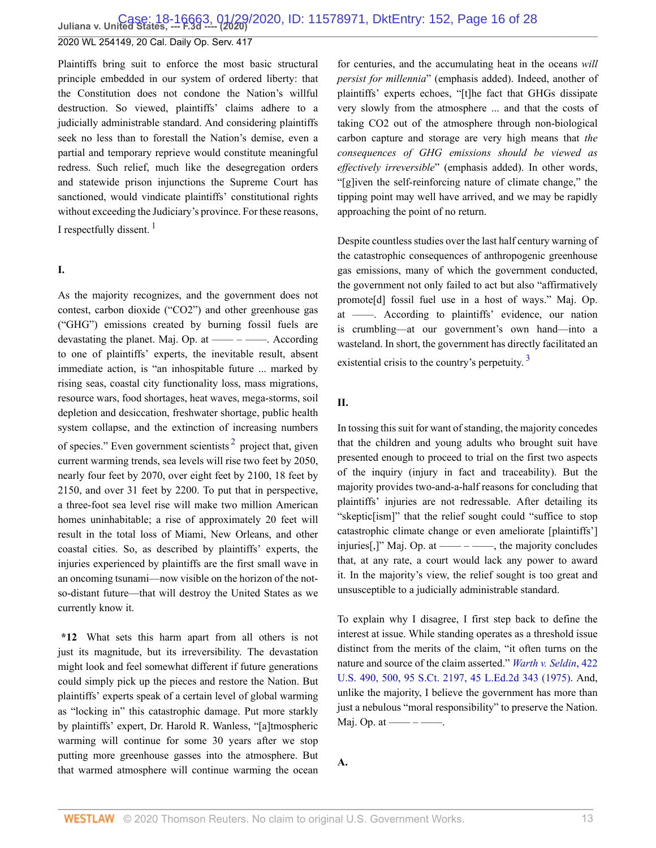**Juliana v. United States, --- F.3d ---- (2020)** Case: 18-16663, 01/29/2020, ID: 11578971, DktEntry: 152, Page 16 of 28

# 2020 WL 254149, 20 Cal. Daily Op. Serv. 417

Plaintiffs bring suit to enforce the most basic structural principle embedded in our system of ordered liberty: that the Constitution does not condone the Nation's willful destruction. So viewed, plaintiffs' claims adhere to a judicially administrable standard. And considering plaintiffs seek no less than to forestall the Nation's demise, even a partial and temporary reprieve would constitute meaningful redress. Such relief, much like the desegregation orders and statewide prison injunctions the Supreme Court has sanctioned, would vindicate plaintiffs' constitutional rights without exceeding the Judiciary's province. For these reasons, I respectfully dissent.  $\frac{1}{1}$  $\frac{1}{1}$  $\frac{1}{1}$ 

#### <span id="page-15-0"></span>**I.**

As the majority recognizes, and the government does not contest, carbon dioxide ("CO2") and other greenhouse gas ("GHG") emissions created by burning fossil fuels are devastating the planet. Maj. Op. at  $\frac{1}{\sqrt{2}}$  According to one of plaintiffs' experts, the inevitable result, absent immediate action, is "an inhospitable future ... marked by rising seas, coastal city functionality loss, mass migrations, resource wars, food shortages, heat waves, mega-storms, soil depletion and desiccation, freshwater shortage, public health system collapse, and the extinction of increasing numbers of species." Even government scientists  $2$  project that, given current warming trends, sea levels will rise two feet by 2050, nearly four feet by 2070, over eight feet by 2100, 18 feet by 2150, and over 31 feet by 2200. To put that in perspective, a three-foot sea level rise will make two million American homes uninhabitable; a rise of approximately 20 feet will result in the total loss of Miami, New Orleans, and other coastal cities. So, as described by plaintiffs' experts, the injuries experienced by plaintiffs are the first small wave in an oncoming tsunami—now visible on the horizon of the notso-distant future—that will destroy the United States as we currently know it.

**\*12** What sets this harm apart from all others is not just its magnitude, but its irreversibility. The devastation might look and feel somewhat different if future generations could simply pick up the pieces and restore the Nation. But plaintiffs' experts speak of a certain level of global warming as "locking in" this catastrophic damage. Put more starkly by plaintiffs' expert, Dr. Harold R. Wanless, "[a]tmospheric warming will continue for some 30 years after we stop putting more greenhouse gasses into the atmosphere. But that warmed atmosphere will continue warming the ocean

for centuries, and the accumulating heat in the oceans *will persist for millennia*" (emphasis added). Indeed, another of plaintiffs' experts echoes, "[t]he fact that GHGs dissipate very slowly from the atmosphere ... and that the costs of taking CO2 out of the atmosphere through non-biological carbon capture and storage are very high means that *the consequences of GHG emissions should be viewed as effectively irreversible*" (emphasis added). In other words, "[g]iven the self-reinforcing nature of climate change," the tipping point may well have arrived, and we may be rapidly approaching the point of no return.

Despite countless studies over the last half century warning of the catastrophic consequences of anthropogenic greenhouse gas emissions, many of which the government conducted, the government not only failed to act but also "affirmatively promote[d] fossil fuel use in a host of ways." Maj. Op. at ––––. According to plaintiffs' evidence, our nation is crumbling—at our government's own hand—into a wasteland. In short, the government has directly facilitated an existential crisis to the country's perpetuity.  $3$ 

#### <span id="page-15-2"></span>**II.**

<span id="page-15-1"></span>In tossing this suit for want of standing, the majority concedes that the children and young adults who brought suit have presented enough to proceed to trial on the first two aspects of the inquiry (injury in fact and traceability). But the majority provides two-and-a-half reasons for concluding that plaintiffs' injuries are not redressable. After detailing its "skeptic[ism]" that the relief sought could "suffice to stop catastrophic climate change or even ameliorate [plaintiffs'] injuries[,]" Maj. Op. at —— $\equiv$  – ——, the majority concludes that, at any rate, a court would lack any power to award it. In the majority's view, the relief sought is too great and unsusceptible to a judicially administrable standard.

To explain why I disagree, I first step back to define the interest at issue. While standing operates as a threshold issue distinct from the merits of the claim, "it often turns on the nature and source of the claim asserted." *[Warth v. Seldin](http://www.westlaw.com/Link/Document/FullText?findType=Y&serNum=1975129820&pubNum=0000780&originatingDoc=I92da3060396e11eabed3a1bc09b332eb&refType=RP&fi=co_pp_sp_780_500&originationContext=document&vr=3.0&rs=cblt1.0&transitionType=DocumentItem&contextData=(sc.UserEnteredCitation)#co_pp_sp_780_500)*, 422 [U.S. 490, 500, 95 S.Ct. 2197, 45 L.Ed.2d 343 \(1975\).](http://www.westlaw.com/Link/Document/FullText?findType=Y&serNum=1975129820&pubNum=0000780&originatingDoc=I92da3060396e11eabed3a1bc09b332eb&refType=RP&fi=co_pp_sp_780_500&originationContext=document&vr=3.0&rs=cblt1.0&transitionType=DocumentItem&contextData=(sc.UserEnteredCitation)#co_pp_sp_780_500) And, unlike the majority, I believe the government has more than just a nebulous "moral responsibility" to preserve the Nation. Maj. Op. at  $\_\_\_\_\_\_\_\_\_\_\_\_\_$ 

```
A.
```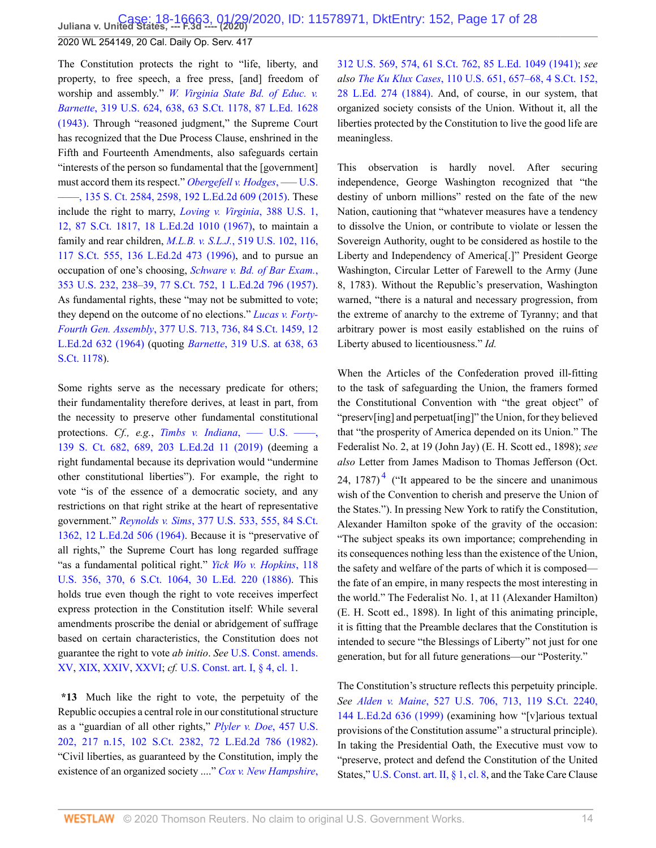**Juliana v. United States, --- F.3d ---- (2020)** Case: 18-16663, 01/29/2020, ID: 11578971, DktEntry: 152, Page 17 of 28

# 2020 WL 254149, 20 Cal. Daily Op. Serv. 417

The Constitution protects the right to "life, liberty, and property, to free speech, a free press, [and] freedom of worship and assembly." *[W. Virginia State Bd. of Educ. v.](http://www.westlaw.com/Link/Document/FullText?findType=Y&serNum=1943120939&pubNum=0000780&originatingDoc=I92da3060396e11eabed3a1bc09b332eb&refType=RP&fi=co_pp_sp_780_638&originationContext=document&vr=3.0&rs=cblt1.0&transitionType=DocumentItem&contextData=(sc.UserEnteredCitation)#co_pp_sp_780_638) Barnette*[, 319 U.S. 624, 638, 63 S.Ct. 1178, 87 L.Ed. 1628](http://www.westlaw.com/Link/Document/FullText?findType=Y&serNum=1943120939&pubNum=0000780&originatingDoc=I92da3060396e11eabed3a1bc09b332eb&refType=RP&fi=co_pp_sp_780_638&originationContext=document&vr=3.0&rs=cblt1.0&transitionType=DocumentItem&contextData=(sc.UserEnteredCitation)#co_pp_sp_780_638) [\(1943\).](http://www.westlaw.com/Link/Document/FullText?findType=Y&serNum=1943120939&pubNum=0000780&originatingDoc=I92da3060396e11eabed3a1bc09b332eb&refType=RP&fi=co_pp_sp_780_638&originationContext=document&vr=3.0&rs=cblt1.0&transitionType=DocumentItem&contextData=(sc.UserEnteredCitation)#co_pp_sp_780_638) Through "reasoned judgment," the Supreme Court has recognized that the Due Process Clause, enshrined in the Fifth and Fourteenth Amendments, also safeguards certain "interests of the person so fundamental that the [government] must accord them its respect." *[Obergefell v. Hodges](http://www.westlaw.com/Link/Document/FullText?findType=Y&serNum=2036545719&pubNum=0000708&originatingDoc=I92da3060396e11eabed3a1bc09b332eb&refType=RP&fi=co_pp_sp_708_2598&originationContext=document&vr=3.0&rs=cblt1.0&transitionType=DocumentItem&contextData=(sc.UserEnteredCitation)#co_pp_sp_708_2598)*, — U.S. [––––, 135 S. Ct. 2584, 2598, 192 L.Ed.2d 609 \(2015\)](http://www.westlaw.com/Link/Document/FullText?findType=Y&serNum=2036545719&pubNum=0000708&originatingDoc=I92da3060396e11eabed3a1bc09b332eb&refType=RP&fi=co_pp_sp_708_2598&originationContext=document&vr=3.0&rs=cblt1.0&transitionType=DocumentItem&contextData=(sc.UserEnteredCitation)#co_pp_sp_708_2598). These include the right to marry, *[Loving v. Virginia](http://www.westlaw.com/Link/Document/FullText?findType=Y&serNum=1967129542&pubNum=0000780&originatingDoc=I92da3060396e11eabed3a1bc09b332eb&refType=RP&fi=co_pp_sp_780_12&originationContext=document&vr=3.0&rs=cblt1.0&transitionType=DocumentItem&contextData=(sc.UserEnteredCitation)#co_pp_sp_780_12)*, 388 U.S. 1, [12, 87 S.Ct. 1817, 18 L.Ed.2d 1010 \(1967\),](http://www.westlaw.com/Link/Document/FullText?findType=Y&serNum=1967129542&pubNum=0000780&originatingDoc=I92da3060396e11eabed3a1bc09b332eb&refType=RP&fi=co_pp_sp_780_12&originationContext=document&vr=3.0&rs=cblt1.0&transitionType=DocumentItem&contextData=(sc.UserEnteredCitation)#co_pp_sp_780_12) to maintain a family and rear children, *M.L.B. v. S.L.J.*[, 519 U.S. 102, 116,](http://www.westlaw.com/Link/Document/FullText?findType=Y&serNum=1996273913&pubNum=0000780&originatingDoc=I92da3060396e11eabed3a1bc09b332eb&refType=RP&fi=co_pp_sp_780_116&originationContext=document&vr=3.0&rs=cblt1.0&transitionType=DocumentItem&contextData=(sc.UserEnteredCitation)#co_pp_sp_780_116) [117 S.Ct. 555, 136 L.Ed.2d 473 \(1996\),](http://www.westlaw.com/Link/Document/FullText?findType=Y&serNum=1996273913&pubNum=0000780&originatingDoc=I92da3060396e11eabed3a1bc09b332eb&refType=RP&fi=co_pp_sp_780_116&originationContext=document&vr=3.0&rs=cblt1.0&transitionType=DocumentItem&contextData=(sc.UserEnteredCitation)#co_pp_sp_780_116) and to pursue an occupation of one's choosing, *[Schware v. Bd. of Bar Exam.](http://www.westlaw.com/Link/Document/FullText?findType=Y&serNum=1957120350&pubNum=0000780&originatingDoc=I92da3060396e11eabed3a1bc09b332eb&refType=RP&fi=co_pp_sp_780_238&originationContext=document&vr=3.0&rs=cblt1.0&transitionType=DocumentItem&contextData=(sc.UserEnteredCitation)#co_pp_sp_780_238)*, [353 U.S. 232, 238–39, 77 S.Ct. 752, 1 L.Ed.2d 796 \(1957\)](http://www.westlaw.com/Link/Document/FullText?findType=Y&serNum=1957120350&pubNum=0000780&originatingDoc=I92da3060396e11eabed3a1bc09b332eb&refType=RP&fi=co_pp_sp_780_238&originationContext=document&vr=3.0&rs=cblt1.0&transitionType=DocumentItem&contextData=(sc.UserEnteredCitation)#co_pp_sp_780_238). As fundamental rights, these "may not be submitted to vote; they depend on the outcome of no elections." *[Lucas v. Forty-](http://www.westlaw.com/Link/Document/FullText?findType=Y&serNum=1964124848&pubNum=0000780&originatingDoc=I92da3060396e11eabed3a1bc09b332eb&refType=RP&fi=co_pp_sp_780_736&originationContext=document&vr=3.0&rs=cblt1.0&transitionType=DocumentItem&contextData=(sc.UserEnteredCitation)#co_pp_sp_780_736)Fourth Gen. Assembly*[, 377 U.S. 713, 736, 84 S.Ct. 1459, 12](http://www.westlaw.com/Link/Document/FullText?findType=Y&serNum=1964124848&pubNum=0000780&originatingDoc=I92da3060396e11eabed3a1bc09b332eb&refType=RP&fi=co_pp_sp_780_736&originationContext=document&vr=3.0&rs=cblt1.0&transitionType=DocumentItem&contextData=(sc.UserEnteredCitation)#co_pp_sp_780_736) [L.Ed.2d 632 \(1964\)](http://www.westlaw.com/Link/Document/FullText?findType=Y&serNum=1964124848&pubNum=0000780&originatingDoc=I92da3060396e11eabed3a1bc09b332eb&refType=RP&fi=co_pp_sp_780_736&originationContext=document&vr=3.0&rs=cblt1.0&transitionType=DocumentItem&contextData=(sc.UserEnteredCitation)#co_pp_sp_780_736) (quoting *Barnette*[, 319 U.S. at 638, 63](http://www.westlaw.com/Link/Document/FullText?findType=Y&serNum=1943120939&pubNum=0000780&originatingDoc=I92da3060396e11eabed3a1bc09b332eb&refType=RP&fi=co_pp_sp_780_638&originationContext=document&vr=3.0&rs=cblt1.0&transitionType=DocumentItem&contextData=(sc.UserEnteredCitation)#co_pp_sp_780_638) [S.Ct. 1178](http://www.westlaw.com/Link/Document/FullText?findType=Y&serNum=1943120939&pubNum=0000780&originatingDoc=I92da3060396e11eabed3a1bc09b332eb&refType=RP&fi=co_pp_sp_780_638&originationContext=document&vr=3.0&rs=cblt1.0&transitionType=DocumentItem&contextData=(sc.UserEnteredCitation)#co_pp_sp_780_638)).

Some rights serve as the necessary predicate for others; their fundamentality therefore derives, at least in part, from the necessity to preserve other fundamental constitutional protections. *Cf., e.g., Timbs v. Indiana*, — U.S. —–, [139 S. Ct. 682, 689, 203 L.Ed.2d 11 \(2019\)](http://www.westlaw.com/Link/Document/FullText?findType=Y&serNum=2047576340&pubNum=0000708&originatingDoc=I92da3060396e11eabed3a1bc09b332eb&refType=RP&fi=co_pp_sp_708_689&originationContext=document&vr=3.0&rs=cblt1.0&transitionType=DocumentItem&contextData=(sc.UserEnteredCitation)#co_pp_sp_708_689) (deeming a right fundamental because its deprivation would "undermine other constitutional liberties"). For example, the right to vote "is of the essence of a democratic society, and any restrictions on that right strike at the heart of representative government." *Reynolds v. Sims*[, 377 U.S. 533, 555, 84 S.Ct.](http://www.westlaw.com/Link/Document/FullText?findType=Y&serNum=1964124843&pubNum=0000780&originatingDoc=I92da3060396e11eabed3a1bc09b332eb&refType=RP&fi=co_pp_sp_780_555&originationContext=document&vr=3.0&rs=cblt1.0&transitionType=DocumentItem&contextData=(sc.UserEnteredCitation)#co_pp_sp_780_555) [1362, 12 L.Ed.2d 506 \(1964\)](http://www.westlaw.com/Link/Document/FullText?findType=Y&serNum=1964124843&pubNum=0000780&originatingDoc=I92da3060396e11eabed3a1bc09b332eb&refType=RP&fi=co_pp_sp_780_555&originationContext=document&vr=3.0&rs=cblt1.0&transitionType=DocumentItem&contextData=(sc.UserEnteredCitation)#co_pp_sp_780_555). Because it is "preservative of all rights," the Supreme Court has long regarded suffrage "as a fundamental political right." *[Yick Wo v. Hopkins](http://www.westlaw.com/Link/Document/FullText?findType=Y&serNum=1886180012&pubNum=0000780&originatingDoc=I92da3060396e11eabed3a1bc09b332eb&refType=RP&fi=co_pp_sp_780_370&originationContext=document&vr=3.0&rs=cblt1.0&transitionType=DocumentItem&contextData=(sc.UserEnteredCitation)#co_pp_sp_780_370)*, 118 [U.S. 356, 370, 6 S.Ct. 1064, 30 L.Ed. 220 \(1886\).](http://www.westlaw.com/Link/Document/FullText?findType=Y&serNum=1886180012&pubNum=0000780&originatingDoc=I92da3060396e11eabed3a1bc09b332eb&refType=RP&fi=co_pp_sp_780_370&originationContext=document&vr=3.0&rs=cblt1.0&transitionType=DocumentItem&contextData=(sc.UserEnteredCitation)#co_pp_sp_780_370) This holds true even though the right to vote receives imperfect express protection in the Constitution itself: While several amendments proscribe the denial or abridgement of suffrage based on certain characteristics, the Constitution does not guarantee the right to vote *ab initio*. *See* [U.S. Const. amends.](http://www.westlaw.com/Link/Document/FullText?findType=L&pubNum=1000583&cite=USCOAMENDXV&originatingDoc=I92da3060396e11eabed3a1bc09b332eb&refType=LQ&originationContext=document&vr=3.0&rs=cblt1.0&transitionType=DocumentItem&contextData=(sc.UserEnteredCitation)) [XV](http://www.westlaw.com/Link/Document/FullText?findType=L&pubNum=1000583&cite=USCOAMENDXV&originatingDoc=I92da3060396e11eabed3a1bc09b332eb&refType=LQ&originationContext=document&vr=3.0&rs=cblt1.0&transitionType=DocumentItem&contextData=(sc.UserEnteredCitation)), [XIX](http://www.westlaw.com/Link/Document/FullText?findType=L&pubNum=1000583&cite=USCOAMENDXIX&originatingDoc=I92da3060396e11eabed3a1bc09b332eb&refType=LQ&originationContext=document&vr=3.0&rs=cblt1.0&transitionType=DocumentItem&contextData=(sc.UserEnteredCitation)), [XXIV](http://www.westlaw.com/Link/Document/FullText?findType=L&pubNum=1000583&cite=USCOAMENDXXIV&originatingDoc=I92da3060396e11eabed3a1bc09b332eb&refType=LQ&originationContext=document&vr=3.0&rs=cblt1.0&transitionType=DocumentItem&contextData=(sc.UserEnteredCitation)), [XXVI](http://www.westlaw.com/Link/Document/FullText?findType=L&pubNum=1000583&cite=USCOAMENDXXVI&originatingDoc=I92da3060396e11eabed3a1bc09b332eb&refType=LQ&originationContext=document&vr=3.0&rs=cblt1.0&transitionType=DocumentItem&contextData=(sc.UserEnteredCitation)); *cf.* [U.S. Const. art. I, § 4, cl. 1.](http://www.westlaw.com/Link/Document/FullText?findType=L&pubNum=1000583&cite=USCOARTIS4CL1&originatingDoc=I92da3060396e11eabed3a1bc09b332eb&refType=LQ&originationContext=document&vr=3.0&rs=cblt1.0&transitionType=DocumentItem&contextData=(sc.UserEnteredCitation))

**\*13** Much like the right to vote, the perpetuity of the Republic occupies a central role in our constitutional structure as a "guardian of all other rights," *[Plyler v. Doe](http://www.westlaw.com/Link/Document/FullText?findType=Y&serNum=1982126797&pubNum=0000780&originatingDoc=I92da3060396e11eabed3a1bc09b332eb&refType=RP&fi=co_pp_sp_780_217&originationContext=document&vr=3.0&rs=cblt1.0&transitionType=DocumentItem&contextData=(sc.UserEnteredCitation)#co_pp_sp_780_217)*, 457 U.S. [202, 217 n.15, 102 S.Ct. 2382, 72 L.Ed.2d 786 \(1982\)](http://www.westlaw.com/Link/Document/FullText?findType=Y&serNum=1982126797&pubNum=0000780&originatingDoc=I92da3060396e11eabed3a1bc09b332eb&refType=RP&fi=co_pp_sp_780_217&originationContext=document&vr=3.0&rs=cblt1.0&transitionType=DocumentItem&contextData=(sc.UserEnteredCitation)#co_pp_sp_780_217). "Civil liberties, as guaranteed by the Constitution, imply the existence of an organized society ...." *[Cox v. New Hampshire](http://www.westlaw.com/Link/Document/FullText?findType=Y&serNum=1941124169&pubNum=0000780&originatingDoc=I92da3060396e11eabed3a1bc09b332eb&refType=RP&fi=co_pp_sp_780_574&originationContext=document&vr=3.0&rs=cblt1.0&transitionType=DocumentItem&contextData=(sc.UserEnteredCitation)#co_pp_sp_780_574)*, [312 U.S. 569, 574, 61 S.Ct. 762, 85 L.Ed. 1049 \(1941\)](http://www.westlaw.com/Link/Document/FullText?findType=Y&serNum=1941124169&pubNum=0000780&originatingDoc=I92da3060396e11eabed3a1bc09b332eb&refType=RP&fi=co_pp_sp_780_574&originationContext=document&vr=3.0&rs=cblt1.0&transitionType=DocumentItem&contextData=(sc.UserEnteredCitation)#co_pp_sp_780_574); *see also The Ku Klux Cases*[, 110 U.S. 651, 657–68, 4 S.Ct. 152,](http://www.westlaw.com/Link/Document/FullText?findType=Y&serNum=1884180083&pubNum=0000780&originatingDoc=I92da3060396e11eabed3a1bc09b332eb&refType=RP&fi=co_pp_sp_780_657&originationContext=document&vr=3.0&rs=cblt1.0&transitionType=DocumentItem&contextData=(sc.UserEnteredCitation)#co_pp_sp_780_657) [28 L.Ed. 274 \(1884\).](http://www.westlaw.com/Link/Document/FullText?findType=Y&serNum=1884180083&pubNum=0000780&originatingDoc=I92da3060396e11eabed3a1bc09b332eb&refType=RP&fi=co_pp_sp_780_657&originationContext=document&vr=3.0&rs=cblt1.0&transitionType=DocumentItem&contextData=(sc.UserEnteredCitation)#co_pp_sp_780_657) And, of course, in our system, that organized society consists of the Union. Without it, all the liberties protected by the Constitution to live the good life are meaningless.

This observation is hardly novel. After securing independence, George Washington recognized that "the destiny of unborn millions" rested on the fate of the new Nation, cautioning that "whatever measures have a tendency to dissolve the Union, or contribute to violate or lessen the Sovereign Authority, ought to be considered as hostile to the Liberty and Independency of America[.]" President George Washington, Circular Letter of Farewell to the Army (June 8, 1783). Without the Republic's preservation, Washington warned, "there is a natural and necessary progression, from the extreme of anarchy to the extreme of Tyranny; and that arbitrary power is most easily established on the ruins of Liberty abused to licentiousness." *Id.*

<span id="page-16-0"></span>When the Articles of the Confederation proved ill-fitting to the task of safeguarding the Union, the framers formed the Constitutional Convention with "the great object" of "preserv[ing] and perpetuat[ing]" the Union, for they believed that "the prosperity of America depended on its Union." The Federalist No. 2, at 19 (John Jay) (E. H. Scott ed., 1898); *see also* Letter from James Madison to Thomas Jefferson (Oct. 2[4](#page-26-5), 1787) $<sup>4</sup>$  ("It appeared to be the sincere and unanimous</sup> wish of the Convention to cherish and preserve the Union of the States."). In pressing New York to ratify the Constitution, Alexander Hamilton spoke of the gravity of the occasion: "The subject speaks its own importance; comprehending in its consequences nothing less than the existence of the Union, the safety and welfare of the parts of which it is composed the fate of an empire, in many respects the most interesting in the world." The Federalist No. 1, at 11 (Alexander Hamilton) (E. H. Scott ed., 1898). In light of this animating principle, it is fitting that the Preamble declares that the Constitution is intended to secure "the Blessings of Liberty" not just for one generation, but for all future generations—our "Posterity."

The Constitution's structure reflects this perpetuity principle. *See Alden v. Maine*[, 527 U.S. 706, 713, 119 S.Ct. 2240,](http://www.westlaw.com/Link/Document/FullText?findType=Y&serNum=1999146865&pubNum=0000780&originatingDoc=I92da3060396e11eabed3a1bc09b332eb&refType=RP&fi=co_pp_sp_780_713&originationContext=document&vr=3.0&rs=cblt1.0&transitionType=DocumentItem&contextData=(sc.UserEnteredCitation)#co_pp_sp_780_713) [144 L.Ed.2d 636 \(1999\)](http://www.westlaw.com/Link/Document/FullText?findType=Y&serNum=1999146865&pubNum=0000780&originatingDoc=I92da3060396e11eabed3a1bc09b332eb&refType=RP&fi=co_pp_sp_780_713&originationContext=document&vr=3.0&rs=cblt1.0&transitionType=DocumentItem&contextData=(sc.UserEnteredCitation)#co_pp_sp_780_713) (examining how "[v]arious textual provisions of the Constitution assume" a structural principle). In taking the Presidential Oath, the Executive must vow to "preserve, protect and defend the Constitution of the United States," [U.S. Const. art. II, § 1, cl. 8](http://www.westlaw.com/Link/Document/FullText?findType=L&pubNum=1000583&cite=USCOARTIIS1CL8&originatingDoc=I92da3060396e11eabed3a1bc09b332eb&refType=LQ&originationContext=document&vr=3.0&rs=cblt1.0&transitionType=DocumentItem&contextData=(sc.UserEnteredCitation)), and the Take Care Clause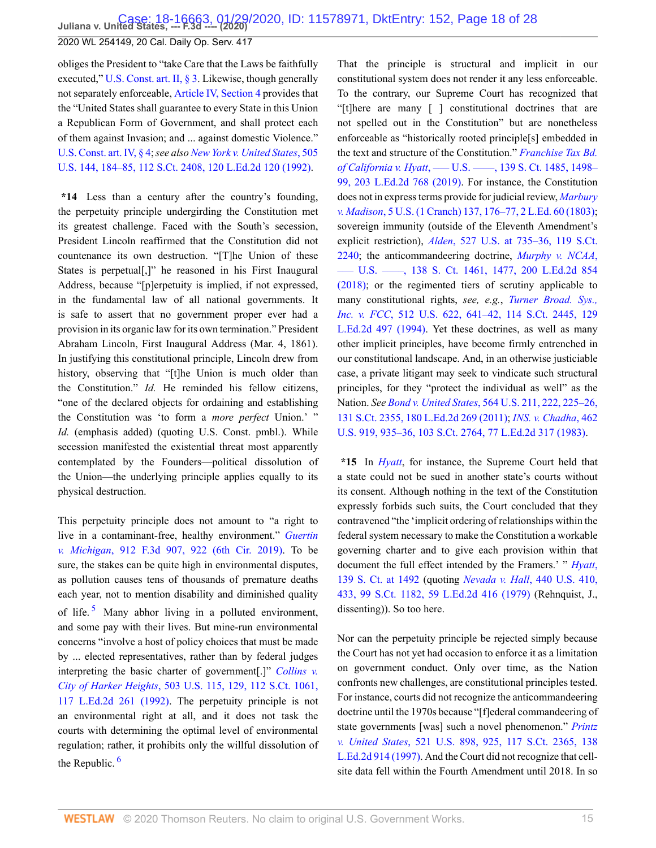obliges the President to "take Care that the Laws be faithfully executed," [U.S. Const. art. II, § 3](http://www.westlaw.com/Link/Document/FullText?findType=L&pubNum=1000583&cite=USCOARTIIS3&originatingDoc=I92da3060396e11eabed3a1bc09b332eb&refType=LQ&originationContext=document&vr=3.0&rs=cblt1.0&transitionType=DocumentItem&contextData=(sc.UserEnteredCitation)). Likewise, though generally not separately enforceable, [Article IV, Section 4](http://www.westlaw.com/Link/Document/FullText?findType=L&pubNum=1000583&cite=USCOARTIVS4&originatingDoc=I92da3060396e11eabed3a1bc09b332eb&refType=LQ&originationContext=document&vr=3.0&rs=cblt1.0&transitionType=DocumentItem&contextData=(sc.UserEnteredCitation)) provides that the "United States shall guarantee to every State in this Union a Republican Form of Government, and shall protect each of them against Invasion; and ... against domestic Violence." [U.S. Const. art. IV, § 4;](http://www.westlaw.com/Link/Document/FullText?findType=L&pubNum=1000583&cite=USCOARTIVS4&originatingDoc=I92da3060396e11eabed3a1bc09b332eb&refType=LQ&originationContext=document&vr=3.0&rs=cblt1.0&transitionType=DocumentItem&contextData=(sc.UserEnteredCitation)) *see also [New York v. United States](http://www.westlaw.com/Link/Document/FullText?findType=Y&serNum=1992111425&pubNum=0000780&originatingDoc=I92da3060396e11eabed3a1bc09b332eb&refType=RP&fi=co_pp_sp_780_184&originationContext=document&vr=3.0&rs=cblt1.0&transitionType=DocumentItem&contextData=(sc.UserEnteredCitation)#co_pp_sp_780_184)*, 505 [U.S. 144, 184–85, 112 S.Ct. 2408, 120 L.Ed.2d 120 \(1992\)](http://www.westlaw.com/Link/Document/FullText?findType=Y&serNum=1992111425&pubNum=0000780&originatingDoc=I92da3060396e11eabed3a1bc09b332eb&refType=RP&fi=co_pp_sp_780_184&originationContext=document&vr=3.0&rs=cblt1.0&transitionType=DocumentItem&contextData=(sc.UserEnteredCitation)#co_pp_sp_780_184).

**\*14** Less than a century after the country's founding, the perpetuity principle undergirding the Constitution met its greatest challenge. Faced with the South's secession, President Lincoln reaffirmed that the Constitution did not countenance its own destruction. "[T]he Union of these States is perpetual[,]" he reasoned in his First Inaugural Address, because "[p]erpetuity is implied, if not expressed, in the fundamental law of all national governments. It is safe to assert that no government proper ever had a provision in its organic law for its own termination." President Abraham Lincoln, First Inaugural Address (Mar. 4, 1861). In justifying this constitutional principle, Lincoln drew from history, observing that "[t]he Union is much older than the Constitution." *Id.* He reminded his fellow citizens, "one of the declared objects for ordaining and establishing the Constitution was 'to form a *more perfect* Union.' " *Id.* (emphasis added) (quoting U.S. Const. pmbl.). While secession manifested the existential threat most apparently contemplated by the Founders—political dissolution of the Union—the underlying principle applies equally to its physical destruction.

<span id="page-17-1"></span><span id="page-17-0"></span>This perpetuity principle does not amount to "a right to live in a contaminant-free, healthy environment." *[Guertin](http://www.westlaw.com/Link/Document/FullText?findType=Y&serNum=2047268502&pubNum=0000506&originatingDoc=I92da3060396e11eabed3a1bc09b332eb&refType=RP&fi=co_pp_sp_506_922&originationContext=document&vr=3.0&rs=cblt1.0&transitionType=DocumentItem&contextData=(sc.UserEnteredCitation)#co_pp_sp_506_922) v. Michigan*[, 912 F.3d 907, 922 \(6th Cir. 2019\).](http://www.westlaw.com/Link/Document/FullText?findType=Y&serNum=2047268502&pubNum=0000506&originatingDoc=I92da3060396e11eabed3a1bc09b332eb&refType=RP&fi=co_pp_sp_506_922&originationContext=document&vr=3.0&rs=cblt1.0&transitionType=DocumentItem&contextData=(sc.UserEnteredCitation)#co_pp_sp_506_922) To be sure, the stakes can be quite high in environmental disputes, as pollution causes tens of thousands of premature deaths each year, not to mention disability and diminished quality of life.<sup>[5](#page-26-6)</sup> Many abhor living in a polluted environment, and some pay with their lives. But mine-run environmental concerns "involve a host of policy choices that must be made by ... elected representatives, rather than by federal judges interpreting the basic charter of government[.]" *[Collins v.](http://www.westlaw.com/Link/Document/FullText?findType=Y&serNum=1992046698&pubNum=0000780&originatingDoc=I92da3060396e11eabed3a1bc09b332eb&refType=RP&fi=co_pp_sp_780_129&originationContext=document&vr=3.0&rs=cblt1.0&transitionType=DocumentItem&contextData=(sc.UserEnteredCitation)#co_pp_sp_780_129) City of Harker Heights*[, 503 U.S. 115, 129, 112 S.Ct. 1061,](http://www.westlaw.com/Link/Document/FullText?findType=Y&serNum=1992046698&pubNum=0000780&originatingDoc=I92da3060396e11eabed3a1bc09b332eb&refType=RP&fi=co_pp_sp_780_129&originationContext=document&vr=3.0&rs=cblt1.0&transitionType=DocumentItem&contextData=(sc.UserEnteredCitation)#co_pp_sp_780_129) [117 L.Ed.2d 261 \(1992\).](http://www.westlaw.com/Link/Document/FullText?findType=Y&serNum=1992046698&pubNum=0000780&originatingDoc=I92da3060396e11eabed3a1bc09b332eb&refType=RP&fi=co_pp_sp_780_129&originationContext=document&vr=3.0&rs=cblt1.0&transitionType=DocumentItem&contextData=(sc.UserEnteredCitation)#co_pp_sp_780_129) The perpetuity principle is not an environmental right at all, and it does not task the courts with determining the optimal level of environmental regulation; rather, it prohibits only the willful dissolution of the Republic.<sup>[6](#page-26-7)</sup>

That the principle is structural and implicit in our constitutional system does not render it any less enforceable. To the contrary, our Supreme Court has recognized that "[t]here are many [ ] constitutional doctrines that are not spelled out in the Constitution" but are nonetheless enforceable as "historically rooted principle[s] embedded in the text and structure of the Constitution." *[Franchise Tax Bd.](http://www.westlaw.com/Link/Document/FullText?findType=Y&serNum=2048247944&pubNum=0000708&originatingDoc=I92da3060396e11eabed3a1bc09b332eb&refType=RP&fi=co_pp_sp_708_1498&originationContext=document&vr=3.0&rs=cblt1.0&transitionType=DocumentItem&contextData=(sc.UserEnteredCitation)#co_pp_sp_708_1498) of California v. Hyatt*[, ––– U.S. ––––, 139 S. Ct. 1485, 1498–](http://www.westlaw.com/Link/Document/FullText?findType=Y&serNum=2048247944&pubNum=0000708&originatingDoc=I92da3060396e11eabed3a1bc09b332eb&refType=RP&fi=co_pp_sp_708_1498&originationContext=document&vr=3.0&rs=cblt1.0&transitionType=DocumentItem&contextData=(sc.UserEnteredCitation)#co_pp_sp_708_1498) [99, 203 L.Ed.2d 768 \(2019\).](http://www.westlaw.com/Link/Document/FullText?findType=Y&serNum=2048247944&pubNum=0000708&originatingDoc=I92da3060396e11eabed3a1bc09b332eb&refType=RP&fi=co_pp_sp_708_1498&originationContext=document&vr=3.0&rs=cblt1.0&transitionType=DocumentItem&contextData=(sc.UserEnteredCitation)#co_pp_sp_708_1498) For instance, the Constitution does not in express terms provide for judicial review, *[Marbury](http://www.westlaw.com/Link/Document/FullText?findType=Y&serNum=1801123932&pubNum=0000780&originatingDoc=I92da3060396e11eabed3a1bc09b332eb&refType=RP&fi=co_pp_sp_780_176&originationContext=document&vr=3.0&rs=cblt1.0&transitionType=DocumentItem&contextData=(sc.UserEnteredCitation)#co_pp_sp_780_176) v. Madison*[, 5 U.S. \(1 Cranch\) 137, 176–77, 2 L.Ed. 60 \(1803\)](http://www.westlaw.com/Link/Document/FullText?findType=Y&serNum=1801123932&pubNum=0000780&originatingDoc=I92da3060396e11eabed3a1bc09b332eb&refType=RP&fi=co_pp_sp_780_176&originationContext=document&vr=3.0&rs=cblt1.0&transitionType=DocumentItem&contextData=(sc.UserEnteredCitation)#co_pp_sp_780_176); sovereign immunity (outside of the Eleventh Amendment's explicit restriction), *Alden*[, 527 U.S. at 735–36, 119 S.Ct.](http://www.westlaw.com/Link/Document/FullText?findType=Y&serNum=1999146865&pubNum=0000780&originatingDoc=I92da3060396e11eabed3a1bc09b332eb&refType=RP&fi=co_pp_sp_780_735&originationContext=document&vr=3.0&rs=cblt1.0&transitionType=DocumentItem&contextData=(sc.UserEnteredCitation)#co_pp_sp_780_735) [2240](http://www.westlaw.com/Link/Document/FullText?findType=Y&serNum=1999146865&pubNum=0000780&originatingDoc=I92da3060396e11eabed3a1bc09b332eb&refType=RP&fi=co_pp_sp_780_735&originationContext=document&vr=3.0&rs=cblt1.0&transitionType=DocumentItem&contextData=(sc.UserEnteredCitation)#co_pp_sp_780_735); the anticommandeering doctrine, *[Murphy v. NCAA](http://www.westlaw.com/Link/Document/FullText?findType=Y&serNum=2044516253&pubNum=0000708&originatingDoc=I92da3060396e11eabed3a1bc09b332eb&refType=RP&fi=co_pp_sp_708_1477&originationContext=document&vr=3.0&rs=cblt1.0&transitionType=DocumentItem&contextData=(sc.UserEnteredCitation)#co_pp_sp_708_1477)*, [––– U.S. ––––, 138 S. Ct. 1461, 1477, 200 L.Ed.2d 854](http://www.westlaw.com/Link/Document/FullText?findType=Y&serNum=2044516253&pubNum=0000708&originatingDoc=I92da3060396e11eabed3a1bc09b332eb&refType=RP&fi=co_pp_sp_708_1477&originationContext=document&vr=3.0&rs=cblt1.0&transitionType=DocumentItem&contextData=(sc.UserEnteredCitation)#co_pp_sp_708_1477) [\(2018\);](http://www.westlaw.com/Link/Document/FullText?findType=Y&serNum=2044516253&pubNum=0000708&originatingDoc=I92da3060396e11eabed3a1bc09b332eb&refType=RP&fi=co_pp_sp_708_1477&originationContext=document&vr=3.0&rs=cblt1.0&transitionType=DocumentItem&contextData=(sc.UserEnteredCitation)#co_pp_sp_708_1477) or the regimented tiers of scrutiny applicable to many constitutional rights, *see, e.g.*, *[Turner Broad. Sys.,](http://www.westlaw.com/Link/Document/FullText?findType=Y&serNum=1994136435&pubNum=0000780&originatingDoc=I92da3060396e11eabed3a1bc09b332eb&refType=RP&fi=co_pp_sp_780_641&originationContext=document&vr=3.0&rs=cblt1.0&transitionType=DocumentItem&contextData=(sc.UserEnteredCitation)#co_pp_sp_780_641) Inc. v. FCC*[, 512 U.S. 622, 641–42, 114 S.Ct. 2445, 129](http://www.westlaw.com/Link/Document/FullText?findType=Y&serNum=1994136435&pubNum=0000780&originatingDoc=I92da3060396e11eabed3a1bc09b332eb&refType=RP&fi=co_pp_sp_780_641&originationContext=document&vr=3.0&rs=cblt1.0&transitionType=DocumentItem&contextData=(sc.UserEnteredCitation)#co_pp_sp_780_641) [L.Ed.2d 497 \(1994\)](http://www.westlaw.com/Link/Document/FullText?findType=Y&serNum=1994136435&pubNum=0000780&originatingDoc=I92da3060396e11eabed3a1bc09b332eb&refType=RP&fi=co_pp_sp_780_641&originationContext=document&vr=3.0&rs=cblt1.0&transitionType=DocumentItem&contextData=(sc.UserEnteredCitation)#co_pp_sp_780_641). Yet these doctrines, as well as many other implicit principles, have become firmly entrenched in our constitutional landscape. And, in an otherwise justiciable case, a private litigant may seek to vindicate such structural principles, for they "protect the individual as well" as the Nation. *See Bond v. United States*[, 564 U.S. 211, 222, 225–26,](http://www.westlaw.com/Link/Document/FullText?findType=Y&serNum=2025498884&pubNum=0000780&originatingDoc=I92da3060396e11eabed3a1bc09b332eb&refType=RP&fi=co_pp_sp_780_222&originationContext=document&vr=3.0&rs=cblt1.0&transitionType=DocumentItem&contextData=(sc.UserEnteredCitation)#co_pp_sp_780_222) [131 S.Ct. 2355, 180 L.Ed.2d 269 \(2011\);](http://www.westlaw.com/Link/Document/FullText?findType=Y&serNum=2025498884&pubNum=0000780&originatingDoc=I92da3060396e11eabed3a1bc09b332eb&refType=RP&fi=co_pp_sp_780_222&originationContext=document&vr=3.0&rs=cblt1.0&transitionType=DocumentItem&contextData=(sc.UserEnteredCitation)#co_pp_sp_780_222) *[INS. v. Chadha](http://www.westlaw.com/Link/Document/FullText?findType=Y&serNum=1983129415&pubNum=0000708&originatingDoc=I92da3060396e11eabed3a1bc09b332eb&refType=RP&fi=co_pp_sp_708_935&originationContext=document&vr=3.0&rs=cblt1.0&transitionType=DocumentItem&contextData=(sc.UserEnteredCitation)#co_pp_sp_708_935)*, 462 [U.S. 919, 935–36, 103 S.Ct. 2764, 77 L.Ed.2d 317 \(1983\).](http://www.westlaw.com/Link/Document/FullText?findType=Y&serNum=1983129415&pubNum=0000708&originatingDoc=I92da3060396e11eabed3a1bc09b332eb&refType=RP&fi=co_pp_sp_708_935&originationContext=document&vr=3.0&rs=cblt1.0&transitionType=DocumentItem&contextData=(sc.UserEnteredCitation)#co_pp_sp_708_935)

**\*15** In *[Hyatt](http://www.westlaw.com/Link/Document/FullText?findType=Y&serNum=2048247944&pubNum=0000708&originatingDoc=I92da3060396e11eabed3a1bc09b332eb&refType=RP&originationContext=document&vr=3.0&rs=cblt1.0&transitionType=DocumentItem&contextData=(sc.UserEnteredCitation))*, for instance, the Supreme Court held that a state could not be sued in another state's courts without its consent. Although nothing in the text of the Constitution expressly forbids such suits, the Court concluded that they contravened "the 'implicit ordering of relationships within the federal system necessary to make the Constitution a workable governing charter and to give each provision within that document the full effect intended by the Framers.' " *[Hyatt](http://www.westlaw.com/Link/Document/FullText?findType=Y&serNum=2048247944&pubNum=0000708&originatingDoc=I92da3060396e11eabed3a1bc09b332eb&refType=RP&fi=co_pp_sp_708_1492&originationContext=document&vr=3.0&rs=cblt1.0&transitionType=DocumentItem&contextData=(sc.UserEnteredCitation)#co_pp_sp_708_1492)*, [139 S. Ct. at 1492](http://www.westlaw.com/Link/Document/FullText?findType=Y&serNum=2048247944&pubNum=0000708&originatingDoc=I92da3060396e11eabed3a1bc09b332eb&refType=RP&fi=co_pp_sp_708_1492&originationContext=document&vr=3.0&rs=cblt1.0&transitionType=DocumentItem&contextData=(sc.UserEnteredCitation)#co_pp_sp_708_1492) (quoting *Nevada v. Hall*[, 440 U.S. 410,](http://www.westlaw.com/Link/Document/FullText?findType=Y&serNum=1979108044&pubNum=0000780&originatingDoc=I92da3060396e11eabed3a1bc09b332eb&refType=RP&fi=co_pp_sp_780_433&originationContext=document&vr=3.0&rs=cblt1.0&transitionType=DocumentItem&contextData=(sc.UserEnteredCitation)#co_pp_sp_780_433) [433, 99 S.Ct. 1182, 59 L.Ed.2d 416 \(1979\)](http://www.westlaw.com/Link/Document/FullText?findType=Y&serNum=1979108044&pubNum=0000780&originatingDoc=I92da3060396e11eabed3a1bc09b332eb&refType=RP&fi=co_pp_sp_780_433&originationContext=document&vr=3.0&rs=cblt1.0&transitionType=DocumentItem&contextData=(sc.UserEnteredCitation)#co_pp_sp_780_433) (Rehnquist, J., dissenting)). So too here.

Nor can the perpetuity principle be rejected simply because the Court has not yet had occasion to enforce it as a limitation on government conduct. Only over time, as the Nation confronts new challenges, are constitutional principles tested. For instance, courts did not recognize the anticommandeering doctrine until the 1970s because "[f]ederal commandeering of state governments [was] such a novel phenomenon." *[Printz](http://www.westlaw.com/Link/Document/FullText?findType=Y&serNum=1997135848&pubNum=0000780&originatingDoc=I92da3060396e11eabed3a1bc09b332eb&refType=RP&fi=co_pp_sp_780_925&originationContext=document&vr=3.0&rs=cblt1.0&transitionType=DocumentItem&contextData=(sc.UserEnteredCitation)#co_pp_sp_780_925) v. United States*[, 521 U.S. 898, 925, 117 S.Ct. 2365, 138](http://www.westlaw.com/Link/Document/FullText?findType=Y&serNum=1997135848&pubNum=0000780&originatingDoc=I92da3060396e11eabed3a1bc09b332eb&refType=RP&fi=co_pp_sp_780_925&originationContext=document&vr=3.0&rs=cblt1.0&transitionType=DocumentItem&contextData=(sc.UserEnteredCitation)#co_pp_sp_780_925) [L.Ed.2d 914 \(1997\)](http://www.westlaw.com/Link/Document/FullText?findType=Y&serNum=1997135848&pubNum=0000780&originatingDoc=I92da3060396e11eabed3a1bc09b332eb&refType=RP&fi=co_pp_sp_780_925&originationContext=document&vr=3.0&rs=cblt1.0&transitionType=DocumentItem&contextData=(sc.UserEnteredCitation)#co_pp_sp_780_925). And the Court did not recognize that cellsite data fell within the Fourth Amendment until 2018. In so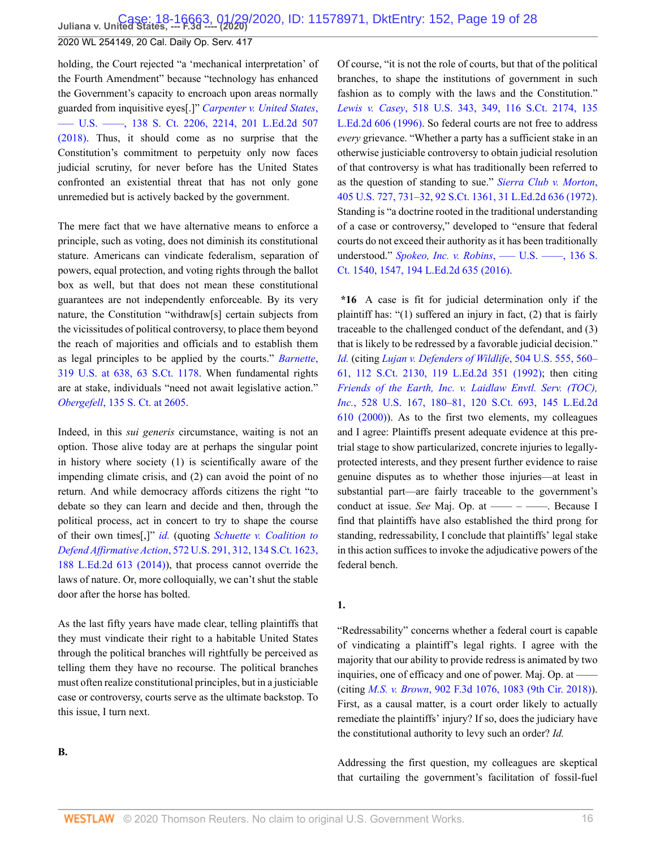holding, the Court rejected "a 'mechanical interpretation' of the Fourth Amendment" because "technology has enhanced the Government's capacity to encroach upon areas normally guarded from inquisitive eyes[.]" *[Carpenter v. United States](http://www.westlaw.com/Link/Document/FullText?findType=Y&serNum=2044792536&pubNum=0000708&originatingDoc=I92da3060396e11eabed3a1bc09b332eb&refType=RP&fi=co_pp_sp_708_2214&originationContext=document&vr=3.0&rs=cblt1.0&transitionType=DocumentItem&contextData=(sc.UserEnteredCitation)#co_pp_sp_708_2214)*, [––– U.S. ––––, 138 S. Ct. 2206, 2214, 201 L.Ed.2d 507](http://www.westlaw.com/Link/Document/FullText?findType=Y&serNum=2044792536&pubNum=0000708&originatingDoc=I92da3060396e11eabed3a1bc09b332eb&refType=RP&fi=co_pp_sp_708_2214&originationContext=document&vr=3.0&rs=cblt1.0&transitionType=DocumentItem&contextData=(sc.UserEnteredCitation)#co_pp_sp_708_2214) [\(2018\).](http://www.westlaw.com/Link/Document/FullText?findType=Y&serNum=2044792536&pubNum=0000708&originatingDoc=I92da3060396e11eabed3a1bc09b332eb&refType=RP&fi=co_pp_sp_708_2214&originationContext=document&vr=3.0&rs=cblt1.0&transitionType=DocumentItem&contextData=(sc.UserEnteredCitation)#co_pp_sp_708_2214) Thus, it should come as no surprise that the Constitution's commitment to perpetuity only now faces judicial scrutiny, for never before has the United States confronted an existential threat that has not only gone unremedied but is actively backed by the government.

The mere fact that we have alternative means to enforce a principle, such as voting, does not diminish its constitutional stature. Americans can vindicate federalism, separation of powers, equal protection, and voting rights through the ballot box as well, but that does not mean these constitutional guarantees are not independently enforceable. By its very nature, the Constitution "withdraw[s] certain subjects from the vicissitudes of political controversy, to place them beyond the reach of majorities and officials and to establish them as legal principles to be applied by the courts." *[Barnette](http://www.westlaw.com/Link/Document/FullText?findType=Y&serNum=1943120939&pubNum=0000780&originatingDoc=I92da3060396e11eabed3a1bc09b332eb&refType=RP&fi=co_pp_sp_780_638&originationContext=document&vr=3.0&rs=cblt1.0&transitionType=DocumentItem&contextData=(sc.UserEnteredCitation)#co_pp_sp_780_638)*, [319 U.S. at 638, 63 S.Ct. 1178.](http://www.westlaw.com/Link/Document/FullText?findType=Y&serNum=1943120939&pubNum=0000780&originatingDoc=I92da3060396e11eabed3a1bc09b332eb&refType=RP&fi=co_pp_sp_780_638&originationContext=document&vr=3.0&rs=cblt1.0&transitionType=DocumentItem&contextData=(sc.UserEnteredCitation)#co_pp_sp_780_638) When fundamental rights are at stake, individuals "need not await legislative action." *Obergefell*[, 135 S. Ct. at 2605.](http://www.westlaw.com/Link/Document/FullText?findType=Y&serNum=2036545719&pubNum=0000708&originatingDoc=I92da3060396e11eabed3a1bc09b332eb&refType=RP&fi=co_pp_sp_708_2605&originationContext=document&vr=3.0&rs=cblt1.0&transitionType=DocumentItem&contextData=(sc.UserEnteredCitation)#co_pp_sp_708_2605)

Indeed, in this *sui generis* circumstance, waiting is not an option. Those alive today are at perhaps the singular point in history where society (1) is scientifically aware of the impending climate crisis, and (2) can avoid the point of no return. And while democracy affords citizens the right "to debate so they can learn and decide and then, through the political process, act in concert to try to shape the course of their own times[,]" *[id.](http://www.westlaw.com/Link/Document/FullText?findType=Y&serNum=2036545719&pubNum=0000708&originatingDoc=I92da3060396e11eabed3a1bc09b332eb&refType=RP&originationContext=document&vr=3.0&rs=cblt1.0&transitionType=DocumentItem&contextData=(sc.UserEnteredCitation))* (quoting *[Schuette v. Coalition to](http://www.westlaw.com/Link/Document/FullText?findType=Y&serNum=2033232595&pubNum=0000780&originatingDoc=I92da3060396e11eabed3a1bc09b332eb&refType=RP&fi=co_pp_sp_780_312&originationContext=document&vr=3.0&rs=cblt1.0&transitionType=DocumentItem&contextData=(sc.UserEnteredCitation)#co_pp_sp_780_312) Defend Affirmative Action*[, 572 U.S. 291, 312, 134 S.Ct. 1623,](http://www.westlaw.com/Link/Document/FullText?findType=Y&serNum=2033232595&pubNum=0000780&originatingDoc=I92da3060396e11eabed3a1bc09b332eb&refType=RP&fi=co_pp_sp_780_312&originationContext=document&vr=3.0&rs=cblt1.0&transitionType=DocumentItem&contextData=(sc.UserEnteredCitation)#co_pp_sp_780_312) [188 L.Ed.2d 613 \(2014\)\)](http://www.westlaw.com/Link/Document/FullText?findType=Y&serNum=2033232595&pubNum=0000780&originatingDoc=I92da3060396e11eabed3a1bc09b332eb&refType=RP&fi=co_pp_sp_780_312&originationContext=document&vr=3.0&rs=cblt1.0&transitionType=DocumentItem&contextData=(sc.UserEnteredCitation)#co_pp_sp_780_312), that process cannot override the laws of nature. Or, more colloquially, we can't shut the stable door after the horse has bolted.

As the last fifty years have made clear, telling plaintiffs that they must vindicate their right to a habitable United States through the political branches will rightfully be perceived as telling them they have no recourse. The political branches must often realize constitutional principles, but in a justiciable case or controversy, courts serve as the ultimate backstop. To this issue, I turn next.

**B.**

Of course, "it is not the role of courts, but that of the political branches, to shape the institutions of government in such fashion as to comply with the laws and the Constitution." *Lewis v. Casey*[, 518 U.S. 343, 349, 116 S.Ct. 2174, 135](http://www.westlaw.com/Link/Document/FullText?findType=Y&serNum=1996140002&pubNum=0000780&originatingDoc=I92da3060396e11eabed3a1bc09b332eb&refType=RP&fi=co_pp_sp_780_349&originationContext=document&vr=3.0&rs=cblt1.0&transitionType=DocumentItem&contextData=(sc.UserEnteredCitation)#co_pp_sp_780_349) [L.Ed.2d 606 \(1996\)](http://www.westlaw.com/Link/Document/FullText?findType=Y&serNum=1996140002&pubNum=0000780&originatingDoc=I92da3060396e11eabed3a1bc09b332eb&refType=RP&fi=co_pp_sp_780_349&originationContext=document&vr=3.0&rs=cblt1.0&transitionType=DocumentItem&contextData=(sc.UserEnteredCitation)#co_pp_sp_780_349). So federal courts are not free to address *every* grievance. "Whether a party has a sufficient stake in an otherwise justiciable controversy to obtain judicial resolution of that controversy is what has traditionally been referred to as the question of standing to sue." *[Sierra Club v. Morton](http://www.westlaw.com/Link/Document/FullText?findType=Y&serNum=1972127106&pubNum=0000780&originatingDoc=I92da3060396e11eabed3a1bc09b332eb&refType=RP&fi=co_pp_sp_780_731&originationContext=document&vr=3.0&rs=cblt1.0&transitionType=DocumentItem&contextData=(sc.UserEnteredCitation)#co_pp_sp_780_731)*, [405 U.S. 727, 731–32, 92 S.Ct. 1361, 31 L.Ed.2d 636 \(1972\).](http://www.westlaw.com/Link/Document/FullText?findType=Y&serNum=1972127106&pubNum=0000780&originatingDoc=I92da3060396e11eabed3a1bc09b332eb&refType=RP&fi=co_pp_sp_780_731&originationContext=document&vr=3.0&rs=cblt1.0&transitionType=DocumentItem&contextData=(sc.UserEnteredCitation)#co_pp_sp_780_731) Standing is "a doctrine rooted in the traditional understanding of a case or controversy," developed to "ensure that federal courts do not exceed their authority as it has been traditionally understood." *Spokeo, Inc. v. Robins*, — U.S. — , 136 S. [Ct. 1540, 1547, 194 L.Ed.2d 635 \(2016\).](http://www.westlaw.com/Link/Document/FullText?findType=Y&serNum=2038848364&pubNum=0000708&originatingDoc=I92da3060396e11eabed3a1bc09b332eb&refType=RP&fi=co_pp_sp_708_1547&originationContext=document&vr=3.0&rs=cblt1.0&transitionType=DocumentItem&contextData=(sc.UserEnteredCitation)#co_pp_sp_708_1547)

**\*16** A case is fit for judicial determination only if the plaintiff has: "(1) suffered an injury in fact, (2) that is fairly traceable to the challenged conduct of the defendant, and (3) that is likely to be redressed by a favorable judicial decision." *[Id.](http://www.westlaw.com/Link/Document/FullText?findType=Y&serNum=2038848364&pubNum=0000708&originatingDoc=I92da3060396e11eabed3a1bc09b332eb&refType=RP&originationContext=document&vr=3.0&rs=cblt1.0&transitionType=DocumentItem&contextData=(sc.UserEnteredCitation))* (citing *[Lujan v. Defenders of Wildlife](http://www.westlaw.com/Link/Document/FullText?findType=Y&serNum=1992106162&pubNum=0000780&originatingDoc=I92da3060396e11eabed3a1bc09b332eb&refType=RP&fi=co_pp_sp_780_560&originationContext=document&vr=3.0&rs=cblt1.0&transitionType=DocumentItem&contextData=(sc.UserEnteredCitation)#co_pp_sp_780_560)*, 504 U.S. 555, 560– [61, 112 S.Ct. 2130, 119 L.Ed.2d 351 \(1992\);](http://www.westlaw.com/Link/Document/FullText?findType=Y&serNum=1992106162&pubNum=0000780&originatingDoc=I92da3060396e11eabed3a1bc09b332eb&refType=RP&fi=co_pp_sp_780_560&originationContext=document&vr=3.0&rs=cblt1.0&transitionType=DocumentItem&contextData=(sc.UserEnteredCitation)#co_pp_sp_780_560) then citing *[Friends of the Earth, Inc. v. Laidlaw Envtl. Serv. \(TOC\),](http://www.westlaw.com/Link/Document/FullText?findType=Y&serNum=2000029538&pubNum=0000780&originatingDoc=I92da3060396e11eabed3a1bc09b332eb&refType=RP&fi=co_pp_sp_780_180&originationContext=document&vr=3.0&rs=cblt1.0&transitionType=DocumentItem&contextData=(sc.UserEnteredCitation)#co_pp_sp_780_180) Inc.*[, 528 U.S. 167, 180–81, 120 S.Ct. 693, 145 L.Ed.2d](http://www.westlaw.com/Link/Document/FullText?findType=Y&serNum=2000029538&pubNum=0000780&originatingDoc=I92da3060396e11eabed3a1bc09b332eb&refType=RP&fi=co_pp_sp_780_180&originationContext=document&vr=3.0&rs=cblt1.0&transitionType=DocumentItem&contextData=(sc.UserEnteredCitation)#co_pp_sp_780_180) [610 \(2000\)](http://www.westlaw.com/Link/Document/FullText?findType=Y&serNum=2000029538&pubNum=0000780&originatingDoc=I92da3060396e11eabed3a1bc09b332eb&refType=RP&fi=co_pp_sp_780_180&originationContext=document&vr=3.0&rs=cblt1.0&transitionType=DocumentItem&contextData=(sc.UserEnteredCitation)#co_pp_sp_780_180)). As to the first two elements, my colleagues and I agree: Plaintiffs present adequate evidence at this pretrial stage to show particularized, concrete injuries to legallyprotected interests, and they present further evidence to raise genuine disputes as to whether those injuries—at least in substantial part—are fairly traceable to the government's conduct at issue. *See* Maj. Op. at —— – ——. Because I find that plaintiffs have also established the third prong for standing, redressability, I conclude that plaintiffs' legal stake in this action suffices to invoke the adjudicative powers of the federal bench.

#### **1.**

"Redressability" concerns whether a federal court is capable of vindicating a plaintiff's legal rights. I agree with the majority that our ability to provide redress is animated by two inquiries, one of efficacy and one of power. Maj. Op. at  $-$ (citing *M.S. v. Brown*[, 902 F.3d 1076, 1083 \(9th Cir. 2018\)](http://www.westlaw.com/Link/Document/FullText?findType=Y&serNum=2045432915&pubNum=0000506&originatingDoc=I92da3060396e11eabed3a1bc09b332eb&refType=RP&fi=co_pp_sp_506_1083&originationContext=document&vr=3.0&rs=cblt1.0&transitionType=DocumentItem&contextData=(sc.UserEnteredCitation)#co_pp_sp_506_1083)). First, as a causal matter, is a court order likely to actually remediate the plaintiffs' injury? If so, does the judiciary have the constitutional authority to levy such an order? *Id.*

Addressing the first question, my colleagues are skeptical that curtailing the government's facilitation of fossil-fuel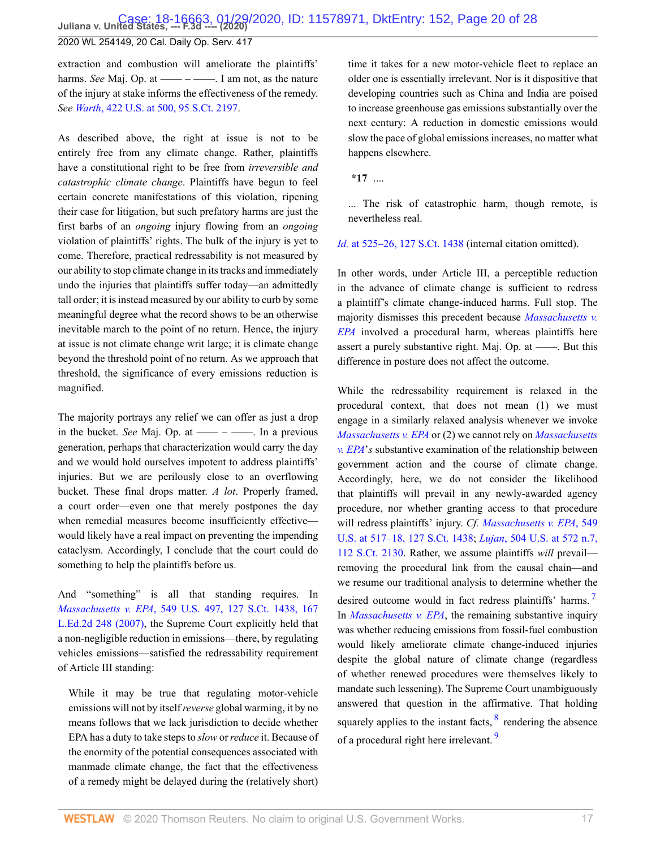**Juliana v. United States, --- F.3d ---- (2020)** Case: 18-16663, 01/29/2020, ID: 11578971, DktEntry: 152, Page 20 of 28

# 2020 WL 254149, 20 Cal. Daily Op. Serv. 417

extraction and combustion will ameliorate the plaintiffs' harms. *See* Maj. Op. at —— – ——. I am not, as the nature of the injury at stake informs the effectiveness of the remedy. *See Warth*[, 422 U.S. at 500, 95 S.Ct. 2197.](http://www.westlaw.com/Link/Document/FullText?findType=Y&serNum=1975129820&pubNum=0000780&originatingDoc=I92da3060396e11eabed3a1bc09b332eb&refType=RP&fi=co_pp_sp_780_500&originationContext=document&vr=3.0&rs=cblt1.0&transitionType=DocumentItem&contextData=(sc.UserEnteredCitation)#co_pp_sp_780_500)

As described above, the right at issue is not to be entirely free from any climate change. Rather, plaintiffs have a constitutional right to be free from *irreversible and catastrophic climate change*. Plaintiffs have begun to feel certain concrete manifestations of this violation, ripening their case for litigation, but such prefatory harms are just the first barbs of an *ongoing* injury flowing from an *ongoing* violation of plaintiffs' rights. The bulk of the injury is yet to come. Therefore, practical redressability is not measured by our ability to stop climate change in its tracks and immediately undo the injuries that plaintiffs suffer today—an admittedly tall order; it is instead measured by our ability to curb by some meaningful degree what the record shows to be an otherwise inevitable march to the point of no return. Hence, the injury at issue is not climate change writ large; it is climate change beyond the threshold point of no return. As we approach that threshold, the significance of every emissions reduction is magnified.

The majority portrays any relief we can offer as just a drop in the bucket. *See* Maj. Op. at —— – ——. In a previous generation, perhaps that characterization would carry the day and we would hold ourselves impotent to address plaintiffs' injuries. But we are perilously close to an overflowing bucket. These final drops matter. *A lot*. Properly framed, a court order—even one that merely postpones the day when remedial measures become insufficiently effective would likely have a real impact on preventing the impending cataclysm. Accordingly, I conclude that the court could do something to help the plaintiffs before us.

And "something" is all that standing requires. In *Massachusetts v. EPA*[, 549 U.S. 497, 127 S.Ct. 1438, 167](http://www.westlaw.com/Link/Document/FullText?findType=Y&serNum=2011843426&pubNum=0000708&originatingDoc=I92da3060396e11eabed3a1bc09b332eb&refType=RP&originationContext=document&vr=3.0&rs=cblt1.0&transitionType=DocumentItem&contextData=(sc.UserEnteredCitation)) [L.Ed.2d 248 \(2007\)](http://www.westlaw.com/Link/Document/FullText?findType=Y&serNum=2011843426&pubNum=0000708&originatingDoc=I92da3060396e11eabed3a1bc09b332eb&refType=RP&originationContext=document&vr=3.0&rs=cblt1.0&transitionType=DocumentItem&contextData=(sc.UserEnteredCitation)), the Supreme Court explicitly held that a non-negligible reduction in emissions—there, by regulating vehicles emissions—satisfied the redressability requirement of Article III standing:

While it may be true that regulating motor-vehicle emissions will not by itself *reverse* global warming, it by no means follows that we lack jurisdiction to decide whether EPA has a duty to take steps to *slow* or *reduce* it. Because of the enormity of the potential consequences associated with manmade climate change, the fact that the effectiveness of a remedy might be delayed during the (relatively short)

time it takes for a new motor-vehicle fleet to replace an older one is essentially irrelevant. Nor is it dispositive that developing countries such as China and India are poised to increase greenhouse gas emissions substantially over the next century: A reduction in domestic emissions would slow the pace of global emissions increases, no matter what happens elsewhere.

**\*17** ....

... The risk of catastrophic harm, though remote, is nevertheless real.

*Id.* [at 525–26, 127 S.Ct. 1438](http://www.westlaw.com/Link/Document/FullText?findType=Y&serNum=2011843426&pubNum=0000708&originatingDoc=I92da3060396e11eabed3a1bc09b332eb&refType=RP&fi=co_pp_sp_708_525&originationContext=document&vr=3.0&rs=cblt1.0&transitionType=DocumentItem&contextData=(sc.UserEnteredCitation)#co_pp_sp_708_525) (internal citation omitted).

In other words, under Article III, a perceptible reduction in the advance of climate change is sufficient to redress a plaintiff's climate change-induced harms. Full stop. The majority dismisses this precedent because *[Massachusetts v.](http://www.westlaw.com/Link/Document/FullText?findType=Y&serNum=2011843426&pubNum=0000780&originatingDoc=I92da3060396e11eabed3a1bc09b332eb&refType=RP&originationContext=document&vr=3.0&rs=cblt1.0&transitionType=DocumentItem&contextData=(sc.UserEnteredCitation)) [EPA](http://www.westlaw.com/Link/Document/FullText?findType=Y&serNum=2011843426&pubNum=0000780&originatingDoc=I92da3060396e11eabed3a1bc09b332eb&refType=RP&originationContext=document&vr=3.0&rs=cblt1.0&transitionType=DocumentItem&contextData=(sc.UserEnteredCitation))* involved a procedural harm, whereas plaintiffs here assert a purely substantive right. Maj. Op. at ——. But this difference in posture does not affect the outcome.

While the redressability requirement is relaxed in the procedural context, that does not mean (1) we must engage in a similarly relaxed analysis whenever we invoke *[Massachusetts v. EPA](http://www.westlaw.com/Link/Document/FullText?findType=Y&serNum=2011843426&pubNum=0000780&originatingDoc=I92da3060396e11eabed3a1bc09b332eb&refType=RP&originationContext=document&vr=3.0&rs=cblt1.0&transitionType=DocumentItem&contextData=(sc.UserEnteredCitation))* or (2) we cannot rely on *[Massachusetts](http://www.westlaw.com/Link/Document/FullText?findType=Y&serNum=2011843426&pubNum=0000780&originatingDoc=I92da3060396e11eabed3a1bc09b332eb&refType=RP&originationContext=document&vr=3.0&rs=cblt1.0&transitionType=DocumentItem&contextData=(sc.UserEnteredCitation)) [v. EPA](http://www.westlaw.com/Link/Document/FullText?findType=Y&serNum=2011843426&pubNum=0000780&originatingDoc=I92da3060396e11eabed3a1bc09b332eb&refType=RP&originationContext=document&vr=3.0&rs=cblt1.0&transitionType=DocumentItem&contextData=(sc.UserEnteredCitation))*'*s* substantive examination of the relationship between government action and the course of climate change. Accordingly, here, we do not consider the likelihood that plaintiffs will prevail in any newly-awarded agency procedure, nor whether granting access to that procedure will redress plaintiffs' injury. *Cf. [Massachusetts v. EPA](http://www.westlaw.com/Link/Document/FullText?findType=Y&serNum=2011843426&pubNum=0000780&originatingDoc=I92da3060396e11eabed3a1bc09b332eb&refType=RP&fi=co_pp_sp_780_517&originationContext=document&vr=3.0&rs=cblt1.0&transitionType=DocumentItem&contextData=(sc.UserEnteredCitation)#co_pp_sp_780_517)*, 549 [U.S. at 517–18, 127 S.Ct. 1438;](http://www.westlaw.com/Link/Document/FullText?findType=Y&serNum=2011843426&pubNum=0000780&originatingDoc=I92da3060396e11eabed3a1bc09b332eb&refType=RP&fi=co_pp_sp_780_517&originationContext=document&vr=3.0&rs=cblt1.0&transitionType=DocumentItem&contextData=(sc.UserEnteredCitation)#co_pp_sp_780_517) *Lujan*[, 504 U.S. at 572 n.7,](http://www.westlaw.com/Link/Document/FullText?findType=Y&serNum=1992106162&pubNum=0000780&originatingDoc=I92da3060396e11eabed3a1bc09b332eb&refType=RP&fi=co_pp_sp_780_572&originationContext=document&vr=3.0&rs=cblt1.0&transitionType=DocumentItem&contextData=(sc.UserEnteredCitation)#co_pp_sp_780_572) [112 S.Ct. 2130](http://www.westlaw.com/Link/Document/FullText?findType=Y&serNum=1992106162&pubNum=0000780&originatingDoc=I92da3060396e11eabed3a1bc09b332eb&refType=RP&fi=co_pp_sp_780_572&originationContext=document&vr=3.0&rs=cblt1.0&transitionType=DocumentItem&contextData=(sc.UserEnteredCitation)#co_pp_sp_780_572). Rather, we assume plaintiffs *will* prevail removing the procedural link from the causal chain—and we resume our traditional analysis to determine whether the

<span id="page-19-2"></span><span id="page-19-1"></span><span id="page-19-0"></span>desired outcome would in fact redress plaintiffs' harms.<sup>[7](#page-26-8)</sup> In *[Massachusetts v. EPA](http://www.westlaw.com/Link/Document/FullText?findType=Y&serNum=2011843426&pubNum=0000780&originatingDoc=I92da3060396e11eabed3a1bc09b332eb&refType=RP&originationContext=document&vr=3.0&rs=cblt1.0&transitionType=DocumentItem&contextData=(sc.UserEnteredCitation))*, the remaining substantive inquiry was whether reducing emissions from fossil-fuel combustion would likely ameliorate climate change-induced injuries despite the global nature of climate change (regardless of whether renewed procedures were themselves likely to mandate such lessening). The Supreme Court unambiguously answered that question in the affirmative. That holding squarely applies to the instant facts,  $\frac{8}{3}$  $\frac{8}{3}$  $\frac{8}{3}$  rendering the absence of a procedural right here irrelevant. [9](#page-26-10)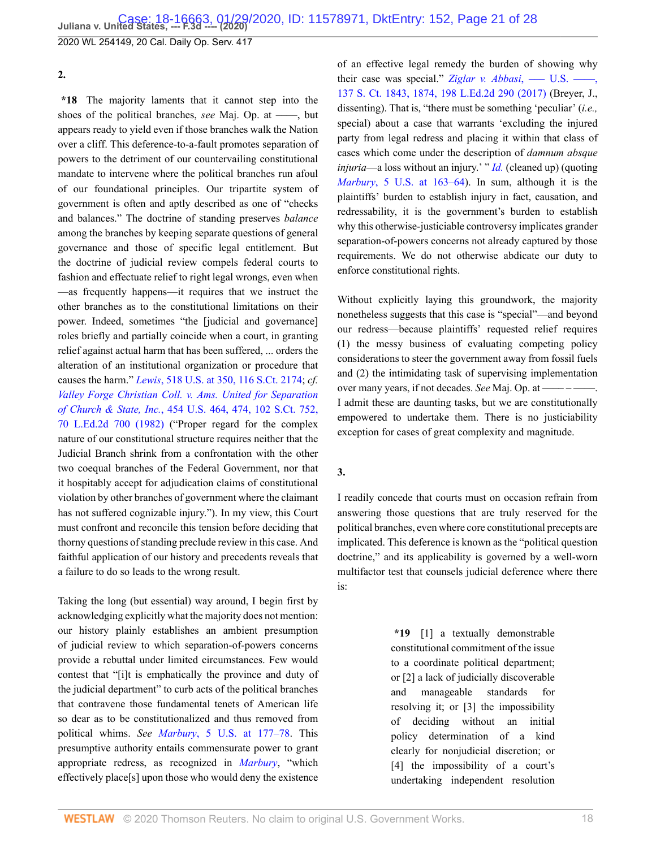#### **2.**

**\*18** The majority laments that it cannot step into the shoes of the political branches, *see* Maj. Op. at ——, but appears ready to yield even if those branches walk the Nation over a cliff. This deference-to-a-fault promotes separation of powers to the detriment of our countervailing constitutional mandate to intervene where the political branches run afoul of our foundational principles. Our tripartite system of government is often and aptly described as one of "checks and balances." The doctrine of standing preserves *balance* among the branches by keeping separate questions of general governance and those of specific legal entitlement. But the doctrine of judicial review compels federal courts to fashion and effectuate relief to right legal wrongs, even when —as frequently happens—it requires that we instruct the other branches as to the constitutional limitations on their power. Indeed, sometimes "the [judicial and governance] roles briefly and partially coincide when a court, in granting relief against actual harm that has been suffered, ... orders the alteration of an institutional organization or procedure that causes the harm." *Lewis*[, 518 U.S. at 350, 116 S.Ct. 2174](http://www.westlaw.com/Link/Document/FullText?findType=Y&serNum=1996140002&pubNum=0000780&originatingDoc=I92da3060396e11eabed3a1bc09b332eb&refType=RP&fi=co_pp_sp_780_350&originationContext=document&vr=3.0&rs=cblt1.0&transitionType=DocumentItem&contextData=(sc.UserEnteredCitation)#co_pp_sp_780_350); *cf. [Valley Forge Christian Coll. v. Ams. United for Separation](http://www.westlaw.com/Link/Document/FullText?findType=Y&serNum=1982102020&pubNum=0000780&originatingDoc=I92da3060396e11eabed3a1bc09b332eb&refType=RP&fi=co_pp_sp_780_474&originationContext=document&vr=3.0&rs=cblt1.0&transitionType=DocumentItem&contextData=(sc.UserEnteredCitation)#co_pp_sp_780_474) of Church & State, Inc.*[, 454 U.S. 464, 474, 102 S.Ct. 752,](http://www.westlaw.com/Link/Document/FullText?findType=Y&serNum=1982102020&pubNum=0000780&originatingDoc=I92da3060396e11eabed3a1bc09b332eb&refType=RP&fi=co_pp_sp_780_474&originationContext=document&vr=3.0&rs=cblt1.0&transitionType=DocumentItem&contextData=(sc.UserEnteredCitation)#co_pp_sp_780_474) [70 L.Ed.2d 700 \(1982\)](http://www.westlaw.com/Link/Document/FullText?findType=Y&serNum=1982102020&pubNum=0000780&originatingDoc=I92da3060396e11eabed3a1bc09b332eb&refType=RP&fi=co_pp_sp_780_474&originationContext=document&vr=3.0&rs=cblt1.0&transitionType=DocumentItem&contextData=(sc.UserEnteredCitation)#co_pp_sp_780_474) ("Proper regard for the complex nature of our constitutional structure requires neither that the Judicial Branch shrink from a confrontation with the other two coequal branches of the Federal Government, nor that it hospitably accept for adjudication claims of constitutional violation by other branches of government where the claimant has not suffered cognizable injury."). In my view, this Court must confront and reconcile this tension before deciding that thorny questions of standing preclude review in this case. And faithful application of our history and precedents reveals that a failure to do so leads to the wrong result.

Taking the long (but essential) way around, I begin first by acknowledging explicitly what the majority does not mention: our history plainly establishes an ambient presumption of judicial review to which separation-of-powers concerns provide a rebuttal under limited circumstances. Few would contest that "[i]t is emphatically the province and duty of the judicial department" to curb acts of the political branches that contravene those fundamental tenets of American life so dear as to be constitutionalized and thus removed from political whims. *See Marbury*[, 5 U.S. at 177–78.](http://www.westlaw.com/Link/Document/FullText?findType=Y&serNum=1801123932&pubNum=0000780&originatingDoc=I92da3060396e11eabed3a1bc09b332eb&refType=RP&fi=co_pp_sp_780_177&originationContext=document&vr=3.0&rs=cblt1.0&transitionType=DocumentItem&contextData=(sc.UserEnteredCitation)#co_pp_sp_780_177) This presumptive authority entails commensurate power to grant appropriate redress, as recognized in *[Marbury](http://www.westlaw.com/Link/Document/FullText?findType=Y&serNum=1801123932&pubNum=0000780&originatingDoc=I92da3060396e11eabed3a1bc09b332eb&refType=RP&originationContext=document&vr=3.0&rs=cblt1.0&transitionType=DocumentItem&contextData=(sc.UserEnteredCitation))*, "which effectively place[s] upon those who would deny the existence

of an effective legal remedy the burden of showing why their case was special." *Ziglar v. Abbasi*, — U.S. – [137 S. Ct. 1843, 1874, 198 L.Ed.2d 290 \(2017\)](http://www.westlaw.com/Link/Document/FullText?findType=Y&serNum=2041886070&pubNum=0000708&originatingDoc=I92da3060396e11eabed3a1bc09b332eb&refType=RP&fi=co_pp_sp_708_1874&originationContext=document&vr=3.0&rs=cblt1.0&transitionType=DocumentItem&contextData=(sc.UserEnteredCitation)#co_pp_sp_708_1874) (Breyer, J., dissenting). That is, "there must be something 'peculiar' (*i.e.,* special) about a case that warrants 'excluding the injured party from legal redress and placing it within that class of cases which come under the description of *damnum absque injuria*—a loss without an injury.' " *[Id.](http://www.westlaw.com/Link/Document/FullText?findType=Y&serNum=2041886070&pubNum=0000708&originatingDoc=I92da3060396e11eabed3a1bc09b332eb&refType=RP&originationContext=document&vr=3.0&rs=cblt1.0&transitionType=DocumentItem&contextData=(sc.UserEnteredCitation))* (cleaned up) (quoting *Marbury*[, 5 U.S. at 163–64\)](http://www.westlaw.com/Link/Document/FullText?findType=Y&serNum=1801123932&pubNum=0000780&originatingDoc=I92da3060396e11eabed3a1bc09b332eb&refType=RP&fi=co_pp_sp_780_163&originationContext=document&vr=3.0&rs=cblt1.0&transitionType=DocumentItem&contextData=(sc.UserEnteredCitation)#co_pp_sp_780_163). In sum, although it is the plaintiffs' burden to establish injury in fact, causation, and redressability, it is the government's burden to establish why this otherwise-justiciable controversy implicates grander separation-of-powers concerns not already captured by those requirements. We do not otherwise abdicate our duty to enforce constitutional rights.

Without explicitly laying this groundwork, the majority nonetheless suggests that this case is "special"—and beyond our redress—because plaintiffs' requested relief requires (1) the messy business of evaluating competing policy considerations to steer the government away from fossil fuels and (2) the intimidating task of supervising implementation over many years, if not decades. *See* Maj. Op. at —— – – I admit these are daunting tasks, but we are constitutionally empowered to undertake them. There is no justiciability exception for cases of great complexity and magnitude.

#### **3.**

I readily concede that courts must on occasion refrain from answering those questions that are truly reserved for the political branches, even where core constitutional precepts are implicated. This deference is known as the "political question doctrine," and its applicability is governed by a well-worn multifactor test that counsels judicial deference where there is:

> **\*19** [1] a textually demonstrable constitutional commitment of the issue to a coordinate political department; or [2] a lack of judicially discoverable and manageable standards for resolving it; or [3] the impossibility of deciding without an initial policy determination of a kind clearly for nonjudicial discretion; or [4] the impossibility of a court's undertaking independent resolution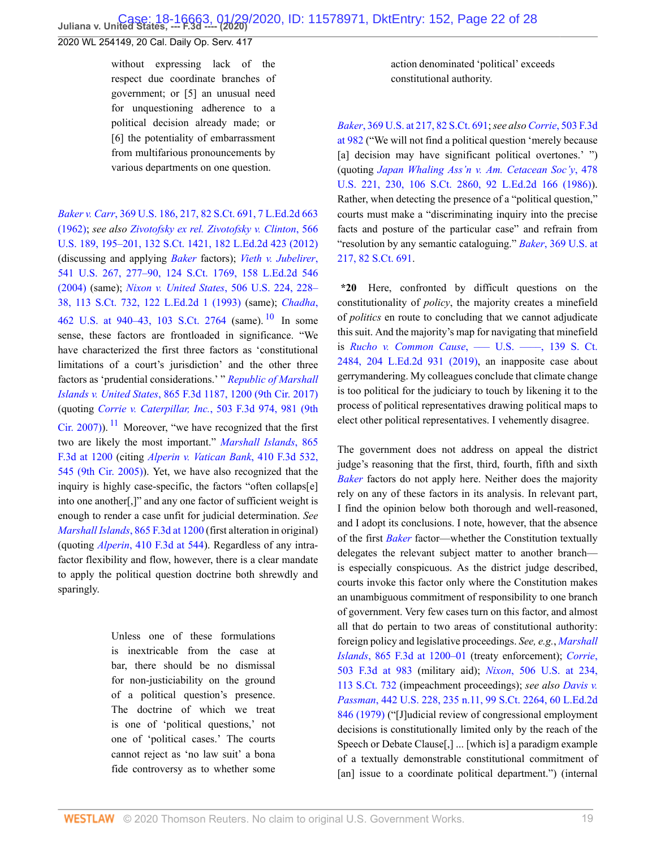without expressing lack of the respect due coordinate branches of government; or [5] an unusual need for unquestioning adherence to a political decision already made; or [6] the potentiality of embarrassment from multifarious pronouncements by various departments on one question.

<span id="page-21-1"></span>*Baker v. Carr*[, 369 U.S. 186, 217, 82 S.Ct. 691, 7 L.Ed.2d 663](http://www.westlaw.com/Link/Document/FullText?findType=Y&serNum=1962127595&pubNum=0000780&originatingDoc=I92da3060396e11eabed3a1bc09b332eb&refType=RP&fi=co_pp_sp_780_217&originationContext=document&vr=3.0&rs=cblt1.0&transitionType=DocumentItem&contextData=(sc.UserEnteredCitation)#co_pp_sp_780_217) [\(1962\);](http://www.westlaw.com/Link/Document/FullText?findType=Y&serNum=1962127595&pubNum=0000780&originatingDoc=I92da3060396e11eabed3a1bc09b332eb&refType=RP&fi=co_pp_sp_780_217&originationContext=document&vr=3.0&rs=cblt1.0&transitionType=DocumentItem&contextData=(sc.UserEnteredCitation)#co_pp_sp_780_217) *see also [Zivotofsky ex rel. Zivotofsky v. Clinton](http://www.westlaw.com/Link/Document/FullText?findType=Y&serNum=2027373452&pubNum=0000780&originatingDoc=I92da3060396e11eabed3a1bc09b332eb&refType=RP&fi=co_pp_sp_780_195&originationContext=document&vr=3.0&rs=cblt1.0&transitionType=DocumentItem&contextData=(sc.UserEnteredCitation)#co_pp_sp_780_195)*, 566 [U.S. 189, 195–201, 132 S.Ct. 1421, 182 L.Ed.2d 423 \(2012\)](http://www.westlaw.com/Link/Document/FullText?findType=Y&serNum=2027373452&pubNum=0000780&originatingDoc=I92da3060396e11eabed3a1bc09b332eb&refType=RP&fi=co_pp_sp_780_195&originationContext=document&vr=3.0&rs=cblt1.0&transitionType=DocumentItem&contextData=(sc.UserEnteredCitation)#co_pp_sp_780_195) (discussing and applying *[Baker](http://www.westlaw.com/Link/Document/FullText?findType=Y&serNum=1962127595&pubNum=0000780&originatingDoc=I92da3060396e11eabed3a1bc09b332eb&refType=RP&originationContext=document&vr=3.0&rs=cblt1.0&transitionType=DocumentItem&contextData=(sc.UserEnteredCitation))* factors); *[Vieth v. Jubelirer](http://www.westlaw.com/Link/Document/FullText?findType=Y&serNum=2004373924&pubNum=0000780&originatingDoc=I92da3060396e11eabed3a1bc09b332eb&refType=RP&fi=co_pp_sp_780_277&originationContext=document&vr=3.0&rs=cblt1.0&transitionType=DocumentItem&contextData=(sc.UserEnteredCitation)#co_pp_sp_780_277)*, [541 U.S. 267, 277–90, 124 S.Ct. 1769, 158 L.Ed.2d 546](http://www.westlaw.com/Link/Document/FullText?findType=Y&serNum=2004373924&pubNum=0000780&originatingDoc=I92da3060396e11eabed3a1bc09b332eb&refType=RP&fi=co_pp_sp_780_277&originationContext=document&vr=3.0&rs=cblt1.0&transitionType=DocumentItem&contextData=(sc.UserEnteredCitation)#co_pp_sp_780_277) [\(2004\)](http://www.westlaw.com/Link/Document/FullText?findType=Y&serNum=2004373924&pubNum=0000780&originatingDoc=I92da3060396e11eabed3a1bc09b332eb&refType=RP&fi=co_pp_sp_780_277&originationContext=document&vr=3.0&rs=cblt1.0&transitionType=DocumentItem&contextData=(sc.UserEnteredCitation)#co_pp_sp_780_277) (same); *[Nixon v. United States](http://www.westlaw.com/Link/Document/FullText?findType=Y&serNum=1993024744&pubNum=0000780&originatingDoc=I92da3060396e11eabed3a1bc09b332eb&refType=RP&fi=co_pp_sp_780_228&originationContext=document&vr=3.0&rs=cblt1.0&transitionType=DocumentItem&contextData=(sc.UserEnteredCitation)#co_pp_sp_780_228)*, 506 U.S. 224, 228– [38, 113 S.Ct. 732, 122 L.Ed.2d 1 \(1993\)](http://www.westlaw.com/Link/Document/FullText?findType=Y&serNum=1993024744&pubNum=0000780&originatingDoc=I92da3060396e11eabed3a1bc09b332eb&refType=RP&fi=co_pp_sp_780_228&originationContext=document&vr=3.0&rs=cblt1.0&transitionType=DocumentItem&contextData=(sc.UserEnteredCitation)#co_pp_sp_780_228) (same); *[Chadha](http://www.westlaw.com/Link/Document/FullText?findType=Y&serNum=1983129415&pubNum=0000780&originatingDoc=I92da3060396e11eabed3a1bc09b332eb&refType=RP&fi=co_pp_sp_780_940&originationContext=document&vr=3.0&rs=cblt1.0&transitionType=DocumentItem&contextData=(sc.UserEnteredCitation)#co_pp_sp_780_940)*, [462 U.S. at 940–43, 103 S.Ct. 2764](http://www.westlaw.com/Link/Document/FullText?findType=Y&serNum=1983129415&pubNum=0000780&originatingDoc=I92da3060396e11eabed3a1bc09b332eb&refType=RP&fi=co_pp_sp_780_940&originationContext=document&vr=3.0&rs=cblt1.0&transitionType=DocumentItem&contextData=(sc.UserEnteredCitation)#co_pp_sp_780_940) (same). [10](#page-26-11) In some sense, these factors are frontloaded in significance. "We have characterized the first three factors as 'constitutional limitations of a court's jurisdiction' and the other three factors as 'prudential considerations.' " *[Republic of Marshall](http://www.westlaw.com/Link/Document/FullText?findType=Y&serNum=2042275220&pubNum=0000506&originatingDoc=I92da3060396e11eabed3a1bc09b332eb&refType=RP&fi=co_pp_sp_506_1200&originationContext=document&vr=3.0&rs=cblt1.0&transitionType=DocumentItem&contextData=(sc.UserEnteredCitation)#co_pp_sp_506_1200) Islands v. United States*[, 865 F.3d 1187, 1200 \(9th Cir. 2017\)](http://www.westlaw.com/Link/Document/FullText?findType=Y&serNum=2042275220&pubNum=0000506&originatingDoc=I92da3060396e11eabed3a1bc09b332eb&refType=RP&fi=co_pp_sp_506_1200&originationContext=document&vr=3.0&rs=cblt1.0&transitionType=DocumentItem&contextData=(sc.UserEnteredCitation)#co_pp_sp_506_1200) (quoting *[Corrie v. Caterpillar, Inc.](http://www.westlaw.com/Link/Document/FullText?findType=Y&serNum=2013188929&pubNum=0000506&originatingDoc=I92da3060396e11eabed3a1bc09b332eb&refType=RP&fi=co_pp_sp_506_981&originationContext=document&vr=3.0&rs=cblt1.0&transitionType=DocumentItem&contextData=(sc.UserEnteredCitation)#co_pp_sp_506_981)*, 503 F.3d 974, 981 (9th [Cir. 2007\)](http://www.westlaw.com/Link/Document/FullText?findType=Y&serNum=2013188929&pubNum=0000506&originatingDoc=I92da3060396e11eabed3a1bc09b332eb&refType=RP&fi=co_pp_sp_506_981&originationContext=document&vr=3.0&rs=cblt1.0&transitionType=DocumentItem&contextData=(sc.UserEnteredCitation)#co_pp_sp_506_981)).  $^{11}$  $^{11}$  $^{11}$  Moreover, "we have recognized that the first two are likely the most important." *[Marshall Islands](http://www.westlaw.com/Link/Document/FullText?findType=Y&serNum=2042275220&pubNum=0000506&originatingDoc=I92da3060396e11eabed3a1bc09b332eb&refType=RP&fi=co_pp_sp_506_1200&originationContext=document&vr=3.0&rs=cblt1.0&transitionType=DocumentItem&contextData=(sc.UserEnteredCitation)#co_pp_sp_506_1200)*, 865 [F.3d at 1200](http://www.westlaw.com/Link/Document/FullText?findType=Y&serNum=2042275220&pubNum=0000506&originatingDoc=I92da3060396e11eabed3a1bc09b332eb&refType=RP&fi=co_pp_sp_506_1200&originationContext=document&vr=3.0&rs=cblt1.0&transitionType=DocumentItem&contextData=(sc.UserEnteredCitation)#co_pp_sp_506_1200) (citing *[Alperin v. Vatican Bank](http://www.westlaw.com/Link/Document/FullText?findType=Y&serNum=2006765481&pubNum=0000506&originatingDoc=I92da3060396e11eabed3a1bc09b332eb&refType=RP&fi=co_pp_sp_506_545&originationContext=document&vr=3.0&rs=cblt1.0&transitionType=DocumentItem&contextData=(sc.UserEnteredCitation)#co_pp_sp_506_545)*, 410 F.3d 532, [545 \(9th Cir. 2005\)](http://www.westlaw.com/Link/Document/FullText?findType=Y&serNum=2006765481&pubNum=0000506&originatingDoc=I92da3060396e11eabed3a1bc09b332eb&refType=RP&fi=co_pp_sp_506_545&originationContext=document&vr=3.0&rs=cblt1.0&transitionType=DocumentItem&contextData=(sc.UserEnteredCitation)#co_pp_sp_506_545)). Yet, we have also recognized that the inquiry is highly case-specific, the factors "often collaps[e] into one another[,]" and any one factor of sufficient weight is enough to render a case unfit for judicial determination. *See Marshall Islands*[, 865 F.3d at 1200](http://www.westlaw.com/Link/Document/FullText?findType=Y&serNum=2042275220&pubNum=0000506&originatingDoc=I92da3060396e11eabed3a1bc09b332eb&refType=RP&fi=co_pp_sp_506_1200&originationContext=document&vr=3.0&rs=cblt1.0&transitionType=DocumentItem&contextData=(sc.UserEnteredCitation)#co_pp_sp_506_1200) (first alteration in original) (quoting *Alperin*[, 410 F.3d at 544](http://www.westlaw.com/Link/Document/FullText?findType=Y&serNum=2006765481&pubNum=0000506&originatingDoc=I92da3060396e11eabed3a1bc09b332eb&refType=RP&fi=co_pp_sp_506_544&originationContext=document&vr=3.0&rs=cblt1.0&transitionType=DocumentItem&contextData=(sc.UserEnteredCitation)#co_pp_sp_506_544)). Regardless of any intrafactor flexibility and flow, however, there is a clear mandate to apply the political question doctrine both shrewdly and sparingly.

> Unless one of these formulations is inextricable from the case at bar, there should be no dismissal for non-justiciability on the ground of a political question's presence. The doctrine of which we treat is one of 'political questions,' not one of 'political cases.' The courts cannot reject as 'no law suit' a bona fide controversy as to whether some

action denominated 'political' exceeds constitutional authority.

*Baker*[, 369 U.S. at 217, 82 S.Ct. 691;](http://www.westlaw.com/Link/Document/FullText?findType=Y&serNum=1962127595&pubNum=0000780&originatingDoc=I92da3060396e11eabed3a1bc09b332eb&refType=RP&fi=co_pp_sp_780_217&originationContext=document&vr=3.0&rs=cblt1.0&transitionType=DocumentItem&contextData=(sc.UserEnteredCitation)#co_pp_sp_780_217) *see also Corrie*[, 503 F.3d](http://www.westlaw.com/Link/Document/FullText?findType=Y&serNum=2013188929&pubNum=0000506&originatingDoc=I92da3060396e11eabed3a1bc09b332eb&refType=RP&fi=co_pp_sp_506_982&originationContext=document&vr=3.0&rs=cblt1.0&transitionType=DocumentItem&contextData=(sc.UserEnteredCitation)#co_pp_sp_506_982) [at 982](http://www.westlaw.com/Link/Document/FullText?findType=Y&serNum=2013188929&pubNum=0000506&originatingDoc=I92da3060396e11eabed3a1bc09b332eb&refType=RP&fi=co_pp_sp_506_982&originationContext=document&vr=3.0&rs=cblt1.0&transitionType=DocumentItem&contextData=(sc.UserEnteredCitation)#co_pp_sp_506_982) ("We will not find a political question 'merely because [a] decision may have significant political overtones.' ") (quoting *[Japan Whaling Ass'n v. Am. Cetacean Soc'y](http://www.westlaw.com/Link/Document/FullText?findType=Y&serNum=1986133441&pubNum=0000708&originatingDoc=I92da3060396e11eabed3a1bc09b332eb&refType=RP&fi=co_pp_sp_708_230&originationContext=document&vr=3.0&rs=cblt1.0&transitionType=DocumentItem&contextData=(sc.UserEnteredCitation)#co_pp_sp_708_230)*, 478 [U.S. 221, 230, 106 S.Ct. 2860, 92 L.Ed.2d 166 \(1986\)](http://www.westlaw.com/Link/Document/FullText?findType=Y&serNum=1986133441&pubNum=0000708&originatingDoc=I92da3060396e11eabed3a1bc09b332eb&refType=RP&fi=co_pp_sp_708_230&originationContext=document&vr=3.0&rs=cblt1.0&transitionType=DocumentItem&contextData=(sc.UserEnteredCitation)#co_pp_sp_708_230)). Rather, when detecting the presence of a "political question," courts must make a "discriminating inquiry into the precise facts and posture of the particular case" and refrain from "resolution by any semantic cataloguing." *Baker*[, 369 U.S. at](http://www.westlaw.com/Link/Document/FullText?findType=Y&serNum=1962127595&pubNum=0000780&originatingDoc=I92da3060396e11eabed3a1bc09b332eb&refType=RP&fi=co_pp_sp_780_217&originationContext=document&vr=3.0&rs=cblt1.0&transitionType=DocumentItem&contextData=(sc.UserEnteredCitation)#co_pp_sp_780_217) [217, 82 S.Ct. 691.](http://www.westlaw.com/Link/Document/FullText?findType=Y&serNum=1962127595&pubNum=0000780&originatingDoc=I92da3060396e11eabed3a1bc09b332eb&refType=RP&fi=co_pp_sp_780_217&originationContext=document&vr=3.0&rs=cblt1.0&transitionType=DocumentItem&contextData=(sc.UserEnteredCitation)#co_pp_sp_780_217)

<span id="page-21-0"></span>**\*20** Here, confronted by difficult questions on the constitutionality of *policy*, the majority creates a minefield of *politics* en route to concluding that we cannot adjudicate this suit. And the majority's map for navigating that minefield is *Rucho v. Common Cause*, **––** U.S. **–––**, 139 S. Ct. [2484, 204 L.Ed.2d 931 \(2019\),](http://www.westlaw.com/Link/Document/FullText?findType=Y&serNum=2048580355&pubNum=0000708&originatingDoc=I92da3060396e11eabed3a1bc09b332eb&refType=RP&originationContext=document&vr=3.0&rs=cblt1.0&transitionType=DocumentItem&contextData=(sc.UserEnteredCitation)) an inapposite case about gerrymandering. My colleagues conclude that climate change is too political for the judiciary to touch by likening it to the process of political representatives drawing political maps to elect other political representatives. I vehemently disagree.

The government does not address on appeal the district judge's reasoning that the first, third, fourth, fifth and sixth *[Baker](http://www.westlaw.com/Link/Document/FullText?findType=Y&serNum=1962127595&pubNum=0000780&originatingDoc=I92da3060396e11eabed3a1bc09b332eb&refType=RP&originationContext=document&vr=3.0&rs=cblt1.0&transitionType=DocumentItem&contextData=(sc.UserEnteredCitation))* factors do not apply here. Neither does the majority rely on any of these factors in its analysis. In relevant part, I find the opinion below both thorough and well-reasoned, and I adopt its conclusions. I note, however, that the absence of the first *[Baker](http://www.westlaw.com/Link/Document/FullText?findType=Y&serNum=1962127595&pubNum=0000780&originatingDoc=I92da3060396e11eabed3a1bc09b332eb&refType=RP&originationContext=document&vr=3.0&rs=cblt1.0&transitionType=DocumentItem&contextData=(sc.UserEnteredCitation))* factor—whether the Constitution textually delegates the relevant subject matter to another branch is especially conspicuous. As the district judge described, courts invoke this factor only where the Constitution makes an unambiguous commitment of responsibility to one branch of government. Very few cases turn on this factor, and almost all that do pertain to two areas of constitutional authority: foreign policy and legislative proceedings. *See, e.g.*, *[Marshall](http://www.westlaw.com/Link/Document/FullText?findType=Y&serNum=2042275220&pubNum=0000506&originatingDoc=I92da3060396e11eabed3a1bc09b332eb&refType=RP&fi=co_pp_sp_506_1200&originationContext=document&vr=3.0&rs=cblt1.0&transitionType=DocumentItem&contextData=(sc.UserEnteredCitation)#co_pp_sp_506_1200) Islands*[, 865 F.3d at 1200–01](http://www.westlaw.com/Link/Document/FullText?findType=Y&serNum=2042275220&pubNum=0000506&originatingDoc=I92da3060396e11eabed3a1bc09b332eb&refType=RP&fi=co_pp_sp_506_1200&originationContext=document&vr=3.0&rs=cblt1.0&transitionType=DocumentItem&contextData=(sc.UserEnteredCitation)#co_pp_sp_506_1200) (treaty enforcement); *[Corrie](http://www.westlaw.com/Link/Document/FullText?findType=Y&serNum=2013188929&pubNum=0000506&originatingDoc=I92da3060396e11eabed3a1bc09b332eb&refType=RP&fi=co_pp_sp_506_983&originationContext=document&vr=3.0&rs=cblt1.0&transitionType=DocumentItem&contextData=(sc.UserEnteredCitation)#co_pp_sp_506_983)*, [503 F.3d at 983](http://www.westlaw.com/Link/Document/FullText?findType=Y&serNum=2013188929&pubNum=0000506&originatingDoc=I92da3060396e11eabed3a1bc09b332eb&refType=RP&fi=co_pp_sp_506_983&originationContext=document&vr=3.0&rs=cblt1.0&transitionType=DocumentItem&contextData=(sc.UserEnteredCitation)#co_pp_sp_506_983) (military aid); *Nixon*[, 506 U.S. at 234,](http://www.westlaw.com/Link/Document/FullText?findType=Y&serNum=1993024744&pubNum=0000780&originatingDoc=I92da3060396e11eabed3a1bc09b332eb&refType=RP&fi=co_pp_sp_780_234&originationContext=document&vr=3.0&rs=cblt1.0&transitionType=DocumentItem&contextData=(sc.UserEnteredCitation)#co_pp_sp_780_234) [113 S.Ct. 732](http://www.westlaw.com/Link/Document/FullText?findType=Y&serNum=1993024744&pubNum=0000780&originatingDoc=I92da3060396e11eabed3a1bc09b332eb&refType=RP&fi=co_pp_sp_780_234&originationContext=document&vr=3.0&rs=cblt1.0&transitionType=DocumentItem&contextData=(sc.UserEnteredCitation)#co_pp_sp_780_234) (impeachment proceedings); *see also [Davis v.](http://www.westlaw.com/Link/Document/FullText?findType=Y&serNum=1979135133&pubNum=0000780&originatingDoc=I92da3060396e11eabed3a1bc09b332eb&refType=RP&fi=co_pp_sp_780_235&originationContext=document&vr=3.0&rs=cblt1.0&transitionType=DocumentItem&contextData=(sc.UserEnteredCitation)#co_pp_sp_780_235) Passman*[, 442 U.S. 228, 235 n.11, 99 S.Ct. 2264, 60 L.Ed.2d](http://www.westlaw.com/Link/Document/FullText?findType=Y&serNum=1979135133&pubNum=0000780&originatingDoc=I92da3060396e11eabed3a1bc09b332eb&refType=RP&fi=co_pp_sp_780_235&originationContext=document&vr=3.0&rs=cblt1.0&transitionType=DocumentItem&contextData=(sc.UserEnteredCitation)#co_pp_sp_780_235) [846 \(1979\)](http://www.westlaw.com/Link/Document/FullText?findType=Y&serNum=1979135133&pubNum=0000780&originatingDoc=I92da3060396e11eabed3a1bc09b332eb&refType=RP&fi=co_pp_sp_780_235&originationContext=document&vr=3.0&rs=cblt1.0&transitionType=DocumentItem&contextData=(sc.UserEnteredCitation)#co_pp_sp_780_235) ("[J]udicial review of congressional employment decisions is constitutionally limited only by the reach of the Speech or Debate Clause[,] ... [which is] a paradigm example of a textually demonstrable constitutional commitment of [an] issue to a coordinate political department.") (internal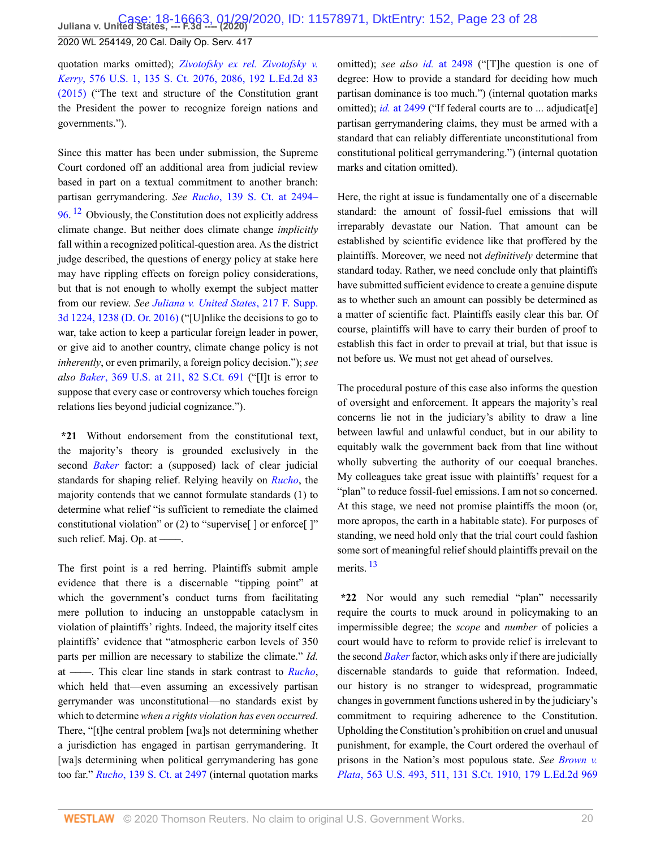quotation marks omitted); *[Zivotofsky ex rel. Zivotofsky v.](http://www.westlaw.com/Link/Document/FullText?findType=Y&serNum=2036417174&pubNum=0000708&originatingDoc=I92da3060396e11eabed3a1bc09b332eb&refType=RP&fi=co_pp_sp_708_2086&originationContext=document&vr=3.0&rs=cblt1.0&transitionType=DocumentItem&contextData=(sc.UserEnteredCitation)#co_pp_sp_708_2086) Kerry*[, 576 U.S. 1, 135 S. Ct. 2076, 2086, 192 L.Ed.2d 83](http://www.westlaw.com/Link/Document/FullText?findType=Y&serNum=2036417174&pubNum=0000708&originatingDoc=I92da3060396e11eabed3a1bc09b332eb&refType=RP&fi=co_pp_sp_708_2086&originationContext=document&vr=3.0&rs=cblt1.0&transitionType=DocumentItem&contextData=(sc.UserEnteredCitation)#co_pp_sp_708_2086) [\(2015\)](http://www.westlaw.com/Link/Document/FullText?findType=Y&serNum=2036417174&pubNum=0000708&originatingDoc=I92da3060396e11eabed3a1bc09b332eb&refType=RP&fi=co_pp_sp_708_2086&originationContext=document&vr=3.0&rs=cblt1.0&transitionType=DocumentItem&contextData=(sc.UserEnteredCitation)#co_pp_sp_708_2086) ("The text and structure of the Constitution grant the President the power to recognize foreign nations and governments.").

<span id="page-22-0"></span>Since this matter has been under submission, the Supreme Court cordoned off an additional area from judicial review based in part on a textual commitment to another branch: partisan gerrymandering. *See Rucho*[, 139 S. Ct. at 2494–](http://www.westlaw.com/Link/Document/FullText?findType=Y&serNum=2048580355&pubNum=0000708&originatingDoc=I92da3060396e11eabed3a1bc09b332eb&refType=RP&fi=co_pp_sp_708_2494&originationContext=document&vr=3.0&rs=cblt1.0&transitionType=DocumentItem&contextData=(sc.UserEnteredCitation)#co_pp_sp_708_2494)  $96.$  $96.$ <sup>[12](#page-27-1)</sup> Obviously, the Constitution does not explicitly address climate change. But neither does climate change *implicitly* fall within a recognized political-question area. As the district judge described, the questions of energy policy at stake here may have rippling effects on foreign policy considerations, but that is not enough to wholly exempt the subject matter from our review. *See [Juliana v. United States](http://www.westlaw.com/Link/Document/FullText?findType=Y&serNum=2040284204&pubNum=0007903&originatingDoc=I92da3060396e11eabed3a1bc09b332eb&refType=RP&fi=co_pp_sp_7903_1238&originationContext=document&vr=3.0&rs=cblt1.0&transitionType=DocumentItem&contextData=(sc.UserEnteredCitation)#co_pp_sp_7903_1238)*, 217 F. Supp. [3d 1224, 1238 \(D. Or. 2016\)](http://www.westlaw.com/Link/Document/FullText?findType=Y&serNum=2040284204&pubNum=0007903&originatingDoc=I92da3060396e11eabed3a1bc09b332eb&refType=RP&fi=co_pp_sp_7903_1238&originationContext=document&vr=3.0&rs=cblt1.0&transitionType=DocumentItem&contextData=(sc.UserEnteredCitation)#co_pp_sp_7903_1238) ("[U]nlike the decisions to go to war, take action to keep a particular foreign leader in power, or give aid to another country, climate change policy is not *inherently*, or even primarily, a foreign policy decision."); *see also Baker*[, 369 U.S. at 211, 82 S.Ct. 691](http://www.westlaw.com/Link/Document/FullText?findType=Y&serNum=1962127595&pubNum=0000780&originatingDoc=I92da3060396e11eabed3a1bc09b332eb&refType=RP&fi=co_pp_sp_780_211&originationContext=document&vr=3.0&rs=cblt1.0&transitionType=DocumentItem&contextData=(sc.UserEnteredCitation)#co_pp_sp_780_211) ("[I]t is error to suppose that every case or controversy which touches foreign relations lies beyond judicial cognizance.").

**\*21** Without endorsement from the constitutional text, the majority's theory is grounded exclusively in the second *[Baker](http://www.westlaw.com/Link/Document/FullText?findType=Y&serNum=1962127595&pubNum=0000780&originatingDoc=I92da3060396e11eabed3a1bc09b332eb&refType=RP&originationContext=document&vr=3.0&rs=cblt1.0&transitionType=DocumentItem&contextData=(sc.UserEnteredCitation))* factor: a (supposed) lack of clear judicial standards for shaping relief. Relying heavily on *[Rucho](http://www.westlaw.com/Link/Document/FullText?findType=Y&serNum=2048580355&pubNum=0000708&originatingDoc=I92da3060396e11eabed3a1bc09b332eb&refType=RP&originationContext=document&vr=3.0&rs=cblt1.0&transitionType=DocumentItem&contextData=(sc.UserEnteredCitation))*, the majority contends that we cannot formulate standards (1) to determine what relief "is sufficient to remediate the claimed constitutional violation" or (2) to "supervise<sup>[]</sup> or enforce<sup>[]"</sup> such relief. Maj. Op. at ——.

The first point is a red herring. Plaintiffs submit ample evidence that there is a discernable "tipping point" at which the government's conduct turns from facilitating mere pollution to inducing an unstoppable cataclysm in violation of plaintiffs' rights. Indeed, the majority itself cites plaintiffs' evidence that "atmospheric carbon levels of 350 parts per million are necessary to stabilize the climate." *Id.* at ––––. This clear line stands in stark contrast to *[Rucho](http://www.westlaw.com/Link/Document/FullText?findType=Y&serNum=2048580355&pubNum=0000708&originatingDoc=I92da3060396e11eabed3a1bc09b332eb&refType=RP&originationContext=document&vr=3.0&rs=cblt1.0&transitionType=DocumentItem&contextData=(sc.UserEnteredCitation))*, which held that—even assuming an excessively partisan gerrymander was unconstitutional—no standards exist by which to determine *when a rights violation has even occurred*. There, "[t]he central problem [wa]s not determining whether a jurisdiction has engaged in partisan gerrymandering. It [wa]s determining when political gerrymandering has gone too far." *Rucho*[, 139 S. Ct. at 2497](http://www.westlaw.com/Link/Document/FullText?findType=Y&serNum=2048580355&pubNum=0000708&originatingDoc=I92da3060396e11eabed3a1bc09b332eb&refType=RP&fi=co_pp_sp_708_2497&originationContext=document&vr=3.0&rs=cblt1.0&transitionType=DocumentItem&contextData=(sc.UserEnteredCitation)#co_pp_sp_708_2497) (internal quotation marks omitted); *see also id.* [at 2498](http://www.westlaw.com/Link/Document/FullText?findType=Y&serNum=2048580355&pubNum=0000708&originatingDoc=I92da3060396e11eabed3a1bc09b332eb&refType=RP&fi=co_pp_sp_708_2498&originationContext=document&vr=3.0&rs=cblt1.0&transitionType=DocumentItem&contextData=(sc.UserEnteredCitation)#co_pp_sp_708_2498) ("[T]he question is one of degree: How to provide a standard for deciding how much partisan dominance is too much.") (internal quotation marks omitted); *id.* [at 2499](http://www.westlaw.com/Link/Document/FullText?findType=Y&serNum=2048580355&pubNum=0000708&originatingDoc=I92da3060396e11eabed3a1bc09b332eb&refType=RP&fi=co_pp_sp_708_2499&originationContext=document&vr=3.0&rs=cblt1.0&transitionType=DocumentItem&contextData=(sc.UserEnteredCitation)#co_pp_sp_708_2499) ("If federal courts are to ... adjudicat[e] partisan gerrymandering claims, they must be armed with a standard that can reliably differentiate unconstitutional from constitutional political gerrymandering.") (internal quotation marks and citation omitted).

Here, the right at issue is fundamentally one of a discernable standard: the amount of fossil-fuel emissions that will irreparably devastate our Nation. That amount can be established by scientific evidence like that proffered by the plaintiffs. Moreover, we need not *definitively* determine that standard today. Rather, we need conclude only that plaintiffs have submitted sufficient evidence to create a genuine dispute as to whether such an amount can possibly be determined as a matter of scientific fact. Plaintiffs easily clear this bar. Of course, plaintiffs will have to carry their burden of proof to establish this fact in order to prevail at trial, but that issue is not before us. We must not get ahead of ourselves.

The procedural posture of this case also informs the question of oversight and enforcement. It appears the majority's real concerns lie not in the judiciary's ability to draw a line between lawful and unlawful conduct, but in our ability to equitably walk the government back from that line without wholly subverting the authority of our coequal branches. My colleagues take great issue with plaintiffs' request for a "plan" to reduce fossil-fuel emissions. I am not so concerned. At this stage, we need not promise plaintiffs the moon (or, more apropos, the earth in a habitable state). For purposes of standing, we need hold only that the trial court could fashion some sort of meaningful relief should plaintiffs prevail on the merits.<sup>[13](#page-27-2)</sup>

<span id="page-22-1"></span>**\*22** Nor would any such remedial "plan" necessarily require the courts to muck around in policymaking to an impermissible degree; the *scope* and *number* of policies a court would have to reform to provide relief is irrelevant to the second *[Baker](http://www.westlaw.com/Link/Document/FullText?findType=Y&serNum=1962127595&pubNum=0000780&originatingDoc=I92da3060396e11eabed3a1bc09b332eb&refType=RP&originationContext=document&vr=3.0&rs=cblt1.0&transitionType=DocumentItem&contextData=(sc.UserEnteredCitation))* factor, which asks only if there are judicially discernable standards to guide that reformation. Indeed, our history is no stranger to widespread, programmatic changes in government functions ushered in by the judiciary's commitment to requiring adherence to the Constitution. Upholding the Constitution's prohibition on cruel and unusual punishment, for example, the Court ordered the overhaul of prisons in the Nation's most populous state. *See [Brown v.](http://www.westlaw.com/Link/Document/FullText?findType=Y&serNum=2025330790&pubNum=0000780&originatingDoc=I92da3060396e11eabed3a1bc09b332eb&refType=RP&fi=co_pp_sp_780_511&originationContext=document&vr=3.0&rs=cblt1.0&transitionType=DocumentItem&contextData=(sc.UserEnteredCitation)#co_pp_sp_780_511) Plata*[, 563 U.S. 493, 511, 131 S.Ct. 1910, 179 L.Ed.2d 969](http://www.westlaw.com/Link/Document/FullText?findType=Y&serNum=2025330790&pubNum=0000780&originatingDoc=I92da3060396e11eabed3a1bc09b332eb&refType=RP&fi=co_pp_sp_780_511&originationContext=document&vr=3.0&rs=cblt1.0&transitionType=DocumentItem&contextData=(sc.UserEnteredCitation)#co_pp_sp_780_511)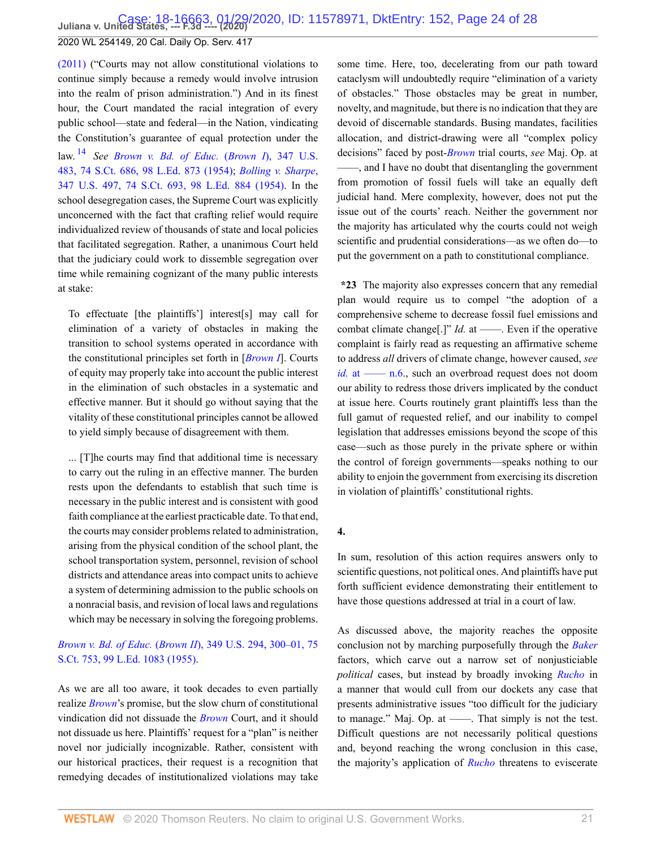**Juliana v. United States, --- F.3d ---- (2020)** Case: 18-16663, 01/29/2020, ID: 11578971, DktEntry: 152, Page 24 of 28

# 2020 WL 254149, 20 Cal. Daily Op. Serv. 417

<span id="page-23-0"></span>[\(2011\)](http://www.westlaw.com/Link/Document/FullText?findType=Y&serNum=2025330790&pubNum=0000780&originatingDoc=I92da3060396e11eabed3a1bc09b332eb&refType=RP&fi=co_pp_sp_780_511&originationContext=document&vr=3.0&rs=cblt1.0&transitionType=DocumentItem&contextData=(sc.UserEnteredCitation)#co_pp_sp_780_511) ("Courts may not allow constitutional violations to continue simply because a remedy would involve intrusion into the realm of prison administration.") And in its finest hour, the Court mandated the racial integration of every public school—state and federal—in the Nation, vindicating the Constitution's guarantee of equal protection under the law. [14](#page-27-3) *See [Brown v. Bd. of Educ.](http://www.westlaw.com/Link/Document/FullText?findType=Y&serNum=1954121869&pubNum=0000708&originatingDoc=I92da3060396e11eabed3a1bc09b332eb&refType=RP&originationContext=document&vr=3.0&rs=cblt1.0&transitionType=DocumentItem&contextData=(sc.UserEnteredCitation))* (*Brown I*), 347 U.S. [483, 74 S.Ct. 686, 98 L.Ed. 873 \(1954\)](http://www.westlaw.com/Link/Document/FullText?findType=Y&serNum=1954121869&pubNum=0000708&originatingDoc=I92da3060396e11eabed3a1bc09b332eb&refType=RP&originationContext=document&vr=3.0&rs=cblt1.0&transitionType=DocumentItem&contextData=(sc.UserEnteredCitation)); *[Bolling v. Sharpe](http://www.westlaw.com/Link/Document/FullText?findType=Y&serNum=1954117300&pubNum=0000708&originatingDoc=I92da3060396e11eabed3a1bc09b332eb&refType=RP&originationContext=document&vr=3.0&rs=cblt1.0&transitionType=DocumentItem&contextData=(sc.UserEnteredCitation))*, [347 U.S. 497, 74 S.Ct. 693, 98 L.Ed. 884 \(1954\)](http://www.westlaw.com/Link/Document/FullText?findType=Y&serNum=1954117300&pubNum=0000708&originatingDoc=I92da3060396e11eabed3a1bc09b332eb&refType=RP&originationContext=document&vr=3.0&rs=cblt1.0&transitionType=DocumentItem&contextData=(sc.UserEnteredCitation)). In the school desegregation cases, the Supreme Court was explicitly unconcerned with the fact that crafting relief would require individualized review of thousands of state and local policies that facilitated segregation. Rather, a unanimous Court held that the judiciary could work to dissemble segregation over time while remaining cognizant of the many public interests at stake:

To effectuate [the plaintiffs'] interest[s] may call for elimination of a variety of obstacles in making the transition to school systems operated in accordance with the constitutional principles set forth in [*[Brown I](http://www.westlaw.com/Link/Document/FullText?findType=Y&serNum=1954121869&pubNum=0000506&originatingDoc=I92da3060396e11eabed3a1bc09b332eb&refType=RP&originationContext=document&vr=3.0&rs=cblt1.0&transitionType=DocumentItem&contextData=(sc.UserEnteredCitation))*]. Courts of equity may properly take into account the public interest in the elimination of such obstacles in a systematic and effective manner. But it should go without saying that the vitality of these constitutional principles cannot be allowed to yield simply because of disagreement with them.

... [T]he courts may find that additional time is necessary to carry out the ruling in an effective manner. The burden rests upon the defendants to establish that such time is necessary in the public interest and is consistent with good faith compliance at the earliest practicable date. To that end, the courts may consider problems related to administration, arising from the physical condition of the school plant, the school transportation system, personnel, revision of school districts and attendance areas into compact units to achieve a system of determining admission to the public schools on a nonracial basis, and revision of local laws and regulations which may be necessary in solving the foregoing problems.

# *Brown v. Bd. of Educ.* (*Brown II*[\), 349 U.S. 294, 300–01, 75](http://www.westlaw.com/Link/Document/FullText?findType=Y&serNum=1955122456&pubNum=0000708&originatingDoc=I92da3060396e11eabed3a1bc09b332eb&refType=RP&fi=co_pp_sp_708_300&originationContext=document&vr=3.0&rs=cblt1.0&transitionType=DocumentItem&contextData=(sc.UserEnteredCitation)#co_pp_sp_708_300) [S.Ct. 753, 99 L.Ed. 1083 \(1955\).](http://www.westlaw.com/Link/Document/FullText?findType=Y&serNum=1955122456&pubNum=0000708&originatingDoc=I92da3060396e11eabed3a1bc09b332eb&refType=RP&fi=co_pp_sp_708_300&originationContext=document&vr=3.0&rs=cblt1.0&transitionType=DocumentItem&contextData=(sc.UserEnteredCitation)#co_pp_sp_708_300)

As we are all too aware, it took decades to even partially realize *[Brown](http://www.westlaw.com/Link/Document/FullText?findType=Y&serNum=1954121869&originatingDoc=I92da3060396e11eabed3a1bc09b332eb&refType=RP&originationContext=document&vr=3.0&rs=cblt1.0&transitionType=DocumentItem&contextData=(sc.UserEnteredCitation))*'s promise, but the slow churn of constitutional vindication did not dissuade the *[Brown](http://www.westlaw.com/Link/Document/FullText?findType=Y&serNum=1955122456&pubNum=0000780&originatingDoc=I92da3060396e11eabed3a1bc09b332eb&refType=RP&originationContext=document&vr=3.0&rs=cblt1.0&transitionType=DocumentItem&contextData=(sc.UserEnteredCitation))* Court, and it should not dissuade us here. Plaintiffs' request for a "plan" is neither novel nor judicially incognizable. Rather, consistent with our historical practices, their request is a recognition that remedying decades of institutionalized violations may take some time. Here, too, decelerating from our path toward cataclysm will undoubtedly require "elimination of a variety of obstacles." Those obstacles may be great in number, novelty, and magnitude, but there is no indication that they are devoid of discernable standards. Busing mandates, facilities allocation, and district-drawing were all "complex policy decisions" faced by post-*[Brown](http://www.westlaw.com/Link/Document/FullText?findType=Y&serNum=1955122456&pubNum=0000780&originatingDoc=I92da3060396e11eabed3a1bc09b332eb&refType=RP&originationContext=document&vr=3.0&rs=cblt1.0&transitionType=DocumentItem&contextData=(sc.UserEnteredCitation))* trial courts, *see* Maj. Op. at ––––, and I have no doubt that disentangling the government from promotion of fossil fuels will take an equally deft judicial hand. Mere complexity, however, does not put the issue out of the courts' reach. Neither the government nor the majority has articulated why the courts could not weigh scientific and prudential considerations—as we often do—to put the government on a path to constitutional compliance.

**\*23** The majority also expresses concern that any remedial plan would require us to compel "the adoption of a comprehensive scheme to decrease fossil fuel emissions and combat climate change[.]" *Id.* at ——. Even if the operative complaint is fairly read as requesting an affirmative scheme to address *all* drivers of climate change, however caused, *see id.* at —— n.6., such an overbroad request does not doom our ability to redress those drivers implicated by the conduct at issue here. Courts routinely grant plaintiffs less than the full gamut of requested relief, and our inability to compel legislation that addresses emissions beyond the scope of this case—such as those purely in the private sphere or within the control of foreign governments—speaks nothing to our ability to enjoin the government from exercising its discretion in violation of plaintiffs' constitutional rights.

# **4.**

In sum, resolution of this action requires answers only to scientific questions, not political ones. And plaintiffs have put forth sufficient evidence demonstrating their entitlement to have those questions addressed at trial in a court of law.

As discussed above, the majority reaches the opposite conclusion not by marching purposefully through the *[Baker](http://www.westlaw.com/Link/Document/FullText?findType=Y&serNum=1962127595&pubNum=0000780&originatingDoc=I92da3060396e11eabed3a1bc09b332eb&refType=RP&originationContext=document&vr=3.0&rs=cblt1.0&transitionType=DocumentItem&contextData=(sc.UserEnteredCitation))* factors, which carve out a narrow set of nonjusticiable *political* cases, but instead by broadly invoking *[Rucho](http://www.westlaw.com/Link/Document/FullText?findType=Y&serNum=2048580355&pubNum=0000708&originatingDoc=I92da3060396e11eabed3a1bc09b332eb&refType=RP&originationContext=document&vr=3.0&rs=cblt1.0&transitionType=DocumentItem&contextData=(sc.UserEnteredCitation))* in a manner that would cull from our dockets any case that presents administrative issues "too difficult for the judiciary to manage." Maj. Op. at ——. That simply is not the test. Difficult questions are not necessarily political questions and, beyond reaching the wrong conclusion in this case, the majority's application of *[Rucho](http://www.westlaw.com/Link/Document/FullText?findType=Y&serNum=2048580355&pubNum=0000708&originatingDoc=I92da3060396e11eabed3a1bc09b332eb&refType=RP&originationContext=document&vr=3.0&rs=cblt1.0&transitionType=DocumentItem&contextData=(sc.UserEnteredCitation))* threatens to eviscerate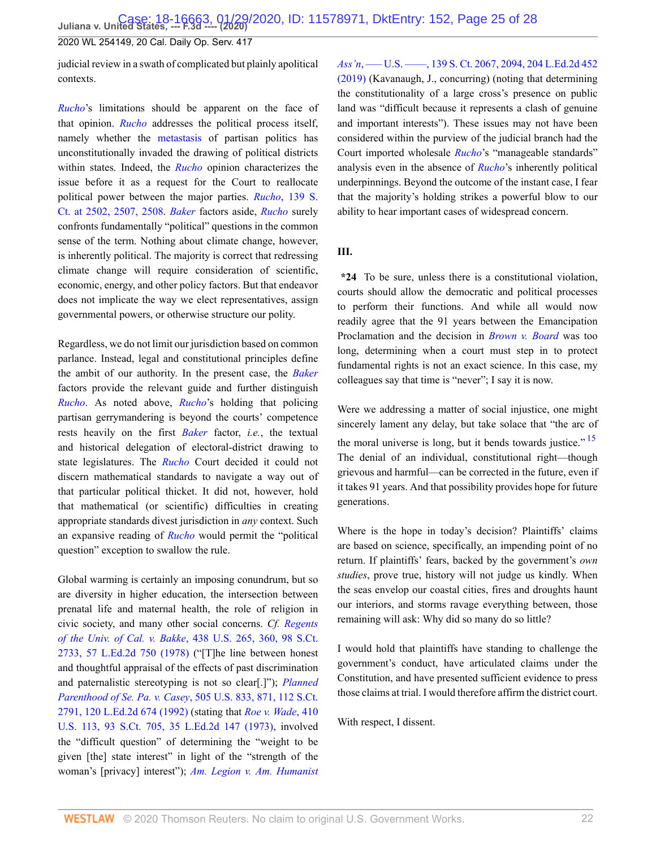**Juliana v. United States, --- F.3d ---- (2020)** Case: 18-16663, 01/29/2020, ID: 11578971, DktEntry: 152, Page 25 of 28

# 2020 WL 254149, 20 Cal. Daily Op. Serv. 417

judicial review in a swath of complicated but plainly apolitical contexts.

*[Rucho](http://www.westlaw.com/Link/Document/FullText?findType=Y&serNum=2048580355&pubNum=0000708&originatingDoc=I92da3060396e11eabed3a1bc09b332eb&refType=RP&originationContext=document&vr=3.0&rs=cblt1.0&transitionType=DocumentItem&contextData=(sc.UserEnteredCitation))*'s limitations should be apparent on the face of that opinion. *[Rucho](http://www.westlaw.com/Link/Document/FullText?findType=Y&serNum=2048580355&pubNum=0000708&originatingDoc=I92da3060396e11eabed3a1bc09b332eb&refType=RP&originationContext=document&vr=3.0&rs=cblt1.0&transitionType=DocumentItem&contextData=(sc.UserEnteredCitation))* addresses the political process itself, namely whether the [metastasis](http://www.westlaw.com/Link/Document/FullText?entityType=disease&entityId=Iabd5c4c4475411db9765f9243f53508a&originationContext=document&transitionType=DocumentItem&contextData=(sc.Default)&vr=3.0&rs=cblt1.0) of partisan politics has unconstitutionally invaded the drawing of political districts within states. Indeed, the *[Rucho](http://www.westlaw.com/Link/Document/FullText?findType=Y&serNum=2048580355&pubNum=0000708&originatingDoc=I92da3060396e11eabed3a1bc09b332eb&refType=RP&originationContext=document&vr=3.0&rs=cblt1.0&transitionType=DocumentItem&contextData=(sc.UserEnteredCitation))* opinion characterizes the issue before it as a request for the Court to reallocate political power between the major parties. *Rucho*[, 139 S.](http://www.westlaw.com/Link/Document/FullText?findType=Y&serNum=2048580355&pubNum=0000708&originatingDoc=I92da3060396e11eabed3a1bc09b332eb&refType=RP&fi=co_pp_sp_708_2502&originationContext=document&vr=3.0&rs=cblt1.0&transitionType=DocumentItem&contextData=(sc.UserEnteredCitation)#co_pp_sp_708_2502) [Ct. at 2502, 2507, 2508.](http://www.westlaw.com/Link/Document/FullText?findType=Y&serNum=2048580355&pubNum=0000708&originatingDoc=I92da3060396e11eabed3a1bc09b332eb&refType=RP&fi=co_pp_sp_708_2502&originationContext=document&vr=3.0&rs=cblt1.0&transitionType=DocumentItem&contextData=(sc.UserEnteredCitation)#co_pp_sp_708_2502) *[Baker](http://www.westlaw.com/Link/Document/FullText?findType=Y&serNum=1962127595&pubNum=0000780&originatingDoc=I92da3060396e11eabed3a1bc09b332eb&refType=RP&originationContext=document&vr=3.0&rs=cblt1.0&transitionType=DocumentItem&contextData=(sc.UserEnteredCitation))* factors aside, *[Rucho](http://www.westlaw.com/Link/Document/FullText?findType=Y&serNum=2048580355&pubNum=0000708&originatingDoc=I92da3060396e11eabed3a1bc09b332eb&refType=RP&originationContext=document&vr=3.0&rs=cblt1.0&transitionType=DocumentItem&contextData=(sc.UserEnteredCitation))* surely confronts fundamentally "political" questions in the common sense of the term. Nothing about climate change, however, is inherently political. The majority is correct that redressing climate change will require consideration of scientific, economic, energy, and other policy factors. But that endeavor does not implicate the way we elect representatives, assign governmental powers, or otherwise structure our polity.

Regardless, we do not limit our jurisdiction based on common parlance. Instead, legal and constitutional principles define the ambit of our authority. In the present case, the *[Baker](http://www.westlaw.com/Link/Document/FullText?findType=Y&serNum=1962127595&pubNum=0000780&originatingDoc=I92da3060396e11eabed3a1bc09b332eb&refType=RP&originationContext=document&vr=3.0&rs=cblt1.0&transitionType=DocumentItem&contextData=(sc.UserEnteredCitation))* factors provide the relevant guide and further distinguish *[Rucho](http://www.westlaw.com/Link/Document/FullText?findType=Y&serNum=2048580355&pubNum=0000708&originatingDoc=I92da3060396e11eabed3a1bc09b332eb&refType=RP&originationContext=document&vr=3.0&rs=cblt1.0&transitionType=DocumentItem&contextData=(sc.UserEnteredCitation))*. As noted above, *[Rucho](http://www.westlaw.com/Link/Document/FullText?findType=Y&serNum=2048580355&pubNum=0000708&originatingDoc=I92da3060396e11eabed3a1bc09b332eb&refType=RP&originationContext=document&vr=3.0&rs=cblt1.0&transitionType=DocumentItem&contextData=(sc.UserEnteredCitation))*'s holding that policing partisan gerrymandering is beyond the courts' competence rests heavily on the first *[Baker](http://www.westlaw.com/Link/Document/FullText?findType=Y&serNum=1962127595&pubNum=0000780&originatingDoc=I92da3060396e11eabed3a1bc09b332eb&refType=RP&originationContext=document&vr=3.0&rs=cblt1.0&transitionType=DocumentItem&contextData=(sc.UserEnteredCitation))* factor, *i.e.*, the textual and historical delegation of electoral-district drawing to state legislatures. The *[Rucho](http://www.westlaw.com/Link/Document/FullText?findType=Y&serNum=2048580355&pubNum=0000708&originatingDoc=I92da3060396e11eabed3a1bc09b332eb&refType=RP&originationContext=document&vr=3.0&rs=cblt1.0&transitionType=DocumentItem&contextData=(sc.UserEnteredCitation))* Court decided it could not discern mathematical standards to navigate a way out of that particular political thicket. It did not, however, hold that mathematical (or scientific) difficulties in creating appropriate standards divest jurisdiction in *any* context. Such an expansive reading of *[Rucho](http://www.westlaw.com/Link/Document/FullText?findType=Y&serNum=2048580355&pubNum=0000708&originatingDoc=I92da3060396e11eabed3a1bc09b332eb&refType=RP&originationContext=document&vr=3.0&rs=cblt1.0&transitionType=DocumentItem&contextData=(sc.UserEnteredCitation))* would permit the "political question" exception to swallow the rule.

Global warming is certainly an imposing conundrum, but so are diversity in higher education, the intersection between prenatal life and maternal health, the role of religion in civic society, and many other social concerns. *Cf. [Regents](http://www.westlaw.com/Link/Document/FullText?findType=Y&serNum=1978139508&pubNum=0000780&originatingDoc=I92da3060396e11eabed3a1bc09b332eb&refType=RP&fi=co_pp_sp_780_360&originationContext=document&vr=3.0&rs=cblt1.0&transitionType=DocumentItem&contextData=(sc.UserEnteredCitation)#co_pp_sp_780_360) of the Univ. of Cal. v. Bakke*[, 438 U.S. 265, 360, 98 S.Ct.](http://www.westlaw.com/Link/Document/FullText?findType=Y&serNum=1978139508&pubNum=0000780&originatingDoc=I92da3060396e11eabed3a1bc09b332eb&refType=RP&fi=co_pp_sp_780_360&originationContext=document&vr=3.0&rs=cblt1.0&transitionType=DocumentItem&contextData=(sc.UserEnteredCitation)#co_pp_sp_780_360) [2733, 57 L.Ed.2d 750 \(1978\)](http://www.westlaw.com/Link/Document/FullText?findType=Y&serNum=1978139508&pubNum=0000780&originatingDoc=I92da3060396e11eabed3a1bc09b332eb&refType=RP&fi=co_pp_sp_780_360&originationContext=document&vr=3.0&rs=cblt1.0&transitionType=DocumentItem&contextData=(sc.UserEnteredCitation)#co_pp_sp_780_360) ("[T]he line between honest and thoughtful appraisal of the effects of past discrimination and paternalistic stereotyping is not so clear[.]"); *[Planned](http://www.westlaw.com/Link/Document/FullText?findType=Y&serNum=1992116314&pubNum=0000780&originatingDoc=I92da3060396e11eabed3a1bc09b332eb&refType=RP&fi=co_pp_sp_780_871&originationContext=document&vr=3.0&rs=cblt1.0&transitionType=DocumentItem&contextData=(sc.UserEnteredCitation)#co_pp_sp_780_871) [Parenthood of Se. Pa. v. Casey](http://www.westlaw.com/Link/Document/FullText?findType=Y&serNum=1992116314&pubNum=0000780&originatingDoc=I92da3060396e11eabed3a1bc09b332eb&refType=RP&fi=co_pp_sp_780_871&originationContext=document&vr=3.0&rs=cblt1.0&transitionType=DocumentItem&contextData=(sc.UserEnteredCitation)#co_pp_sp_780_871)*, 505 U.S. 833, 871, 112 S.Ct. [2791, 120 L.Ed.2d 674 \(1992\)](http://www.westlaw.com/Link/Document/FullText?findType=Y&serNum=1992116314&pubNum=0000780&originatingDoc=I92da3060396e11eabed3a1bc09b332eb&refType=RP&fi=co_pp_sp_780_871&originationContext=document&vr=3.0&rs=cblt1.0&transitionType=DocumentItem&contextData=(sc.UserEnteredCitation)#co_pp_sp_780_871) (stating that *[Roe v. Wade](http://www.westlaw.com/Link/Document/FullText?findType=Y&serNum=1973126316&pubNum=0000708&originatingDoc=I92da3060396e11eabed3a1bc09b332eb&refType=RP&originationContext=document&vr=3.0&rs=cblt1.0&transitionType=DocumentItem&contextData=(sc.UserEnteredCitation))*, 410 [U.S. 113, 93 S.Ct. 705, 35 L.Ed.2d 147 \(1973\)](http://www.westlaw.com/Link/Document/FullText?findType=Y&serNum=1973126316&pubNum=0000708&originatingDoc=I92da3060396e11eabed3a1bc09b332eb&refType=RP&originationContext=document&vr=3.0&rs=cblt1.0&transitionType=DocumentItem&contextData=(sc.UserEnteredCitation)), involved the "difficult question" of determining the "weight to be given [the] state interest" in light of the "strength of the woman's [privacy] interest"); *[Am. Legion v. Am. Humanist](http://www.westlaw.com/Link/Document/FullText?findType=Y&serNum=2048519600&pubNum=0000708&originatingDoc=I92da3060396e11eabed3a1bc09b332eb&refType=RP&fi=co_pp_sp_708_2094&originationContext=document&vr=3.0&rs=cblt1.0&transitionType=DocumentItem&contextData=(sc.UserEnteredCitation)#co_pp_sp_708_2094)*

*Ass'n*[, ––– U.S. ––––, 139 S. Ct. 2067, 2094, 204 L.Ed.2d 452](http://www.westlaw.com/Link/Document/FullText?findType=Y&serNum=2048519600&pubNum=0000708&originatingDoc=I92da3060396e11eabed3a1bc09b332eb&refType=RP&fi=co_pp_sp_708_2094&originationContext=document&vr=3.0&rs=cblt1.0&transitionType=DocumentItem&contextData=(sc.UserEnteredCitation)#co_pp_sp_708_2094) [\(2019\)](http://www.westlaw.com/Link/Document/FullText?findType=Y&serNum=2048519600&pubNum=0000708&originatingDoc=I92da3060396e11eabed3a1bc09b332eb&refType=RP&fi=co_pp_sp_708_2094&originationContext=document&vr=3.0&rs=cblt1.0&transitionType=DocumentItem&contextData=(sc.UserEnteredCitation)#co_pp_sp_708_2094) (Kavanaugh, J., concurring) (noting that determining the constitutionality of a large cross's presence on public land was "difficult because it represents a clash of genuine and important interests"). These issues may not have been considered within the purview of the judicial branch had the Court imported wholesale *[Rucho](http://www.westlaw.com/Link/Document/FullText?findType=Y&serNum=2048580355&originatingDoc=I92da3060396e11eabed3a1bc09b332eb&refType=RP&originationContext=document&vr=3.0&rs=cblt1.0&transitionType=DocumentItem&contextData=(sc.UserEnteredCitation))*'s "manageable standards" analysis even in the absence of *[Rucho](http://www.westlaw.com/Link/Document/FullText?findType=Y&serNum=2048580355&originatingDoc=I92da3060396e11eabed3a1bc09b332eb&refType=RP&originationContext=document&vr=3.0&rs=cblt1.0&transitionType=DocumentItem&contextData=(sc.UserEnteredCitation))*'s inherently political underpinnings. Beyond the outcome of the instant case, I fear that the majority's holding strikes a powerful blow to our ability to hear important cases of widespread concern.

#### **III.**

**\*24** To be sure, unless there is a constitutional violation, courts should allow the democratic and political processes to perform their functions. And while all would now readily agree that the 91 years between the Emancipation Proclamation and the decision in *[Brown v. Board](http://www.westlaw.com/Link/Document/FullText?findType=Y&serNum=1955122456&pubNum=0000780&originatingDoc=I92da3060396e11eabed3a1bc09b332eb&refType=RP&originationContext=document&vr=3.0&rs=cblt1.0&transitionType=DocumentItem&contextData=(sc.UserEnteredCitation))* was too long, determining when a court must step in to protect fundamental rights is not an exact science. In this case, my colleagues say that time is "never"; I say it is now.

<span id="page-24-0"></span>Were we addressing a matter of social injustice, one might sincerely lament any delay, but take solace that "the arc of the moral universe is long, but it bends towards justice."  $\frac{15}{2}$  $\frac{15}{2}$  $\frac{15}{2}$ The denial of an individual, constitutional right—though grievous and harmful—can be corrected in the future, even if it takes 91 years. And that possibility provides hope for future generations.

Where is the hope in today's decision? Plaintiffs' claims are based on science, specifically, an impending point of no return. If plaintiffs' fears, backed by the government's *own studies*, prove true, history will not judge us kindly. When the seas envelop our coastal cities, fires and droughts haunt our interiors, and storms ravage everything between, those remaining will ask: Why did so many do so little?

I would hold that plaintiffs have standing to challenge the government's conduct, have articulated claims under the Constitution, and have presented sufficient evidence to press those claims at trial. I would therefore affirm the district court.

With respect, I dissent.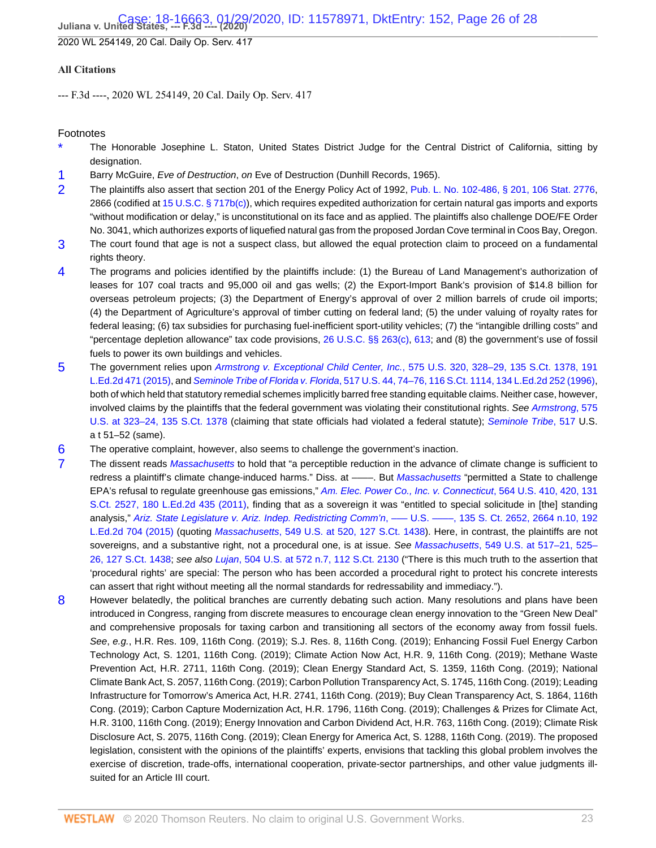#### **All Citations**

--- F.3d ----, 2020 WL 254149, 20 Cal. Daily Op. Serv. 417

Footnotes

- <span id="page-25-0"></span>The Honorable Josephine L. Staton, United States District Judge for the Central District of California, sitting by designation.
- <span id="page-25-1"></span>[1](#page-7-1) Barry McGuire, Eve of Destruction, on Eve of Destruction (Dunhill Records, 1965).
- <span id="page-25-2"></span>[2](#page-8-0) The plaintiffs also assert that section 201 of the Energy Policy Act of 1992, [Pub. L. No. 102-486, § 201, 106 Stat. 2776](http://www.westlaw.com/Link/Document/FullText?findType=l&pubNum=1077005&cite=UUID(IB5DB66B84C-8641B88F40C-EBBC2D3E8C4)&originatingDoc=I92da3060396e11eabed3a1bc09b332eb&refType=SL&originationContext=document&vr=3.0&rs=cblt1.0&transitionType=DocumentItem&contextData=(sc.UserEnteredCitation)), 2866 (codified at [15 U.S.C. § 717b\(c\)](http://www.westlaw.com/Link/Document/FullText?findType=L&pubNum=1000546&cite=15USCAS717B&originatingDoc=I92da3060396e11eabed3a1bc09b332eb&refType=RB&originationContext=document&vr=3.0&rs=cblt1.0&transitionType=DocumentItem&contextData=(sc.UserEnteredCitation)#co_pp_4b24000003ba5)), which requires expedited authorization for certain natural gas imports and exports "without modification or delay," is unconstitutional on its face and as applied. The plaintiffs also challenge DOE/FE Order No. 3041, which authorizes exports of liquefied natural gas from the proposed Jordan Cove terminal in Coos Bay, Oregon.
- <span id="page-25-3"></span>[3](#page-8-1) The court found that age is not a suspect class, but allowed the equal protection claim to proceed on a fundamental rights theory.
- <span id="page-25-4"></span>[4](#page-9-3) The programs and policies identified by the plaintiffs include: (1) the Bureau of Land Management's authorization of leases for 107 coal tracts and 95,000 oil and gas wells; (2) the Export-Import Bank's provision of \$14.8 billion for overseas petroleum projects; (3) the Department of Energy's approval of over 2 million barrels of crude oil imports; (4) the Department of Agriculture's approval of timber cutting on federal land; (5) the under valuing of royalty rates for federal leasing; (6) tax subsidies for purchasing fuel-inefficient sport-utility vehicles; (7) the "intangible drilling costs" and "percentage depletion allowance" tax code provisions, [26 U.S.C. §§ 263\(c\),](http://www.westlaw.com/Link/Document/FullText?findType=L&pubNum=1000546&cite=26USCAS263&originatingDoc=I92da3060396e11eabed3a1bc09b332eb&refType=RB&originationContext=document&vr=3.0&rs=cblt1.0&transitionType=DocumentItem&contextData=(sc.UserEnteredCitation)#co_pp_4b24000003ba5) [613;](http://www.westlaw.com/Link/Document/FullText?findType=L&pubNum=1000546&cite=26USCAS613&originatingDoc=I92da3060396e11eabed3a1bc09b332eb&refType=LQ&originationContext=document&vr=3.0&rs=cblt1.0&transitionType=DocumentItem&contextData=(sc.UserEnteredCitation)) and (8) the government's use of fossil fuels to power its own buildings and vehicles.
- <span id="page-25-5"></span>[5](#page-10-8) The government relies upon Armstrong v. Exceptional Child Center, Inc.[, 575 U.S. 320, 328–29, 135 S.Ct. 1378, 191](http://www.westlaw.com/Link/Document/FullText?findType=Y&serNum=2035720644&pubNum=0000780&originatingDoc=I92da3060396e11eabed3a1bc09b332eb&refType=RP&fi=co_pp_sp_780_328&originationContext=document&vr=3.0&rs=cblt1.0&transitionType=DocumentItem&contextData=(sc.UserEnteredCitation)#co_pp_sp_780_328) [L.Ed.2d 471 \(2015\),](http://www.westlaw.com/Link/Document/FullText?findType=Y&serNum=2035720644&pubNum=0000780&originatingDoc=I92da3060396e11eabed3a1bc09b332eb&refType=RP&fi=co_pp_sp_780_328&originationContext=document&vr=3.0&rs=cblt1.0&transitionType=DocumentItem&contextData=(sc.UserEnteredCitation)#co_pp_sp_780_328) and Seminole Tribe of Florida v. Florida[, 517 U.S. 44, 74–76, 116 S.Ct. 1114, 134 L.Ed.2d 252 \(1996\),](http://www.westlaw.com/Link/Document/FullText?findType=Y&serNum=1996077541&pubNum=0000780&originatingDoc=I92da3060396e11eabed3a1bc09b332eb&refType=RP&fi=co_pp_sp_780_74&originationContext=document&vr=3.0&rs=cblt1.0&transitionType=DocumentItem&contextData=(sc.UserEnteredCitation)#co_pp_sp_780_74) both of which held that statutory remedial schemes implicitly barred free standing equitable claims. Neither case, however, involved claims by the plaintiffs that the federal government was violating their constitutional rights. See [Armstrong](http://www.westlaw.com/Link/Document/FullText?findType=Y&serNum=2035720644&pubNum=0000780&originatingDoc=I92da3060396e11eabed3a1bc09b332eb&refType=RP&fi=co_pp_sp_780_323&originationContext=document&vr=3.0&rs=cblt1.0&transitionType=DocumentItem&contextData=(sc.UserEnteredCitation)#co_pp_sp_780_323), 575 [U.S. at 323–24, 135 S.Ct. 1378](http://www.westlaw.com/Link/Document/FullText?findType=Y&serNum=2035720644&pubNum=0000780&originatingDoc=I92da3060396e11eabed3a1bc09b332eb&refType=RP&fi=co_pp_sp_780_323&originationContext=document&vr=3.0&rs=cblt1.0&transitionType=DocumentItem&contextData=(sc.UserEnteredCitation)#co_pp_sp_780_323) (claiming that state officials had violated a federal statute); [Seminole Tribe](http://www.westlaw.com/Link/Document/FullText?findType=Y&serNum=1996077541&pubNum=0000780&originatingDoc=I92da3060396e11eabed3a1bc09b332eb&refType=RP&originationContext=document&vr=3.0&rs=cblt1.0&transitionType=DocumentItem&contextData=(sc.UserEnteredCitation)), 517 U.S. a t 51–52 (same).
- <span id="page-25-6"></span>[6](#page-11-4) The operative complaint, however, also seems to challenge the government's inaction.
- <span id="page-25-7"></span>[7](#page-12-0) The dissent reads [Massachusetts](http://www.westlaw.com/Link/Document/FullText?findType=Y&serNum=2011843426&pubNum=0000780&originatingDoc=I92da3060396e11eabed3a1bc09b332eb&refType=RP&originationContext=document&vr=3.0&rs=cblt1.0&transitionType=DocumentItem&contextData=(sc.UserEnteredCitation)) to hold that "a perceptible reduction in the advance of climate change is sufficient to redress a plaintiff's climate change-induced harms." Diss. at ——. But [Massachusetts](http://www.westlaw.com/Link/Document/FullText?findType=Y&serNum=2011843426&pubNum=0000780&originatingDoc=I92da3060396e11eabed3a1bc09b332eb&refType=RP&originationContext=document&vr=3.0&rs=cblt1.0&transitionType=DocumentItem&contextData=(sc.UserEnteredCitation)) "permitted a State to challenge EPA's refusal to regulate greenhouse gas emissions," [Am. Elec. Power Co., Inc. v. Connecticut](http://www.westlaw.com/Link/Document/FullText?findType=Y&serNum=2025520220&pubNum=0000780&originatingDoc=I92da3060396e11eabed3a1bc09b332eb&refType=RP&fi=co_pp_sp_780_420&originationContext=document&vr=3.0&rs=cblt1.0&transitionType=DocumentItem&contextData=(sc.UserEnteredCitation)#co_pp_sp_780_420), 564 U.S. 410, 420, 131 [S.Ct. 2527, 180 L.Ed.2d 435 \(2011\)](http://www.westlaw.com/Link/Document/FullText?findType=Y&serNum=2025520220&pubNum=0000780&originatingDoc=I92da3060396e11eabed3a1bc09b332eb&refType=RP&fi=co_pp_sp_780_420&originationContext=document&vr=3.0&rs=cblt1.0&transitionType=DocumentItem&contextData=(sc.UserEnteredCitation)#co_pp_sp_780_420), finding that as a sovereign it was "entitled to special solicitude in [the] standing analysis," [Ariz. State Legislature v. Ariz. Indep. Redistricting Comm'n](http://www.westlaw.com/Link/Document/FullText?findType=Y&serNum=2036562395&pubNum=0000708&originatingDoc=I92da3060396e11eabed3a1bc09b332eb&refType=RP&fi=co_pp_sp_708_2664&originationContext=document&vr=3.0&rs=cblt1.0&transitionType=DocumentItem&contextData=(sc.UserEnteredCitation)#co_pp_sp_708_2664), - U.S. -, 135 S. Ct. 2652, 2664 n.10, 192 [L.Ed.2d 704 \(2015\)](http://www.westlaw.com/Link/Document/FullText?findType=Y&serNum=2036562395&pubNum=0000708&originatingDoc=I92da3060396e11eabed3a1bc09b332eb&refType=RP&fi=co_pp_sp_708_2664&originationContext=document&vr=3.0&rs=cblt1.0&transitionType=DocumentItem&contextData=(sc.UserEnteredCitation)#co_pp_sp_708_2664) (quoting Massachusetts[, 549 U.S. at 520, 127 S.Ct. 1438\)](http://www.westlaw.com/Link/Document/FullText?findType=Y&serNum=2011843426&pubNum=0000780&originatingDoc=I92da3060396e11eabed3a1bc09b332eb&refType=RP&fi=co_pp_sp_780_520&originationContext=document&vr=3.0&rs=cblt1.0&transitionType=DocumentItem&contextData=(sc.UserEnteredCitation)#co_pp_sp_780_520). Here, in contrast, the plaintiffs are not sovereigns, and a substantive right, not a procedural one, is at issue. See Massachusetts[, 549 U.S. at 517–21, 525–](http://www.westlaw.com/Link/Document/FullText?findType=Y&serNum=2011843426&pubNum=0000780&originatingDoc=I92da3060396e11eabed3a1bc09b332eb&refType=RP&fi=co_pp_sp_780_517&originationContext=document&vr=3.0&rs=cblt1.0&transitionType=DocumentItem&contextData=(sc.UserEnteredCitation)#co_pp_sp_780_517) [26, 127 S.Ct. 1438;](http://www.westlaw.com/Link/Document/FullText?findType=Y&serNum=2011843426&pubNum=0000780&originatingDoc=I92da3060396e11eabed3a1bc09b332eb&refType=RP&fi=co_pp_sp_780_517&originationContext=document&vr=3.0&rs=cblt1.0&transitionType=DocumentItem&contextData=(sc.UserEnteredCitation)#co_pp_sp_780_517) see also Lujan[, 504 U.S. at 572 n.7, 112 S.Ct. 2130](http://www.westlaw.com/Link/Document/FullText?findType=Y&serNum=1992106162&pubNum=0000780&originatingDoc=I92da3060396e11eabed3a1bc09b332eb&refType=RP&fi=co_pp_sp_780_572&originationContext=document&vr=3.0&rs=cblt1.0&transitionType=DocumentItem&contextData=(sc.UserEnteredCitation)#co_pp_sp_780_572) ("There is this much truth to the assertion that 'procedural rights' are special: The person who has been accorded a procedural right to protect his concrete interests can assert that right without meeting all the normal standards for redressability and immediacy.").
- <span id="page-25-8"></span>[8](#page-13-2) However belatedly, the political branches are currently debating such action. Many resolutions and plans have been introduced in Congress, ranging from discrete measures to encourage clean energy innovation to the "Green New Deal" and comprehensive proposals for taxing carbon and transitioning all sectors of the economy away from fossil fuels. See, e.g., H.R. Res. 109, 116th Cong. (2019); S.J. Res. 8, 116th Cong. (2019); Enhancing Fossil Fuel Energy Carbon Technology Act, S. 1201, 116th Cong. (2019); Climate Action Now Act, H.R. 9, 116th Cong. (2019); Methane Waste Prevention Act, H.R. 2711, 116th Cong. (2019); Clean Energy Standard Act, S. 1359, 116th Cong. (2019); National Climate Bank Act, S. 2057, 116th Cong. (2019); Carbon Pollution Transparency Act, S. 1745, 116th Cong. (2019); Leading Infrastructure for Tomorrow's America Act, H.R. 2741, 116th Cong. (2019); Buy Clean Transparency Act, S. 1864, 116th Cong. (2019); Carbon Capture Modernization Act, H.R. 1796, 116th Cong. (2019); Challenges & Prizes for Climate Act, H.R. 3100, 116th Cong. (2019); Energy Innovation and Carbon Dividend Act, H.R. 763, 116th Cong. (2019); Climate Risk Disclosure Act, S. 2075, 116th Cong. (2019); Clean Energy for America Act, S. 1288, 116th Cong. (2019). The proposed legislation, consistent with the opinions of the plaintiffs' experts, envisions that tackling this global problem involves the exercise of discretion, trade-offs, international cooperation, private-sector partnerships, and other value judgments illsuited for an Article III court.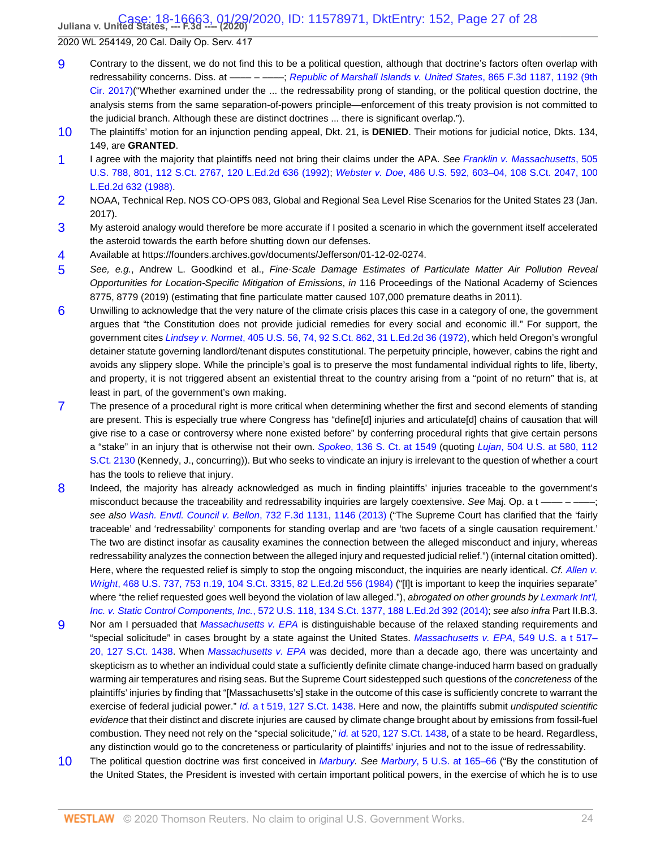**Juliana v. United States, --- F.3d ---- (2020)** Case: 18-16663, 01/29/2020, ID: 11578971, DktEntry: 152, Page 27 of 28

2020 WL 254149, 20 Cal. Daily Op. Serv. 417

- <span id="page-26-0"></span>[9](#page-14-1) Contrary to the dissent, we do not find this to be a political question, although that doctrine's factors often overlap with redressability concerns. Diss. at ——————; [Republic of Marshall Islands v. United States](http://www.westlaw.com/Link/Document/FullText?findType=Y&serNum=2042275220&pubNum=0000506&originatingDoc=I92da3060396e11eabed3a1bc09b332eb&refType=RP&fi=co_pp_sp_506_1192&originationContext=document&vr=3.0&rs=cblt1.0&transitionType=DocumentItem&contextData=(sc.UserEnteredCitation)#co_pp_sp_506_1192), 865 F.3d 1187, 1192 (9th [Cir. 2017\)](http://www.westlaw.com/Link/Document/FullText?findType=Y&serNum=2042275220&pubNum=0000506&originatingDoc=I92da3060396e11eabed3a1bc09b332eb&refType=RP&fi=co_pp_sp_506_1192&originationContext=document&vr=3.0&rs=cblt1.0&transitionType=DocumentItem&contextData=(sc.UserEnteredCitation)#co_pp_sp_506_1192)("Whether examined under the ... the redressability prong of standing, or the political question doctrine, the analysis stems from the same separation-of-powers principle—enforcement of this treaty provision is not committed to the judicial branch. Although these are distinct doctrines ... there is significant overlap.").
- <span id="page-26-1"></span>[10](#page-14-2) The plaintiffs' motion for an injunction pending appeal, Dkt. 21, is **DENIED**. Their motions for judicial notice, Dkts. 134, 149, are **GRANTED**.
- <span id="page-26-2"></span>[1](#page-15-0) I agree with the majority that plaintiffs need not bring their claims under the APA. See [Franklin v. Massachusetts](http://www.westlaw.com/Link/Document/FullText?findType=Y&serNum=1992115425&pubNum=0000780&originatingDoc=I92da3060396e11eabed3a1bc09b332eb&refType=RP&fi=co_pp_sp_780_801&originationContext=document&vr=3.0&rs=cblt1.0&transitionType=DocumentItem&contextData=(sc.UserEnteredCitation)#co_pp_sp_780_801), 505 [U.S. 788, 801, 112 S.Ct. 2767, 120 L.Ed.2d 636 \(1992\)](http://www.westlaw.com/Link/Document/FullText?findType=Y&serNum=1992115425&pubNum=0000780&originatingDoc=I92da3060396e11eabed3a1bc09b332eb&refType=RP&fi=co_pp_sp_780_801&originationContext=document&vr=3.0&rs=cblt1.0&transitionType=DocumentItem&contextData=(sc.UserEnteredCitation)#co_pp_sp_780_801); Webster v. Doe[, 486 U.S. 592, 603–04, 108 S.Ct. 2047, 100](http://www.westlaw.com/Link/Document/FullText?findType=Y&serNum=1988078090&pubNum=0000780&originatingDoc=I92da3060396e11eabed3a1bc09b332eb&refType=RP&fi=co_pp_sp_780_603&originationContext=document&vr=3.0&rs=cblt1.0&transitionType=DocumentItem&contextData=(sc.UserEnteredCitation)#co_pp_sp_780_603) [L.Ed.2d 632 \(1988\)](http://www.westlaw.com/Link/Document/FullText?findType=Y&serNum=1988078090&pubNum=0000780&originatingDoc=I92da3060396e11eabed3a1bc09b332eb&refType=RP&fi=co_pp_sp_780_603&originationContext=document&vr=3.0&rs=cblt1.0&transitionType=DocumentItem&contextData=(sc.UserEnteredCitation)#co_pp_sp_780_603).
- <span id="page-26-3"></span>[2](#page-15-1) NOAA, Technical Rep. NOS CO-OPS 083, Global and Regional Sea Level Rise Scenarios for the United States 23 (Jan. 2017).
- <span id="page-26-4"></span>[3](#page-15-2) My asteroid analogy would therefore be more accurate if I posited a scenario in which the government itself accelerated the asteroid towards the earth before shutting down our defenses.
- <span id="page-26-5"></span>[4](#page-16-0) Available at https://founders.archives.gov/documents/Jefferson/01-12-02-0274.
- <span id="page-26-6"></span>[5](#page-17-0) See, e.g., Andrew L. Goodkind et al., Fine-Scale Damage Estimates of Particulate Matter Air Pollution Reveal Opportunities for Location-Specific Mitigation of Emissions, in 116 Proceedings of the National Academy of Sciences 8775, 8779 (2019) (estimating that fine particulate matter caused 107,000 premature deaths in 2011).
- <span id="page-26-7"></span>[6](#page-17-1) Unwilling to acknowledge that the very nature of the climate crisis places this case in a category of one, the government argues that "the Constitution does not provide judicial remedies for every social and economic ill." For support, the government cites Lindsey v. Normet[, 405 U.S. 56, 74, 92 S.Ct. 862, 31 L.Ed.2d 36 \(1972\),](http://www.westlaw.com/Link/Document/FullText?findType=Y&serNum=1972127081&pubNum=0000780&originatingDoc=I92da3060396e11eabed3a1bc09b332eb&refType=RP&fi=co_pp_sp_780_74&originationContext=document&vr=3.0&rs=cblt1.0&transitionType=DocumentItem&contextData=(sc.UserEnteredCitation)#co_pp_sp_780_74) which held Oregon's wrongful detainer statute governing landlord/tenant disputes constitutional. The perpetuity principle, however, cabins the right and avoids any slippery slope. While the principle's goal is to preserve the most fundamental individual rights to life, liberty, and property, it is not triggered absent an existential threat to the country arising from a "point of no return" that is, at least in part, of the government's own making.
- <span id="page-26-8"></span>[7](#page-19-0) The presence of a procedural right is more critical when determining whether the first and second elements of standing are present. This is especially true where Congress has "define[d] injuries and articulate[d] chains of causation that will give rise to a case or controversy where none existed before" by conferring procedural rights that give certain persons a "stake" in an injury that is otherwise not their own. Spokeo[, 136 S. Ct. at 1549](http://www.westlaw.com/Link/Document/FullText?findType=Y&serNum=2038848364&pubNum=0000708&originatingDoc=I92da3060396e11eabed3a1bc09b332eb&refType=RP&fi=co_pp_sp_708_1549&originationContext=document&vr=3.0&rs=cblt1.0&transitionType=DocumentItem&contextData=(sc.UserEnteredCitation)#co_pp_sp_708_1549) (quoting Lujan[, 504 U.S. at 580, 112](http://www.westlaw.com/Link/Document/FullText?findType=Y&serNum=1992106162&pubNum=0000780&originatingDoc=I92da3060396e11eabed3a1bc09b332eb&refType=RP&fi=co_pp_sp_780_580&originationContext=document&vr=3.0&rs=cblt1.0&transitionType=DocumentItem&contextData=(sc.UserEnteredCitation)#co_pp_sp_780_580) [S.Ct. 2130](http://www.westlaw.com/Link/Document/FullText?findType=Y&serNum=1992106162&pubNum=0000780&originatingDoc=I92da3060396e11eabed3a1bc09b332eb&refType=RP&fi=co_pp_sp_780_580&originationContext=document&vr=3.0&rs=cblt1.0&transitionType=DocumentItem&contextData=(sc.UserEnteredCitation)#co_pp_sp_780_580) (Kennedy, J., concurring)). But who seeks to vindicate an injury is irrelevant to the question of whether a court has the tools to relieve that injury.
- <span id="page-26-9"></span>[8](#page-19-1) Indeed, the majority has already acknowledged as much in finding plaintiffs' injuries traceable to the government's misconduct because the traceability and redressability inquiries are largely coextensive. See Maj. Op. a t  $-\,$  – – see also [Wash. Envtl. Council v. Bellon](http://www.westlaw.com/Link/Document/FullText?findType=Y&serNum=2031787708&pubNum=0000506&originatingDoc=I92da3060396e11eabed3a1bc09b332eb&refType=RP&fi=co_pp_sp_506_1146&originationContext=document&vr=3.0&rs=cblt1.0&transitionType=DocumentItem&contextData=(sc.UserEnteredCitation)#co_pp_sp_506_1146), 732 F.3d 1131, 1146 (2013) ("The Supreme Court has clarified that the 'fairly traceable' and 'redressability' components for standing overlap and are 'two facets of a single causation requirement.' The two are distinct insofar as causality examines the connection between the alleged misconduct and injury, whereas redressability analyzes the connection between the alleged injury and requested judicial relief.") (internal citation omitted). Here, where the requested relief is simply to stop the ongoing misconduct, the inquiries are nearly identical. Cf. [Allen v.](http://www.westlaw.com/Link/Document/FullText?findType=Y&serNum=1984132352&pubNum=0000780&originatingDoc=I92da3060396e11eabed3a1bc09b332eb&refType=RP&fi=co_pp_sp_780_753&originationContext=document&vr=3.0&rs=cblt1.0&transitionType=DocumentItem&contextData=(sc.UserEnteredCitation)#co_pp_sp_780_753) Wright[, 468 U.S. 737, 753 n.19, 104 S.Ct. 3315, 82 L.Ed.2d 556 \(1984\)](http://www.westlaw.com/Link/Document/FullText?findType=Y&serNum=1984132352&pubNum=0000780&originatingDoc=I92da3060396e11eabed3a1bc09b332eb&refType=RP&fi=co_pp_sp_780_753&originationContext=document&vr=3.0&rs=cblt1.0&transitionType=DocumentItem&contextData=(sc.UserEnteredCitation)#co_pp_sp_780_753) ("[I]t is important to keep the inquiries separate" where "the relief requested goes well beyond the violation of law alleged."), abrogated on other grounds by [Lexmark Int'l,](http://www.westlaw.com/Link/Document/FullText?findType=Y&serNum=2032953511&pubNum=0000708&originatingDoc=I92da3060396e11eabed3a1bc09b332eb&refType=RP&originationContext=document&vr=3.0&rs=cblt1.0&transitionType=DocumentItem&contextData=(sc.UserEnteredCitation)) Inc. v. Static Control Components, Inc.[, 572 U.S. 118, 134 S.Ct. 1377, 188 L.Ed.2d 392 \(2014\);](http://www.westlaw.com/Link/Document/FullText?findType=Y&serNum=2032953511&pubNum=0000708&originatingDoc=I92da3060396e11eabed3a1bc09b332eb&refType=RP&originationContext=document&vr=3.0&rs=cblt1.0&transitionType=DocumentItem&contextData=(sc.UserEnteredCitation)) see also infra Part II.B.3.
- <span id="page-26-10"></span>[9](#page-19-2) Nor am I persuaded that [Massachusetts v. EPA](http://www.westlaw.com/Link/Document/FullText?findType=Y&serNum=2011843426&pubNum=0000780&originatingDoc=I92da3060396e11eabed3a1bc09b332eb&refType=RP&originationContext=document&vr=3.0&rs=cblt1.0&transitionType=DocumentItem&contextData=(sc.UserEnteredCitation)) is distinguishable because of the relaxed standing requirements and "special solicitude" in cases brought by a state against the United States. [Massachusetts v. EPA](http://www.westlaw.com/Link/Document/FullText?findType=Y&serNum=2011843426&pubNum=0000708&originatingDoc=I92da3060396e11eabed3a1bc09b332eb&refType=RP&originationContext=document&vr=3.0&rs=cblt1.0&transitionType=DocumentItem&contextData=(sc.UserEnteredCitation)), 549 U.S. a t 517-[20, 127 S.Ct. 1438.](http://www.westlaw.com/Link/Document/FullText?findType=Y&serNum=2011843426&pubNum=0000708&originatingDoc=I92da3060396e11eabed3a1bc09b332eb&refType=RP&originationContext=document&vr=3.0&rs=cblt1.0&transitionType=DocumentItem&contextData=(sc.UserEnteredCitation)) When [Massachusetts v. EPA](http://www.westlaw.com/Link/Document/FullText?findType=Y&serNum=2011843426&pubNum=0000780&originatingDoc=I92da3060396e11eabed3a1bc09b332eb&refType=RP&originationContext=document&vr=3.0&rs=cblt1.0&transitionType=DocumentItem&contextData=(sc.UserEnteredCitation)) was decided, more than a decade ago, there was uncertainty and skepticism as to whether an individual could state a sufficiently definite climate change-induced harm based on gradually warming air temperatures and rising seas. But the Supreme Court sidestepped such questions of the *concreteness* of the plaintiffs' injuries by finding that "[Massachusetts's] stake in the outcome of this case is sufficiently concrete to warrant the exercise of federal judicial power." Id. [a t 519, 127 S.Ct. 1438.](http://www.westlaw.com/Link/Document/FullText?findType=Y&serNum=2011843426&pubNum=0000708&originatingDoc=I92da3060396e11eabed3a1bc09b332eb&refType=RP&originationContext=document&vr=3.0&rs=cblt1.0&transitionType=DocumentItem&contextData=(sc.UserEnteredCitation)) Here and now, the plaintiffs submit *undisputed scientific* evidence that their distinct and discrete injuries are caused by climate change brought about by emissions from fossil-fuel combustion. They need not rely on the "special solicitude," id. [at 520, 127 S.Ct. 1438,](http://www.westlaw.com/Link/Document/FullText?findType=Y&serNum=2011843426&pubNum=0000780&originatingDoc=I92da3060396e11eabed3a1bc09b332eb&refType=RP&fi=co_pp_sp_780_520&originationContext=document&vr=3.0&rs=cblt1.0&transitionType=DocumentItem&contextData=(sc.UserEnteredCitation)#co_pp_sp_780_520) of a state to be heard. Regardless, any distinction would go to the concreteness or particularity of plaintiffs' injuries and not to the issue of redressability.
- <span id="page-26-11"></span>[10](#page-21-0) The political question doctrine was first conceived in [Marbury](http://www.westlaw.com/Link/Document/FullText?findType=Y&serNum=1801123932&pubNum=0000780&originatingDoc=I92da3060396e11eabed3a1bc09b332eb&refType=RP&originationContext=document&vr=3.0&rs=cblt1.0&transitionType=DocumentItem&contextData=(sc.UserEnteredCitation)). See Marbury[, 5 U.S. at 165–66](http://www.westlaw.com/Link/Document/FullText?findType=Y&serNum=1801123932&pubNum=0000780&originatingDoc=I92da3060396e11eabed3a1bc09b332eb&refType=RP&fi=co_pp_sp_780_165&originationContext=document&vr=3.0&rs=cblt1.0&transitionType=DocumentItem&contextData=(sc.UserEnteredCitation)#co_pp_sp_780_165) ("By the constitution of the United States, the President is invested with certain important political powers, in the exercise of which he is to use